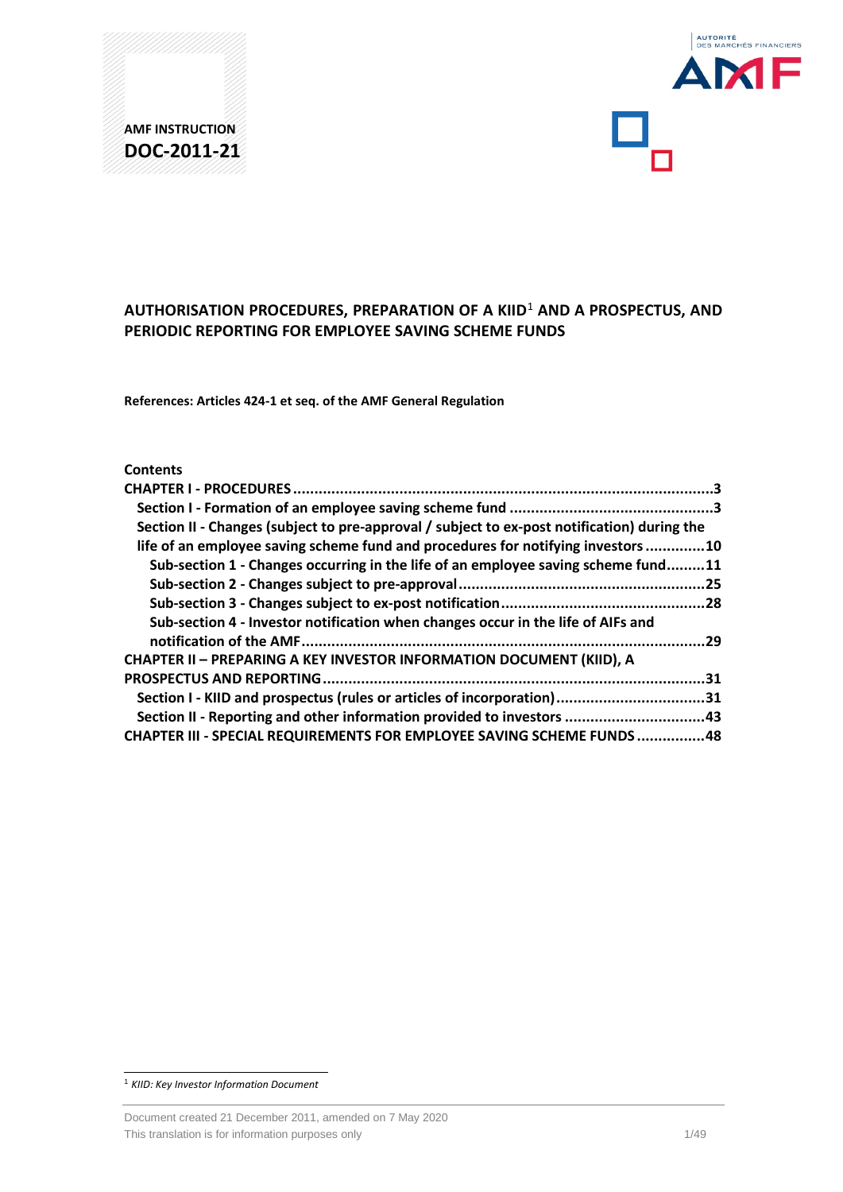

# **AUTHORISATION PROCEDURES, PREPARATION OF A KIID**[1](#page-0-0) **AND A PROSPECTUS, AND PERIODIC REPORTING FOR EMPLOYEE SAVING SCHEME FUNDS**

**References: Articles 424-1 et seq. of the AMF General Regulation**

## **Contents**

| Section II - Changes (subject to pre-approval / subject to ex-post notification) during the |     |
|---------------------------------------------------------------------------------------------|-----|
| life of an employee saving scheme fund and procedures for notifying investors 10            |     |
| Sub-section 1 - Changes occurring in the life of an employee saving scheme fund11           |     |
|                                                                                             |     |
|                                                                                             |     |
| Sub-section 4 - Investor notification when changes occur in the life of AIFs and            |     |
| .29                                                                                         |     |
| <b>CHAPTER II - PREPARING A KEY INVESTOR INFORMATION DOCUMENT (KIID), A</b>                 |     |
| <b>PROSPECTUS AND REPORTING.</b>                                                            | .31 |
| Section I - KIID and prospectus (rules or articles of incorporation)31                      |     |
| Section II - Reporting and other information provided to investors 43                       |     |
| <b>CHAPTER III - SPECIAL REQUIREMENTS FOR EMPLOYEE SAVING SCHEME FUNDS 48</b>               |     |

<span id="page-0-0"></span> <sup>1</sup> *KIID: Key Investor Information Document*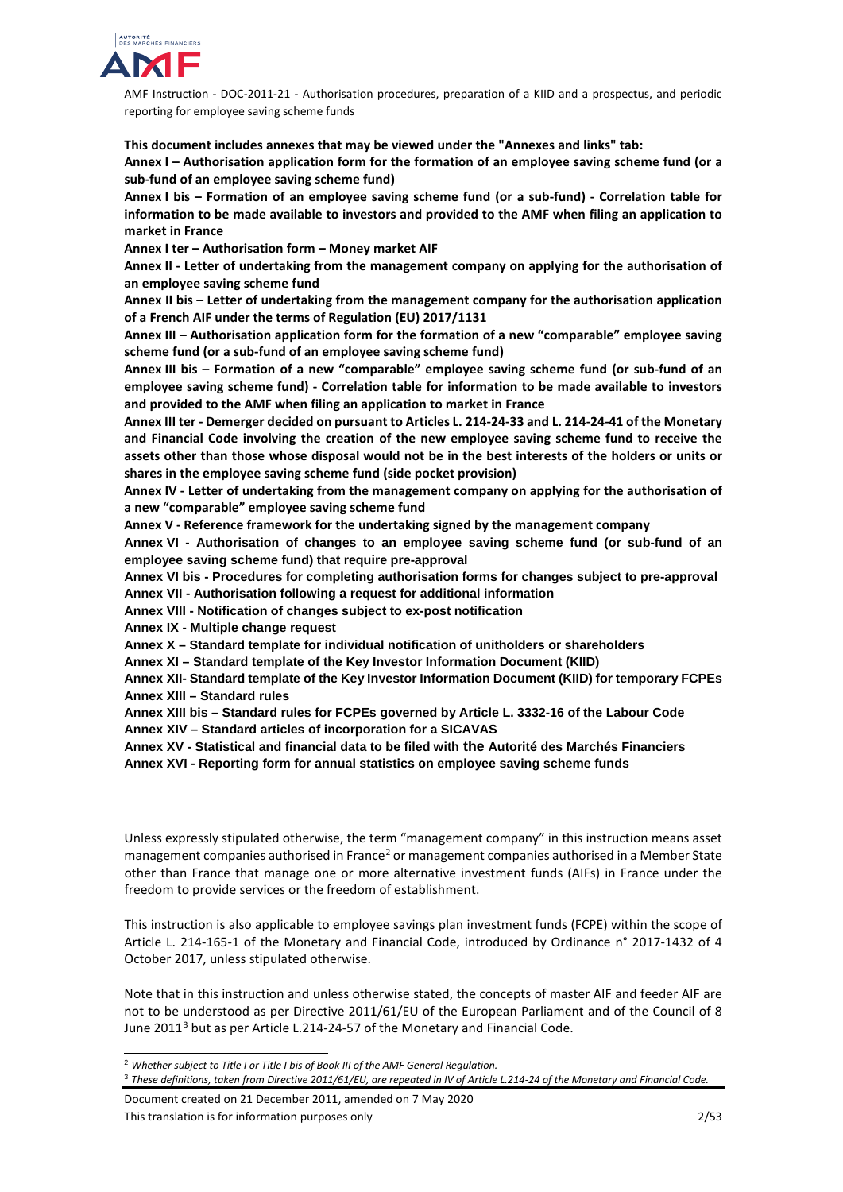

**This document includes annexes that may be viewed under the "Annexes and links" tab:**

**Annex I – Authorisation application form for the formation of an employee saving scheme fund (or a sub-fund of an employee saving scheme fund)**

**Annex I bis – Formation of an employee saving scheme fund (or a sub-fund) - Correlation table for information to be made available to investors and provided to the AMF when filing an application to market in France**

**Annex I ter – Authorisation form – Money market AIF**

**Annex II - Letter of undertaking from the management company on applying for the authorisation of an employee saving scheme fund**

**Annex II bis – Letter of undertaking from the management company for the authorisation application of a French AIF under the terms of Regulation (EU) 2017/1131**

**Annex III – Authorisation application form for the formation of a new "comparable" employee saving scheme fund (or a sub-fund of an employee saving scheme fund)**

**Annex III bis – Formation of a new "comparable" employee saving scheme fund (or sub-fund of an employee saving scheme fund) - Correlation table for information to be made available to investors and provided to the AMF when filing an application to market in France**

**Annex III ter - Demerger decided on pursuant to Articles L. 214-24-33 and L. 214-24-41 of the Monetary and Financial Code involving the creation of the new employee saving scheme fund to receive the assets other than those whose disposal would not be in the best interests of the holders or units or shares in the employee saving scheme fund (side pocket provision)**

**Annex IV - Letter of undertaking from the management company on applying for the authorisation of a new "comparable" employee saving scheme fund**

**Annex V - Reference framework for the undertaking signed by the management company** 

**Annex VI - Authorisation of changes to an employee saving scheme fund (or sub-fund of an employee saving scheme fund) that require pre-approval**

**Annex VI bis - Procedures for completing authorisation forms for changes subject to pre-approval Annex VII - Authorisation following a request for additional information**

**Annex VIII - Notification of changes subject to ex-post notification**

**Annex IX - Multiple change request**

**Annex X – Standard template for individual notification of unitholders or shareholders**

**Annex XI – Standard template of the Key Investor Information Document (KIID)**

**Annex XII- Standard template of the Key Investor Information Document (KIID) for temporary FCPEs Annex XIII – Standard rules**

**Annex XIII bis – Standard rules for FCPEs governed by Article L. 3332-16 of the Labour Code Annex XIV – Standard articles of incorporation for a SICAVAS**

**Annex XV - Statistical and financial data to be filed with the Autorité des Marchés Financiers Annex XVI - Reporting form for annual statistics on employee saving scheme funds**

Unless expressly stipulated otherwise, the term "management company" in this instruction means asset management companies authorised in France<sup>[2](#page-1-0)</sup> or management companies authorised in a Member State other than France that manage one or more alternative investment funds (AIFs) in France under the freedom to provide services or the freedom of establishment.

This instruction is also applicable to employee savings plan investment funds (FCPE) within the scope of Article L. 214-165-1 of the Monetary and Financial Code, introduced by Ordinance n° 2017-1432 of 4 October 2017, unless stipulated otherwise.

Note that in this instruction and unless otherwise stated, the concepts of master AIF and feeder AIF are not to be understood as per Directive 2011/61/EU of the European Parliament and of the Council of 8 June 2011<sup>[3](#page-1-1)</sup> but as per Article L.214-24-57 of the Monetary and Financial Code.

Document created on 21 December 2011, amended on 7 May 2020 This translation is for information purposes only 2/53

<span id="page-1-0"></span> <sup>2</sup> *Whether subject to Title I or Title I bis of Book III of the AMF General Regulation.*

<span id="page-1-1"></span><sup>3</sup> *These definitions, taken from Directive 2011/61/EU, are repeated in IV of Article L.214-24 of the Monetary and Financial Code.*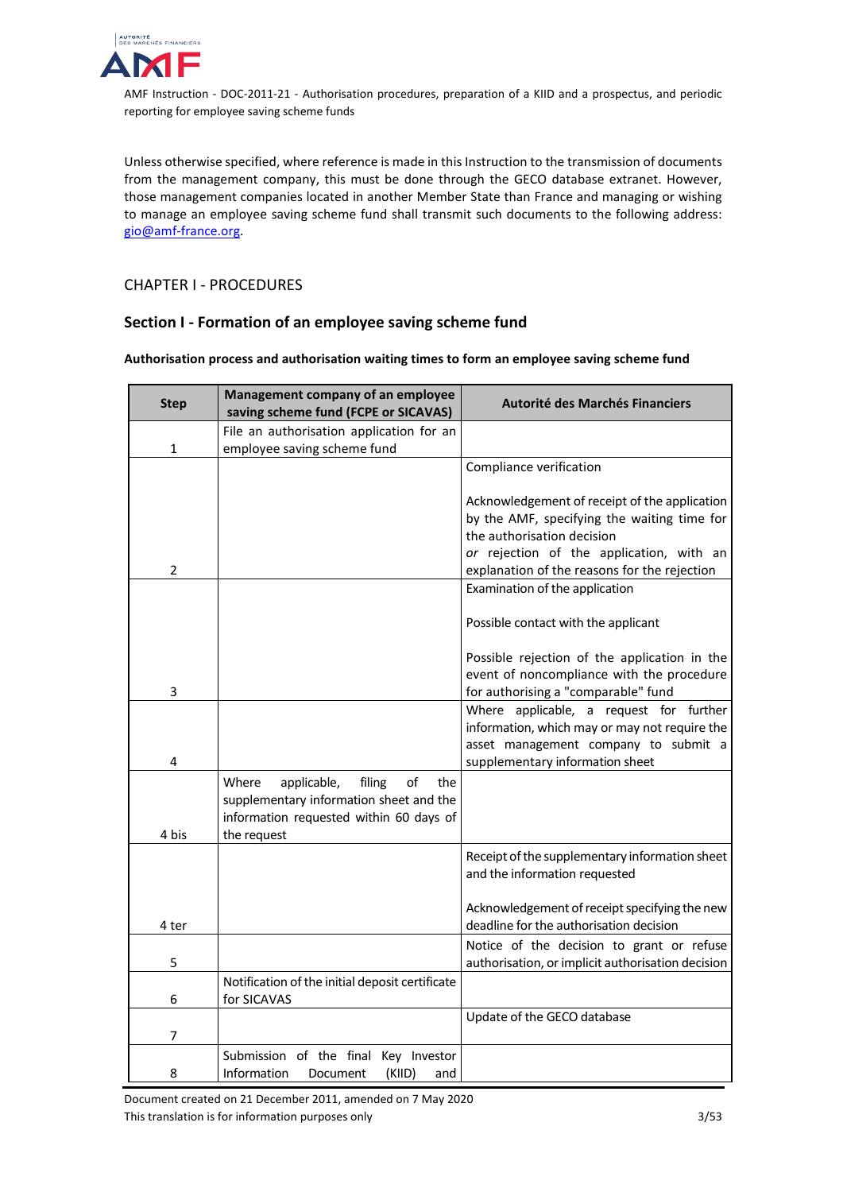

Unless otherwise specified, where reference is made in this Instruction to the transmission of documents from the management company, this must be done through the GECO database extranet. However, those management companies located in another Member State than France and managing or wishing to manage an employee saving scheme fund shall transmit such documents to the following address: [gio@amf-france.org.](mailto:gio@amf-france.org)

<span id="page-2-0"></span>CHAPTER I - PROCEDURES

# <span id="page-2-1"></span>**Section I - Formation of an employee saving scheme fund**

## **Authorisation process and authorisation waiting times to form an employee saving scheme fund**

| <b>Step</b>    | Management company of an employee<br>saving scheme fund (FCPE or SICAVAS)                                                                        | <b>Autorité des Marchés Financiers</b>                                                                                                                              |
|----------------|--------------------------------------------------------------------------------------------------------------------------------------------------|---------------------------------------------------------------------------------------------------------------------------------------------------------------------|
| 1              | File an authorisation application for an<br>employee saving scheme fund                                                                          |                                                                                                                                                                     |
|                |                                                                                                                                                  | Compliance verification                                                                                                                                             |
|                |                                                                                                                                                  | Acknowledgement of receipt of the application<br>by the AMF, specifying the waiting time for<br>the authorisation decision                                          |
| $\overline{2}$ |                                                                                                                                                  | or rejection of the application, with an<br>explanation of the reasons for the rejection                                                                            |
|                |                                                                                                                                                  | Examination of the application                                                                                                                                      |
|                |                                                                                                                                                  | Possible contact with the applicant                                                                                                                                 |
| 3              |                                                                                                                                                  | Possible rejection of the application in the<br>event of noncompliance with the procedure<br>for authorising a "comparable" fund                                    |
| 4              |                                                                                                                                                  | Where applicable, a request for further<br>information, which may or may not require the<br>asset management company to submit a<br>supplementary information sheet |
| 4 bis          | Where<br>applicable,<br>filing<br>of<br>the<br>supplementary information sheet and the<br>information requested within 60 days of<br>the request |                                                                                                                                                                     |
|                |                                                                                                                                                  | Receipt of the supplementary information sheet<br>and the information requested                                                                                     |
| 4 ter          |                                                                                                                                                  | Acknowledgement of receipt specifying the new<br>deadline for the authorisation decision                                                                            |
| 5              |                                                                                                                                                  | Notice of the decision to grant or refuse<br>authorisation, or implicit authorisation decision                                                                      |
| 6              | Notification of the initial deposit certificate<br>for SICAVAS                                                                                   |                                                                                                                                                                     |
| 7              |                                                                                                                                                  | Update of the GECO database                                                                                                                                         |
| 8              | Submission of the final Key Investor<br>Information<br>(KIID)<br>Document<br>and                                                                 |                                                                                                                                                                     |

Document created on 21 December 2011, amended on 7 May 2020 This translation is for information purposes only 3/53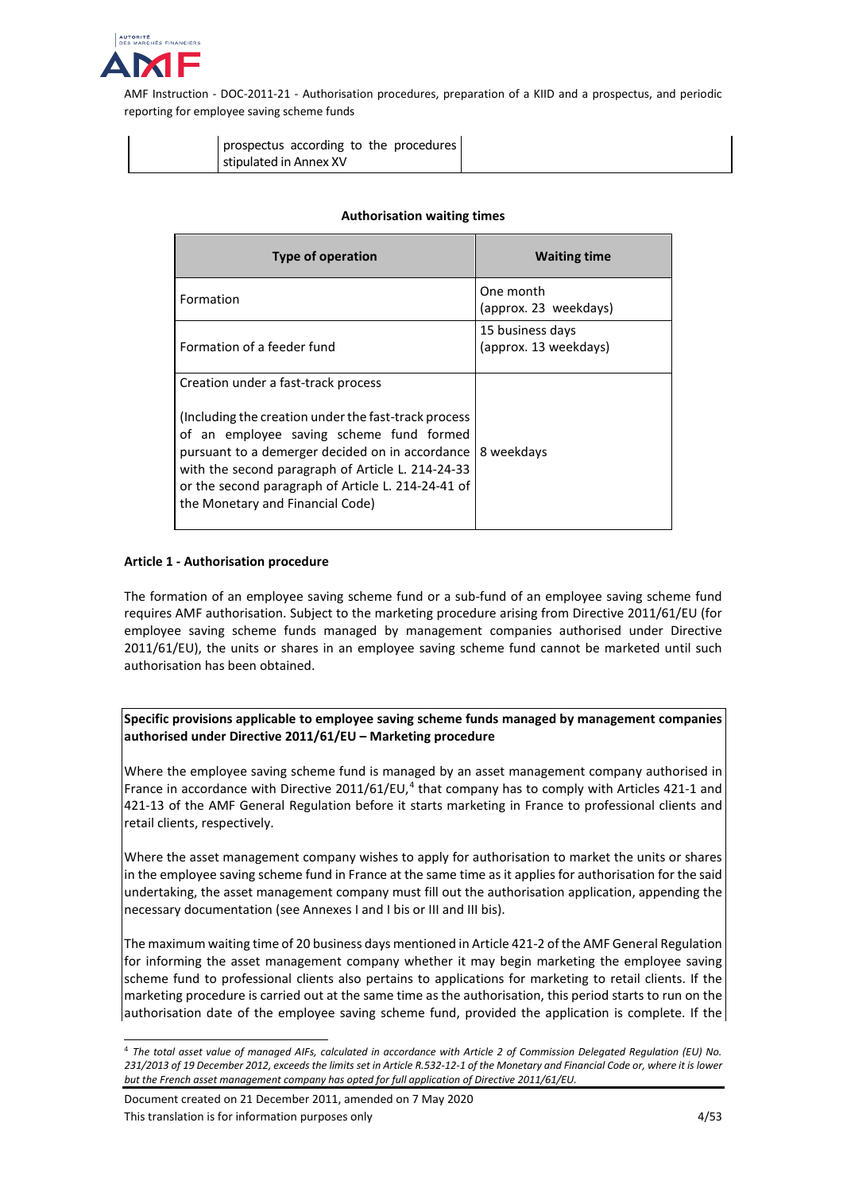

| prospectus according to the procedures |  |
|----------------------------------------|--|
| stipulated in Annex XV                 |  |

#### **Authorisation waiting times**

| Type of operation                                                                                                                                                                                                                                                                                                                          | <b>Waiting time</b>                       |
|--------------------------------------------------------------------------------------------------------------------------------------------------------------------------------------------------------------------------------------------------------------------------------------------------------------------------------------------|-------------------------------------------|
| Formation                                                                                                                                                                                                                                                                                                                                  | One month<br>(approx. 23 weekdays)        |
| Formation of a feeder fund                                                                                                                                                                                                                                                                                                                 | 15 business days<br>(approx. 13 weekdays) |
| Creation under a fast-track process<br>(Including the creation under the fast-track process)<br>of an employee saving scheme fund formed<br>pursuant to a demerger decided on in accordance<br>with the second paragraph of Article L. 214-24-33<br>or the second paragraph of Article L. 214-24-41 of<br>the Monetary and Financial Code) | 8 weekdays                                |

#### **Article 1 - Authorisation procedure**

The formation of an employee saving scheme fund or a sub-fund of an employee saving scheme fund requires AMF authorisation. Subject to the marketing procedure arising from Directive 2011/61/EU (for employee saving scheme funds managed by management companies authorised under Directive 2011/61/EU), the units or shares in an employee saving scheme fund cannot be marketed until such authorisation has been obtained.

**Specific provisions applicable to employee saving scheme funds managed by management companies authorised under Directive 2011/61/EU – Marketing procedure**

Where the employee saving scheme fund is managed by an asset management company authorised in France in accordance with Directive 2011/61/EU,<sup>[4](#page-3-0)</sup> that company has to comply with Articles 421-1 and 421-13 of the AMF General Regulation before it starts marketing in France to professional clients and retail clients, respectively.

Where the asset management company wishes to apply for authorisation to market the units or shares in the employee saving scheme fund in France at the same time as it applies for authorisation for the said undertaking, the asset management company must fill out the authorisation application, appending the necessary documentation (see Annexes I and I bis or III and III bis).

The maximum waiting time of 20 business days mentioned in Article 421-2 of the AMF General Regulation for informing the asset management company whether it may begin marketing the employee saving scheme fund to professional clients also pertains to applications for marketing to retail clients. If the marketing procedure is carried out at the same time as the authorisation, this period starts to run on the authorisation date of the employee saving scheme fund, provided the application is complete. If the

Document created on 21 December 2011, amended on 7 May 2020 This translation is for information purposes only the state of the state of the state of the 4/53

<span id="page-3-0"></span> <sup>4</sup> *The total asset value of managed AIFs, calculated in accordance with Article 2 of Commission Delegated Regulation (EU) No. 231/2013 of 19 December 2012, exceeds the limits set in Article R.532-12-1 of the Monetary and Financial Code or, where it is lower but the French asset management company has opted for full application of Directive 2011/61/EU.*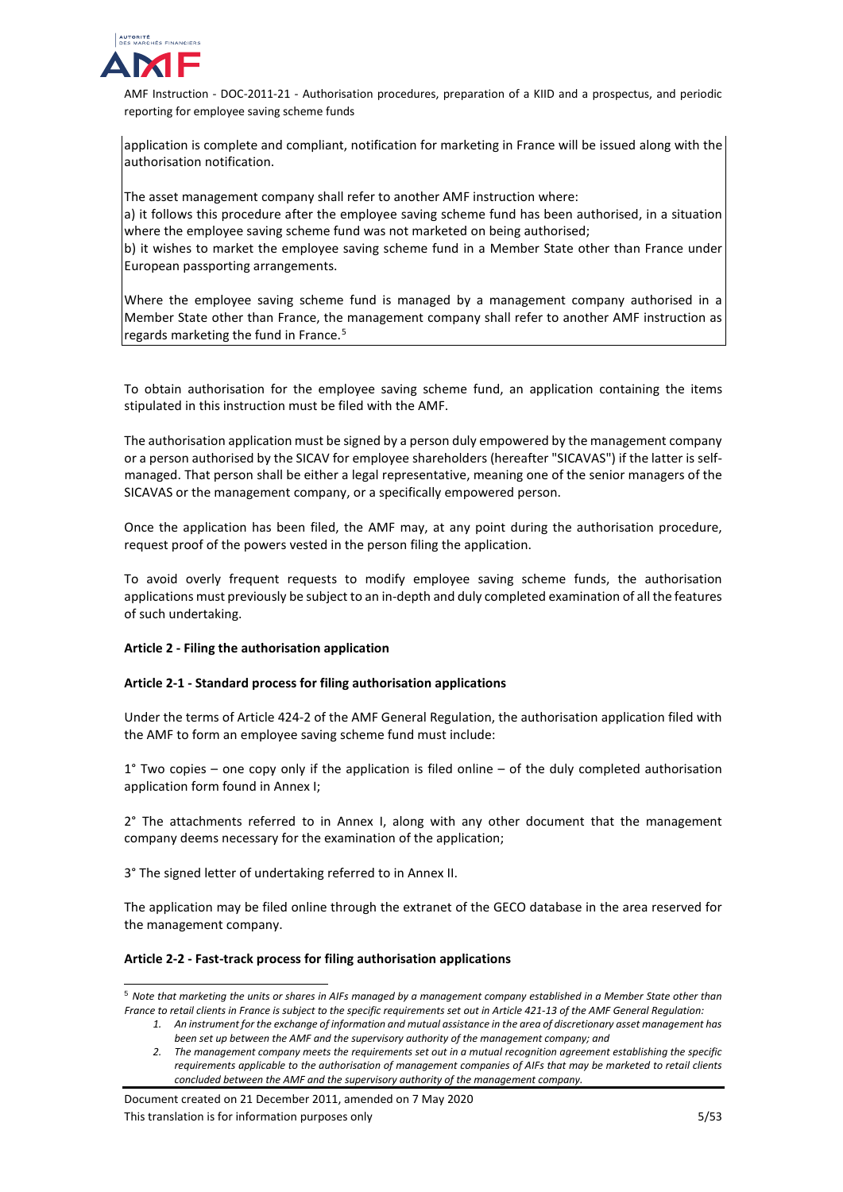

application is complete and compliant, notification for marketing in France will be issued along with the authorisation notification.

The asset management company shall refer to another AMF instruction where: a) it follows this procedure after the employee saving scheme fund has been authorised, in a situation where the employee saving scheme fund was not marketed on being authorised; b) it wishes to market the employee saving scheme fund in a Member State other than France under European passporting arrangements.

Where the employee saving scheme fund is managed by a management company authorised in a Member State other than France, the management company shall refer to another AMF instruction as regards marketing the fund in France. [5](#page-4-0)

To obtain authorisation for the employee saving scheme fund, an application containing the items stipulated in this instruction must be filed with the AMF.

The authorisation application must be signed by a person duly empowered by the management company or a person authorised by the SICAV for employee shareholders (hereafter "SICAVAS") if the latter is selfmanaged. That person shall be either a legal representative, meaning one of the senior managers of the SICAVAS or the management company, or a specifically empowered person.

Once the application has been filed, the AMF may, at any point during the authorisation procedure, request proof of the powers vested in the person filing the application.

To avoid overly frequent requests to modify employee saving scheme funds, the authorisation applications must previously be subject to an in-depth and duly completed examination of all the features of such undertaking.

## **Article 2 - Filing the authorisation application**

## **Article 2-1 - Standard process for filing authorisation applications**

Under the terms of Article 424-2 of the AMF General Regulation, the authorisation application filed with the AMF to form an employee saving scheme fund must include:

1° Two copies – one copy only if the application is filed online – of the duly completed authorisation application form found in Annex I;

2° The attachments referred to in Annex I, along with any other document that the management company deems necessary for the examination of the application;

3° The signed letter of undertaking referred to in Annex II.

The application may be filed online through the extranet of the GECO database in the area reserved for the management company.

#### **Article 2-2 - Fast-track process for filing authorisation applications**

<span id="page-4-0"></span> 5 *Note that marketing the units or shares in AIFs managed by a management company established in a Member State other than France to retail clients in France is subject to the specific requirements set out in Article 421-13 of the AMF General Regulation:*

*1. An instrument for the exchange of information and mutual assistance in the area of discretionary asset management has been set up between the AMF and the supervisory authority of the management company; and* 

*2. The management company meets the requirements set out in a mutual recognition agreement establishing the specific requirements applicable to the authorisation of management companies of AIFs that may be marketed to retail clients concluded between the AMF and the supervisory authority of the management company.*

Document created on 21 December 2011, amended on 7 May 2020 This translation is for information purposes only 5/53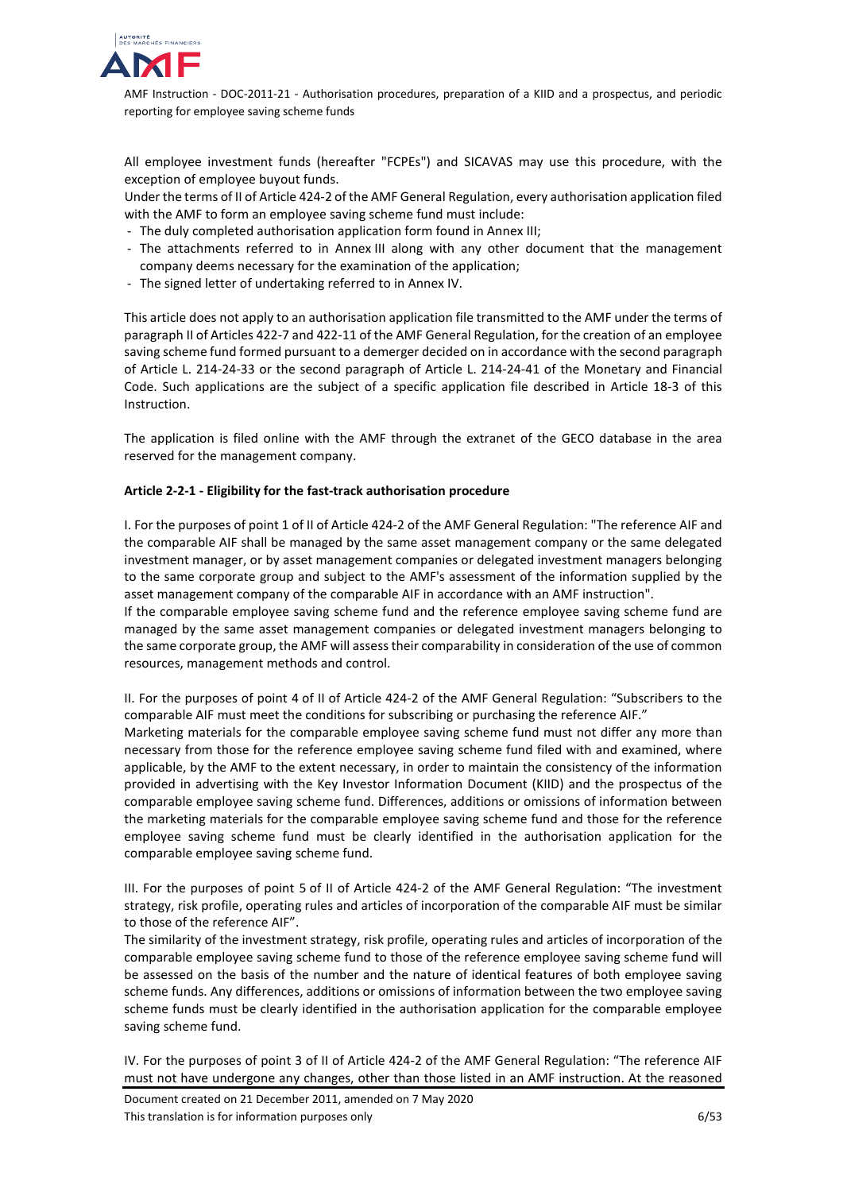

All employee investment funds (hereafter "FCPEs") and SICAVAS may use this procedure, with the exception of employee buyout funds.

Under the terms of II of Article 424-2 of the AMF General Regulation, every authorisation application filed with the AMF to form an employee saving scheme fund must include:

- The duly completed authorisation application form found in Annex III;
- The attachments referred to in Annex III along with any other document that the management company deems necessary for the examination of the application;
- The signed letter of undertaking referred to in Annex IV.

This article does not apply to an authorisation application file transmitted to the AMF under the terms of paragraph II of Articles 422-7 and 422-11 of the AMF General Regulation, for the creation of an employee saving scheme fund formed pursuant to a demerger decided on in accordance with the second paragraph of Article L. 214-24-33 or the second paragraph of Article L. 214-24-41 of the Monetary and Financial Code. Such applications are the subject of a specific application file described in Article 18-3 of this Instruction.

The application is filed online with the AMF through the extranet of the GECO database in the area reserved for the management company.

# **Article 2-2-1 - Eligibility for the fast-track authorisation procedure**

I. For the purposes of point 1 of II of Article 424-2 of the AMF General Regulation: "The reference AIF and the comparable AIF shall be managed by the same asset management company or the same delegated investment manager, or by asset management companies or delegated investment managers belonging to the same corporate group and subject to the AMF's assessment of the information supplied by the asset management company of the comparable AIF in accordance with an AMF instruction".

If the comparable employee saving scheme fund and the reference employee saving scheme fund are managed by the same asset management companies or delegated investment managers belonging to the same corporate group, the AMF will assess their comparability in consideration of the use of common resources, management methods and control.

II. For the purposes of point 4 of II of Article 424-2 of the AMF General Regulation: "Subscribers to the comparable AIF must meet the conditions for subscribing or purchasing the reference AIF."

Marketing materials for the comparable employee saving scheme fund must not differ any more than necessary from those for the reference employee saving scheme fund filed with and examined, where applicable, by the AMF to the extent necessary, in order to maintain the consistency of the information provided in advertising with the Key Investor Information Document (KIID) and the prospectus of the comparable employee saving scheme fund. Differences, additions or omissions of information between the marketing materials for the comparable employee saving scheme fund and those for the reference employee saving scheme fund must be clearly identified in the authorisation application for the comparable employee saving scheme fund.

III. For the purposes of point 5 of II of Article 424-2 of the AMF General Regulation: "The investment strategy, risk profile, operating rules and articles of incorporation of the comparable AIF must be similar to those of the reference AIF".

The similarity of the investment strategy, risk profile, operating rules and articles of incorporation of the comparable employee saving scheme fund to those of the reference employee saving scheme fund will be assessed on the basis of the number and the nature of identical features of both employee saving scheme funds. Any differences, additions or omissions of information between the two employee saving scheme funds must be clearly identified in the authorisation application for the comparable employee saving scheme fund.

IV. For the purposes of point 3 of II of Article 424-2 of the AMF General Regulation: "The reference AIF must not have undergone any changes, other than those listed in an AMF instruction. At the reasoned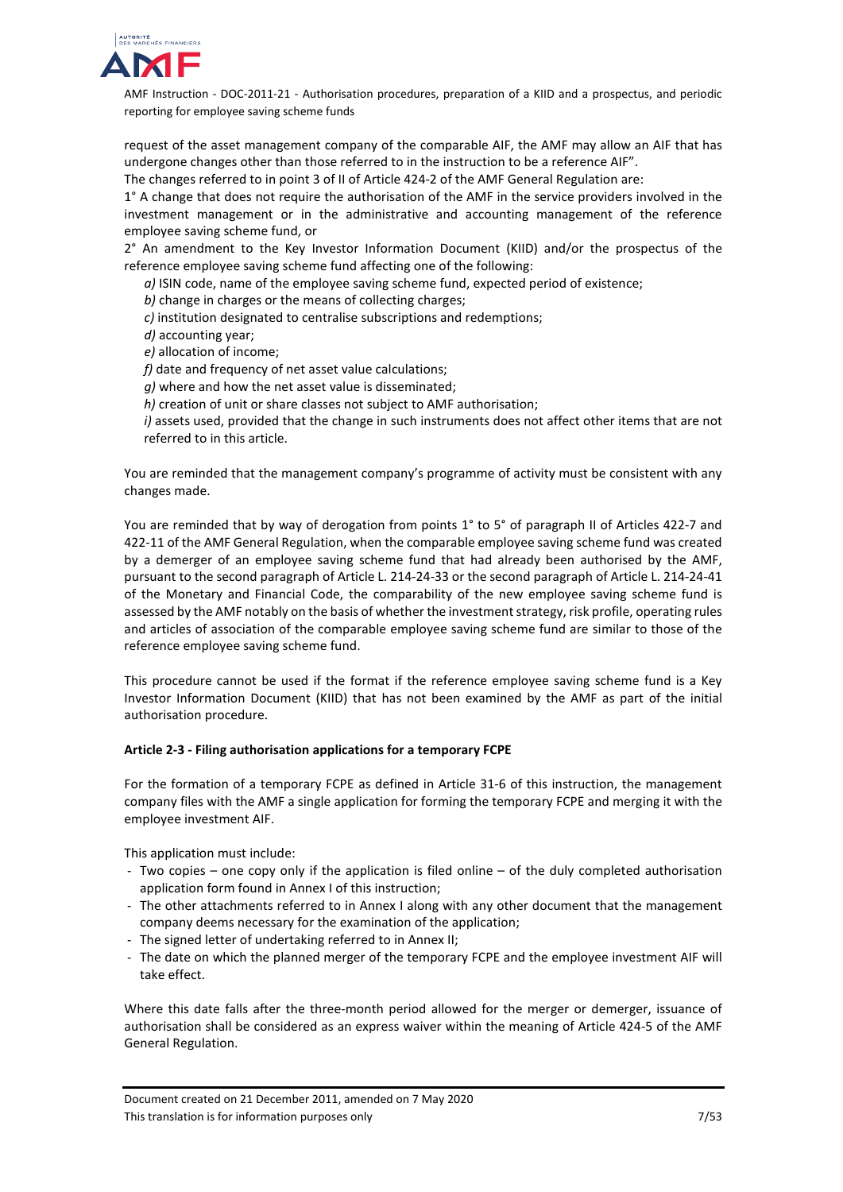

request of the asset management company of the comparable AIF, the AMF may allow an AIF that has undergone changes other than those referred to in the instruction to be a reference AIF".

The changes referred to in point 3 of II of Article 424-2 of the AMF General Regulation are:

1° A change that does not require the authorisation of the AMF in the service providers involved in the investment management or in the administrative and accounting management of the reference employee saving scheme fund, or

2° An amendment to the Key Investor Information Document (KIID) and/or the prospectus of the reference employee saving scheme fund affecting one of the following:

*a)* ISIN code, name of the employee saving scheme fund, expected period of existence;

*b)* change in charges or the means of collecting charges;

*c)* institution designated to centralise subscriptions and redemptions;

*d)* accounting year;

*e)* allocation of income;

*f)* date and frequency of net asset value calculations;

*g)* where and how the net asset value is disseminated;

*h)* creation of unit or share classes not subject to AMF authorisation;

*i)* assets used, provided that the change in such instruments does not affect other items that are not referred to in this article.

You are reminded that the management company's programme of activity must be consistent with any changes made.

You are reminded that by way of derogation from points 1° to 5° of paragraph II of Articles 422-7 and 422-11 of the AMF General Regulation, when the comparable employee saving scheme fund was created by a demerger of an employee saving scheme fund that had already been authorised by the AMF, pursuant to the second paragraph of Article L. 214-24-33 or the second paragraph of Article L. 214-24-41 of the Monetary and Financial Code, the comparability of the new employee saving scheme fund is assessed by the AMF notably on the basis of whether the investment strategy, risk profile, operating rules and articles of association of the comparable employee saving scheme fund are similar to those of the reference employee saving scheme fund.

This procedure cannot be used if the format if the reference employee saving scheme fund is a Key Investor Information Document (KIID) that has not been examined by the AMF as part of the initial authorisation procedure.

## **Article 2-3 - Filing authorisation applications for a temporary FCPE**

For the formation of a temporary FCPE as defined in Article 31-6 of this instruction, the management company files with the AMF a single application for forming the temporary FCPE and merging it with the employee investment AIF.

This application must include:

- Two copies one copy only if the application is filed online of the duly completed authorisation application form found in Annex I of this instruction;
- The other attachments referred to in Annex I along with any other document that the management company deems necessary for the examination of the application;
- The signed letter of undertaking referred to in Annex II;
- The date on which the planned merger of the temporary FCPE and the employee investment AIF will take effect.

Where this date falls after the three-month period allowed for the merger or demerger, issuance of authorisation shall be considered as an express waiver within the meaning of Article 424-5 of the AMF General Regulation.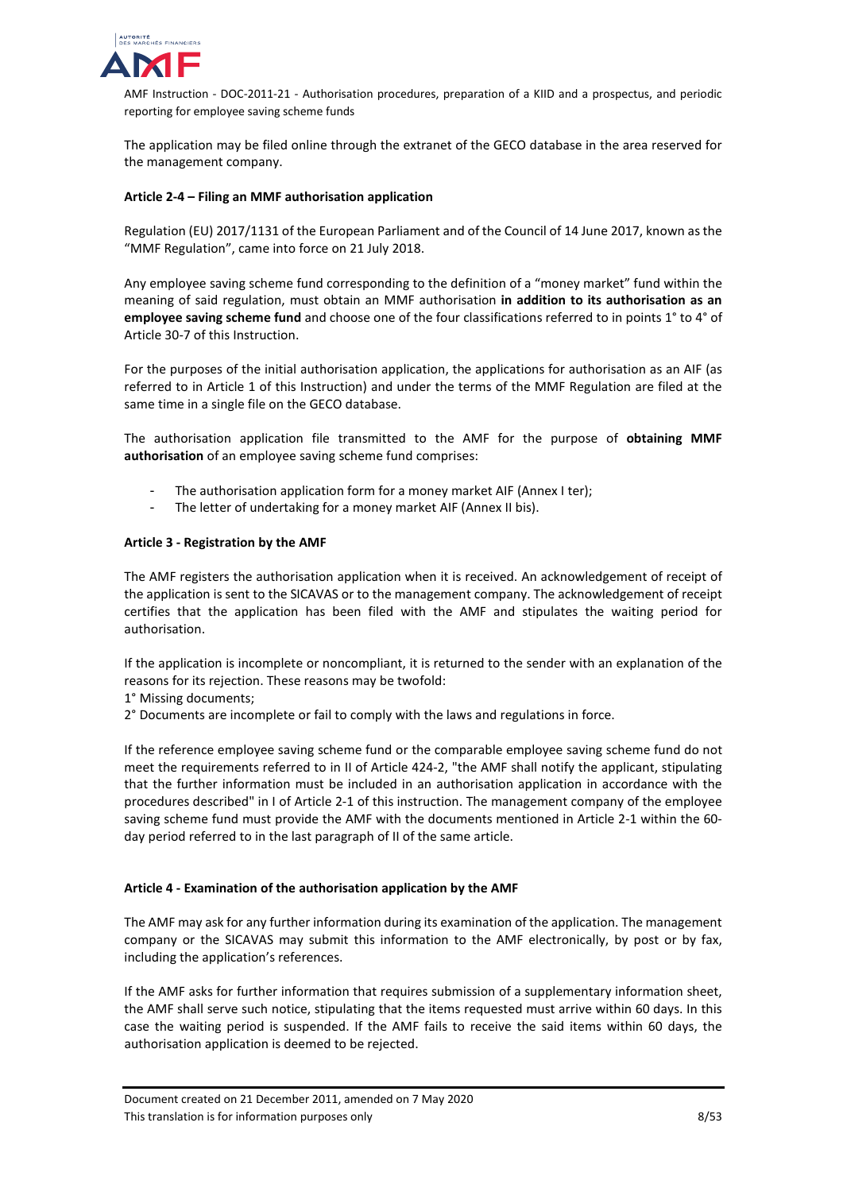

The application may be filed online through the extranet of the GECO database in the area reserved for the management company.

# **Article 2-4 – Filing an MMF authorisation application**

Regulation (EU) 2017/1131 of the European Parliament and of the Council of 14 June 2017, known as the "MMF Regulation", came into force on 21 July 2018.

Any employee saving scheme fund corresponding to the definition of a "money market" fund within the meaning of said regulation, must obtain an MMF authorisation **in addition to its authorisation as an employee saving scheme fund** and choose one of the four classifications referred to in points 1° to 4° of Article 30-7 of this Instruction.

For the purposes of the initial authorisation application, the applications for authorisation as an AIF (as referred to in Article 1 of this Instruction) and under the terms of the MMF Regulation are filed at the same time in a single file on the GECO database.

The authorisation application file transmitted to the AMF for the purpose of **obtaining MMF authorisation** of an employee saving scheme fund comprises:

- The authorisation application form for a money market AIF (Annex I ter);
- The letter of undertaking for a money market AIF (Annex II bis).

## **Article 3 - Registration by the AMF**

The AMF registers the authorisation application when it is received. An acknowledgement of receipt of the application is sent to the SICAVAS or to the management company. The acknowledgement of receipt certifies that the application has been filed with the AMF and stipulates the waiting period for authorisation.

If the application is incomplete or noncompliant, it is returned to the sender with an explanation of the reasons for its rejection. These reasons may be twofold:

- 1° Missing documents;
- 2° Documents are incomplete or fail to comply with the laws and regulations in force.

If the reference employee saving scheme fund or the comparable employee saving scheme fund do not meet the requirements referred to in II of Article 424-2, "the AMF shall notify the applicant, stipulating that the further information must be included in an authorisation application in accordance with the procedures described" in I of Article 2-1 of this instruction. The management company of the employee saving scheme fund must provide the AMF with the documents mentioned in Article 2-1 within the 60 day period referred to in the last paragraph of II of the same article.

## **Article 4 - Examination of the authorisation application by the AMF**

The AMF may ask for any further information during its examination of the application. The management company or the SICAVAS may submit this information to the AMF electronically, by post or by fax, including the application's references.

If the AMF asks for further information that requires submission of a supplementary information sheet, the AMF shall serve such notice, stipulating that the items requested must arrive within 60 days. In this case the waiting period is suspended. If the AMF fails to receive the said items within 60 days, the authorisation application is deemed to be rejected.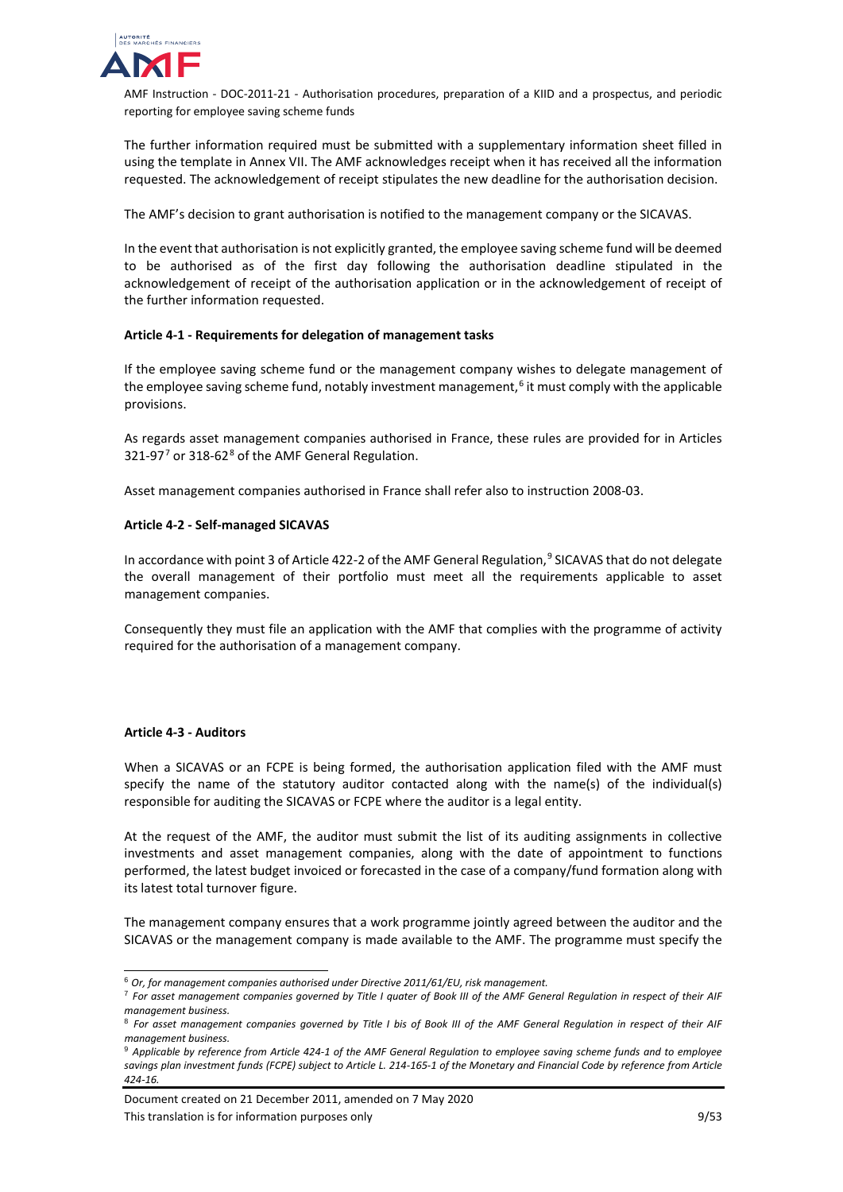

The further information required must be submitted with a supplementary information sheet filled in using the template in Annex VII. The AMF acknowledges receipt when it has received all the information requested. The acknowledgement of receipt stipulates the new deadline for the authorisation decision.

The AMF's decision to grant authorisation is notified to the management company or the SICAVAS.

In the event that authorisation is not explicitly granted, the employee saving scheme fund will be deemed to be authorised as of the first day following the authorisation deadline stipulated in the acknowledgement of receipt of the authorisation application or in the acknowledgement of receipt of the further information requested.

## **Article 4-1 - Requirements for delegation of management tasks**

If the employee saving scheme fund or the management company wishes to delegate management of the employee saving scheme fund, notably investment management,<sup>[6](#page-8-0)</sup> it must comply with the applicable provisions.

As regards asset management companies authorised in France, these rules are provided for in Articles 321-9[7](#page-8-1)<sup>7</sup> or 31[8](#page-8-2)-62<sup>8</sup> of the AMF General Regulation.

Asset management companies authorised in France shall refer also to instruction 2008-03.

#### **Article 4-2 - Self-managed SICAVAS**

In accordance with point 3 of Article 422-2 of the AMF General Regulation,<sup>[9](#page-8-3)</sup> SICAVAS that do not delegate the overall management of their portfolio must meet all the requirements applicable to asset management companies.

Consequently they must file an application with the AMF that complies with the programme of activity required for the authorisation of a management company.

## **Article 4-3 - Auditors**

When a SICAVAS or an FCPE is being formed, the authorisation application filed with the AMF must specify the name of the statutory auditor contacted along with the name(s) of the individual(s) responsible for auditing the SICAVAS or FCPE where the auditor is a legal entity.

At the request of the AMF, the auditor must submit the list of its auditing assignments in collective investments and asset management companies, along with the date of appointment to functions performed, the latest budget invoiced or forecasted in the case of a company/fund formation along with its latest total turnover figure.

The management company ensures that a work programme jointly agreed between the auditor and the SICAVAS or the management company is made available to the AMF. The programme must specify the

Document created on 21 December 2011, amended on 7 May 2020 This translation is for information purposes only example to the state of the state of 9/53

<span id="page-8-0"></span> <sup>6</sup> *Or, for management companies authorised under Directive 2011/61/EU, risk management.*

<span id="page-8-1"></span><sup>7</sup> *For asset management companies governed by Title I quater of Book III of the AMF General Regulation in respect of their AIF management business.*

<span id="page-8-2"></span><sup>8</sup> *For asset management companies governed by Title I bis of Book III of the AMF General Regulation in respect of their AIF management business.*

<span id="page-8-3"></span><sup>9</sup> *Applicable by reference from Article 424-1 of the AMF General Regulation to employee saving scheme funds and to employee savings plan investment funds (FCPE) subject to Article L. 214-165-1 of the Monetary and Financial Code by reference from Article 424-16.*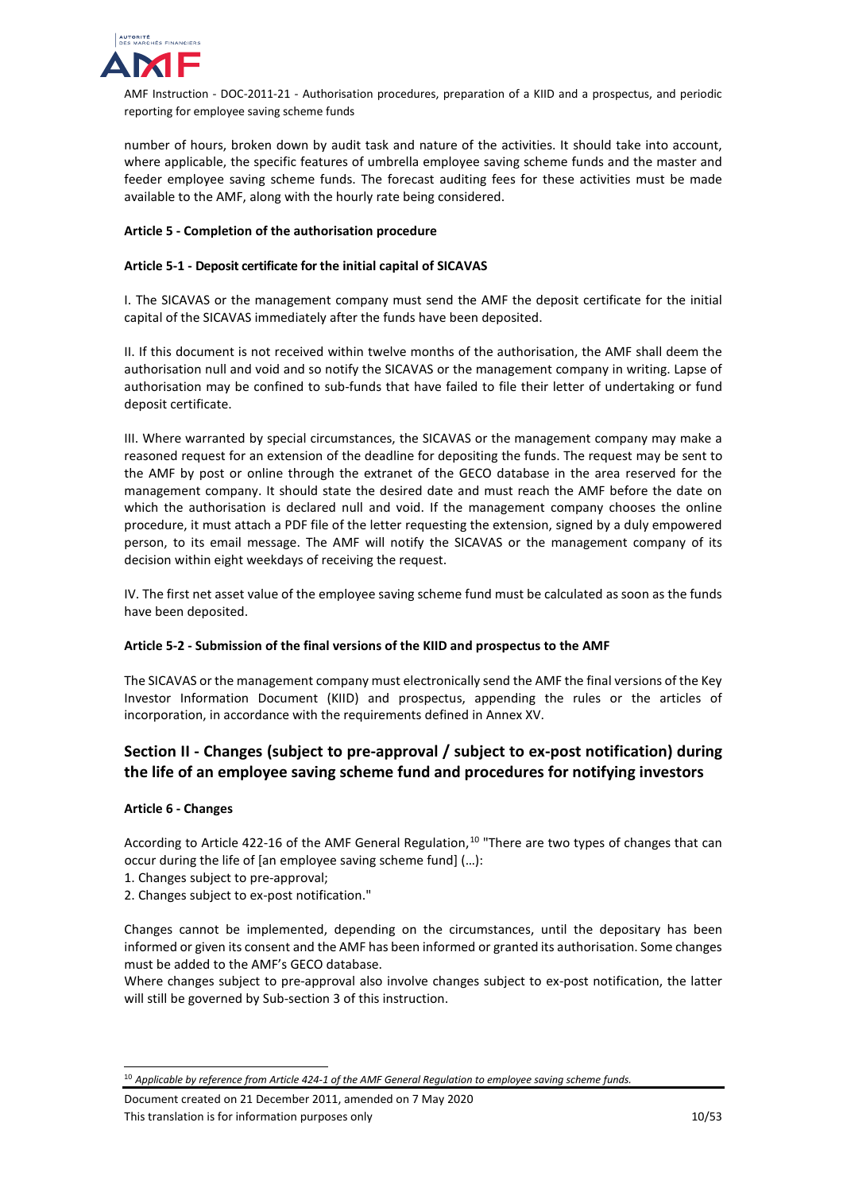

number of hours, broken down by audit task and nature of the activities. It should take into account, where applicable, the specific features of umbrella employee saving scheme funds and the master and feeder employee saving scheme funds. The forecast auditing fees for these activities must be made available to the AMF, along with the hourly rate being considered.

# **Article 5 - Completion of the authorisation procedure**

# **Article 5-1 - Deposit certificate for the initial capital of SICAVAS**

I. The SICAVAS or the management company must send the AMF the deposit certificate for the initial capital of the SICAVAS immediately after the funds have been deposited.

II. If this document is not received within twelve months of the authorisation, the AMF shall deem the authorisation null and void and so notify the SICAVAS or the management company in writing. Lapse of authorisation may be confined to sub-funds that have failed to file their letter of undertaking or fund deposit certificate.

III. Where warranted by special circumstances, the SICAVAS or the management company may make a reasoned request for an extension of the deadline for depositing the funds. The request may be sent to the AMF by post or online through the extranet of the GECO database in the area reserved for the management company. It should state the desired date and must reach the AMF before the date on which the authorisation is declared null and void. If the management company chooses the online procedure, it must attach a PDF file of the letter requesting the extension, signed by a duly empowered person, to its email message. The AMF will notify the SICAVAS or the management company of its decision within eight weekdays of receiving the request.

IV. The first net asset value of the employee saving scheme fund must be calculated as soon as the funds have been deposited.

## **Article 5-2 - Submission of the final versions of the KIID and prospectus to the AMF**

The SICAVAS or the management company must electronically send the AMF the final versions of the Key Investor Information Document (KIID) and prospectus, appending the rules or the articles of incorporation, in accordance with the requirements defined in Annex XV.

# <span id="page-9-0"></span>**Section II - Changes (subject to pre-approval / subject to ex-post notification) during the life of an employee saving scheme fund and procedures for notifying investors**

## **Article 6 - Changes**

According to Article 422-16 of the AMF General Regulation,<sup>[10](#page-9-1)</sup> "There are two types of changes that can occur during the life of [an employee saving scheme fund] (…):

- 1. Changes subject to pre-approval;
- 2. Changes subject to ex-post notification."

Changes cannot be implemented, depending on the circumstances, until the depositary has been informed or given its consent and the AMF has been informed or granted its authorisation. Some changes must be added to the AMF's GECO database.

Where changes subject to pre-approval also involve changes subject to ex-post notification, the latter will still be governed by Sub-section 3 of this instruction.

<span id="page-9-1"></span> <sup>10</sup> *Applicable by reference from Article 424-1 of the AMF General Regulation to employee saving scheme funds.*

Document created on 21 December 2011, amended on 7 May 2020 This translation is for information purposes only 10/53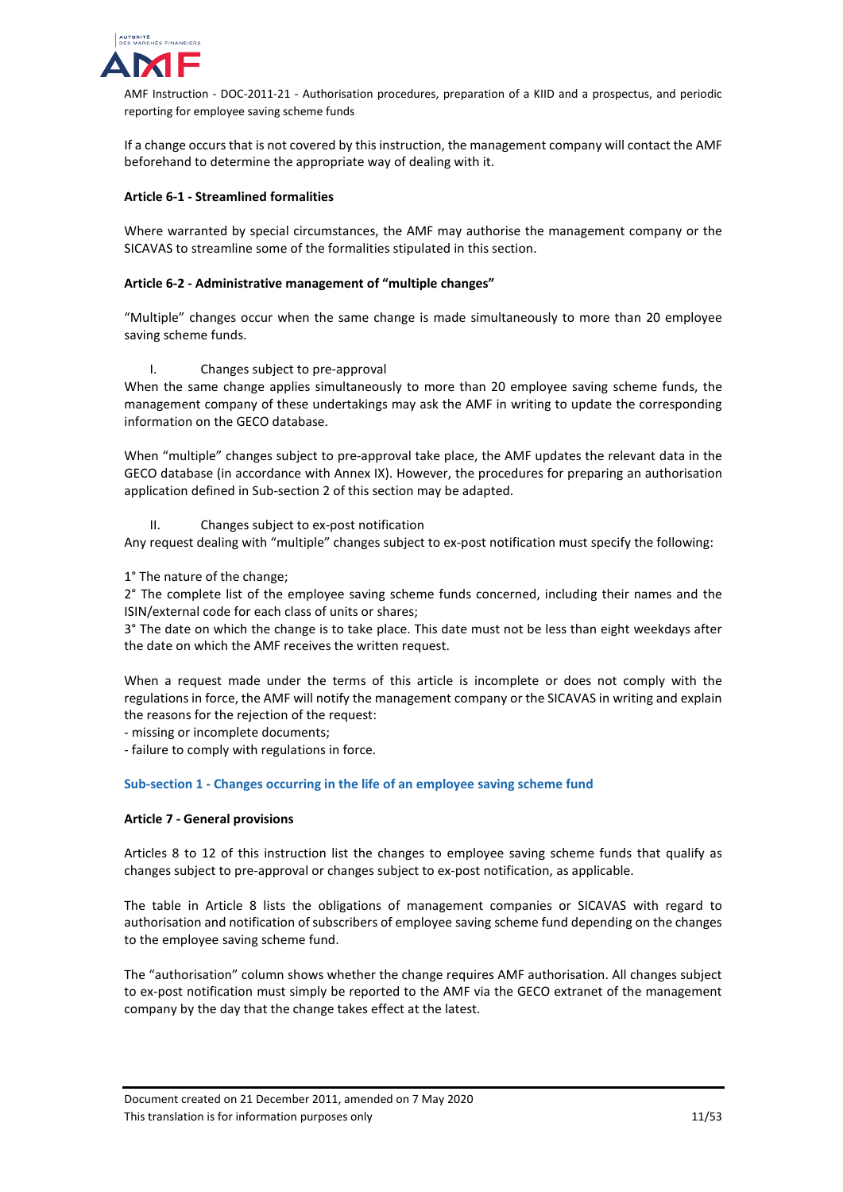

If a change occurs that is not covered by this instruction, the management company will contact the AMF beforehand to determine the appropriate way of dealing with it.

# **Article 6-1 - Streamlined formalities**

Where warranted by special circumstances, the AMF may authorise the management company or the SICAVAS to streamline some of the formalities stipulated in this section.

# **Article 6-2 - Administrative management of "multiple changes"**

"Multiple" changes occur when the same change is made simultaneously to more than 20 employee saving scheme funds.

## I. Changes subject to pre-approval

When the same change applies simultaneously to more than 20 employee saving scheme funds, the management company of these undertakings may ask the AMF in writing to update the corresponding information on the GECO database.

When "multiple" changes subject to pre-approval take place, the AMF updates the relevant data in the GECO database (in accordance with Annex IX). However, the procedures for preparing an authorisation application defined in Sub-section 2 of this section may be adapted.

## II. Changes subject to ex-post notification

Any request dealing with "multiple" changes subject to ex-post notification must specify the following:

1° The nature of the change;

2° The complete list of the employee saving scheme funds concerned, including their names and the ISIN/external code for each class of units or shares;

3° The date on which the change is to take place. This date must not be less than eight weekdays after the date on which the AMF receives the written request.

When a request made under the terms of this article is incomplete or does not comply with the regulations in force, the AMF will notify the management company or the SICAVAS in writing and explain the reasons for the rejection of the request:

- missing or incomplete documents;

- failure to comply with regulations in force.

## <span id="page-10-0"></span>**Sub-section 1 - Changes occurring in the life of an employee saving scheme fund**

## **Article 7 - General provisions**

Articles 8 to 12 of this instruction list the changes to employee saving scheme funds that qualify as changes subject to pre-approval or changes subject to ex-post notification, as applicable.

The table in Article 8 lists the obligations of management companies or SICAVAS with regard to authorisation and notification of subscribers of employee saving scheme fund depending on the changes to the employee saving scheme fund.

The "authorisation" column shows whether the change requires AMF authorisation. All changes subject to ex-post notification must simply be reported to the AMF via the GECO extranet of the management company by the day that the change takes effect at the latest.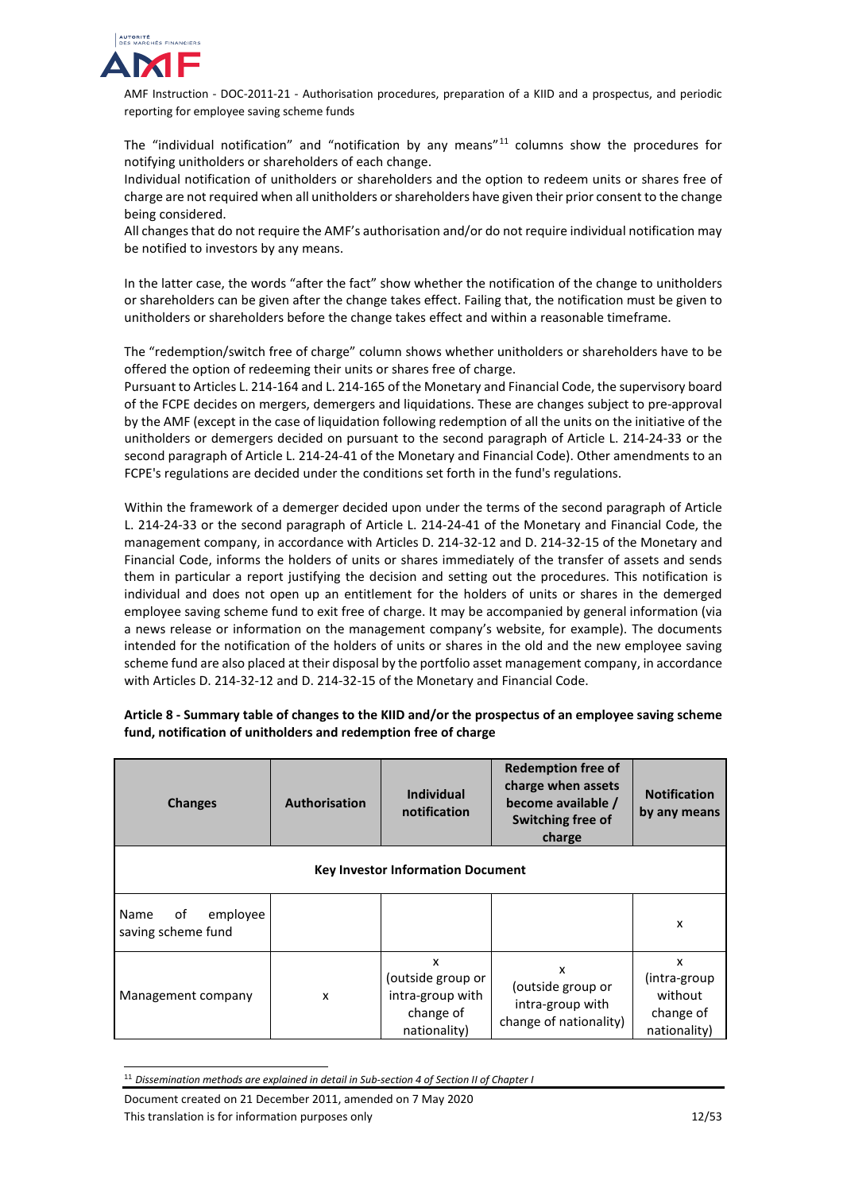

The "individual notification" and "notification by any means" $11$  columns show the procedures for notifying unitholders or shareholders of each change.

Individual notification of unitholders or shareholders and the option to redeem units or shares free of charge are not required when all unitholders or shareholders have given their prior consent to the change being considered.

All changes that do not require the AMF's authorisation and/or do not require individual notification may be notified to investors by any means.

In the latter case, the words "after the fact" show whether the notification of the change to unitholders or shareholders can be given after the change takes effect. Failing that, the notification must be given to unitholders or shareholders before the change takes effect and within a reasonable timeframe.

The "redemption/switch free of charge" column shows whether unitholders or shareholders have to be offered the option of redeeming their units or shares free of charge.

Pursuant to Articles L. 214-164 and L. 214-165 of the Monetary and Financial Code, the supervisory board of the FCPE decides on mergers, demergers and liquidations. These are changes subject to pre-approval by the AMF (except in the case of liquidation following redemption of all the units on the initiative of the unitholders or demergers decided on pursuant to the second paragraph of Article L. 214-24-33 or the second paragraph of Article L. 214-24-41 of the Monetary and Financial Code). Other amendments to an FCPE's regulations are decided under the conditions set forth in the fund's regulations.

Within the framework of a demerger decided upon under the terms of the second paragraph of Article L. 214-24-33 or the second paragraph of Article L. 214-24-41 of the Monetary and Financial Code, the management company, in accordance with Articles D. 214-32-12 and D. 214-32-15 of the Monetary and Financial Code, informs the holders of units or shares immediately of the transfer of assets and sends them in particular a report justifying the decision and setting out the procedures. This notification is individual and does not open up an entitlement for the holders of units or shares in the demerged employee saving scheme fund to exit free of charge. It may be accompanied by general information (via a news release or information on the management company's website, for example). The documents intended for the notification of the holders of units or shares in the old and the new employee saving scheme fund are also placed at their disposal by the portfolio asset management company, in accordance with Articles D. 214-32-12 and D. 214-32-15 of the Monetary and Financial Code.

| <b>Changes</b>                               | Authorisation | Individual<br>notification                                              | <b>Redemption free of</b><br>charge when assets<br>become available /<br>Switching free of<br>charge | <b>Notification</b><br>by any means                        |  |
|----------------------------------------------|---------------|-------------------------------------------------------------------------|------------------------------------------------------------------------------------------------------|------------------------------------------------------------|--|
| <b>Key Investor Information Document</b>     |               |                                                                         |                                                                                                      |                                                            |  |
| of<br>employee<br>Name<br>saving scheme fund |               |                                                                         |                                                                                                      | X                                                          |  |
| Management company                           | x             | x<br>(outside group or<br>intra-group with<br>change of<br>nationality) | x<br>(outside group or<br>intra-group with<br>change of nationality)                                 | x<br>(intra-group)<br>without<br>change of<br>nationality) |  |

# **Article 8 - Summary table of changes to the KIID and/or the prospectus of an employee saving scheme fund, notification of unitholders and redemption free of charge**

Document created on 21 December 2011, amended on 7 May 2020 This translation is for information purposes only 12/53

<span id="page-11-0"></span> <sup>11</sup> *Dissemination methods are explained in detail in Sub-section 4 of Section II of Chapter I*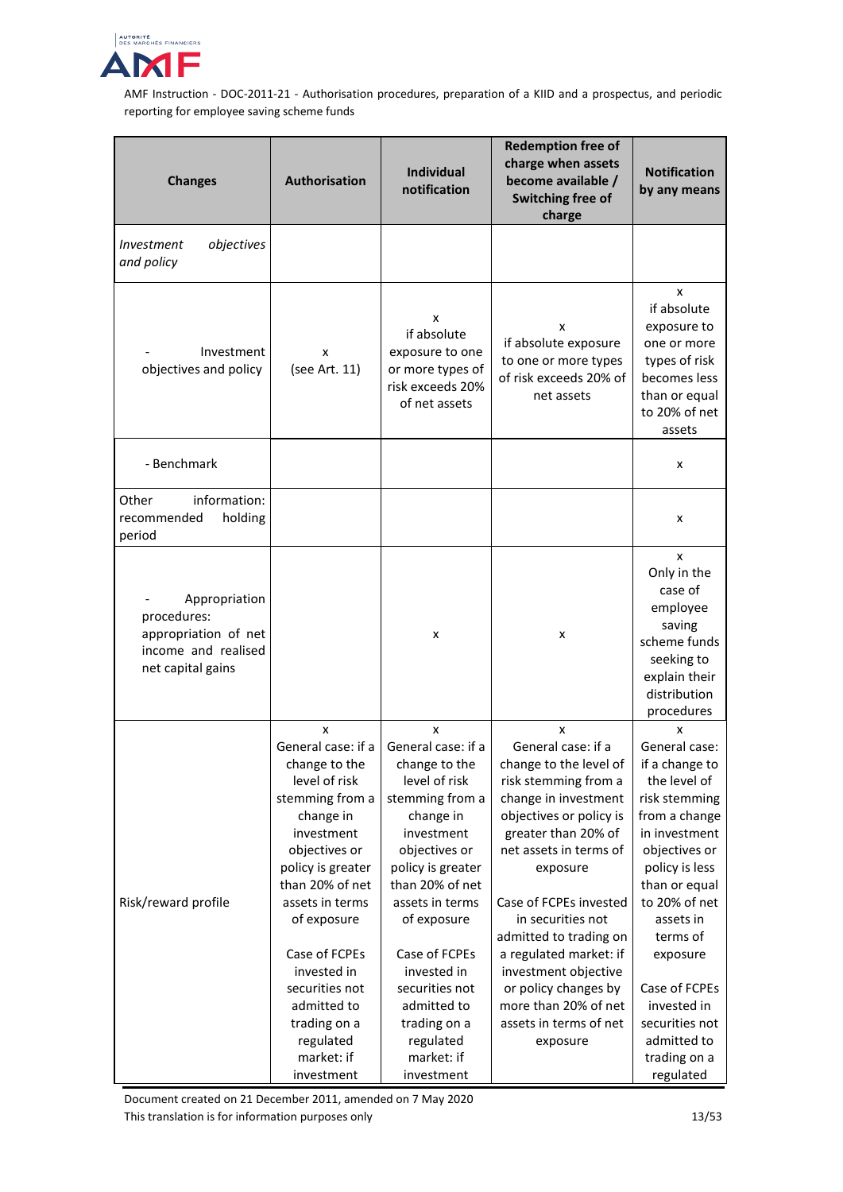

| <b>Changes</b>                                                                                   | Authorisation                                                                                                                                                                                                                                                                                                                | Individual<br>notification                                                                                                                                                                                                                                                                                                   | <b>Redemption free of</b><br>charge when assets<br>become available /<br>Switching free of<br>charge                                                                                                                                                                                                                                                                                                       | <b>Notification</b><br>by any means                                                                                                                                                                                                                                                                             |
|--------------------------------------------------------------------------------------------------|------------------------------------------------------------------------------------------------------------------------------------------------------------------------------------------------------------------------------------------------------------------------------------------------------------------------------|------------------------------------------------------------------------------------------------------------------------------------------------------------------------------------------------------------------------------------------------------------------------------------------------------------------------------|------------------------------------------------------------------------------------------------------------------------------------------------------------------------------------------------------------------------------------------------------------------------------------------------------------------------------------------------------------------------------------------------------------|-----------------------------------------------------------------------------------------------------------------------------------------------------------------------------------------------------------------------------------------------------------------------------------------------------------------|
| objectives<br><i>Investment</i><br>and policy                                                    |                                                                                                                                                                                                                                                                                                                              |                                                                                                                                                                                                                                                                                                                              |                                                                                                                                                                                                                                                                                                                                                                                                            |                                                                                                                                                                                                                                                                                                                 |
| Investment<br>objectives and policy                                                              | x<br>(see Art. 11)                                                                                                                                                                                                                                                                                                           | x<br>if absolute<br>exposure to one<br>or more types of<br>risk exceeds 20%<br>of net assets                                                                                                                                                                                                                                 | x<br>if absolute exposure<br>to one or more types<br>of risk exceeds 20% of<br>net assets                                                                                                                                                                                                                                                                                                                  | x<br>if absolute<br>exposure to<br>one or more<br>types of risk<br>becomes less<br>than or equal<br>to 20% of net<br>assets                                                                                                                                                                                     |
| - Benchmark                                                                                      |                                                                                                                                                                                                                                                                                                                              |                                                                                                                                                                                                                                                                                                                              |                                                                                                                                                                                                                                                                                                                                                                                                            | x                                                                                                                                                                                                                                                                                                               |
| Other<br>information:<br>holding<br>recommended<br>period                                        |                                                                                                                                                                                                                                                                                                                              |                                                                                                                                                                                                                                                                                                                              |                                                                                                                                                                                                                                                                                                                                                                                                            | x                                                                                                                                                                                                                                                                                                               |
| Appropriation<br>procedures:<br>appropriation of net<br>income and realised<br>net capital gains |                                                                                                                                                                                                                                                                                                                              | x                                                                                                                                                                                                                                                                                                                            | x                                                                                                                                                                                                                                                                                                                                                                                                          | x<br>Only in the<br>case of<br>employee<br>saving<br>scheme funds<br>seeking to<br>explain their<br>distribution<br>procedures                                                                                                                                                                                  |
| Risk/reward profile                                                                              | x<br>General case: if a<br>change to the<br>level of risk<br>stemming from a<br>change in<br>investment<br>objectives or<br>policy is greater<br>than 20% of net<br>assets in terms<br>of exposure<br>Case of FCPEs<br>invested in<br>securities not<br>admitted to<br>trading on a<br>regulated<br>market: if<br>investment | x<br>General case: if a<br>change to the<br>level of risk<br>stemming from a<br>change in<br>investment<br>objectives or<br>policy is greater<br>than 20% of net<br>assets in terms<br>of exposure<br>Case of FCPEs<br>invested in<br>securities not<br>admitted to<br>trading on a<br>regulated<br>market: if<br>investment | x<br>General case: if a<br>change to the level of<br>risk stemming from a<br>change in investment<br>objectives or policy is<br>greater than 20% of<br>net assets in terms of<br>exposure<br>Case of FCPEs invested<br>in securities not<br>admitted to trading on<br>a regulated market: if<br>investment objective<br>or policy changes by<br>more than 20% of net<br>assets in terms of net<br>exposure | x<br>General case:<br>if a change to<br>the level of<br>risk stemming<br>from a change<br>in investment<br>objectives or<br>policy is less<br>than or equal<br>to 20% of net<br>assets in<br>terms of<br>exposure<br>Case of FCPEs<br>invested in<br>securities not<br>admitted to<br>trading on a<br>regulated |

Document created on 21 December 2011, amended on 7 May 2020 This translation is for information purposes only 13/53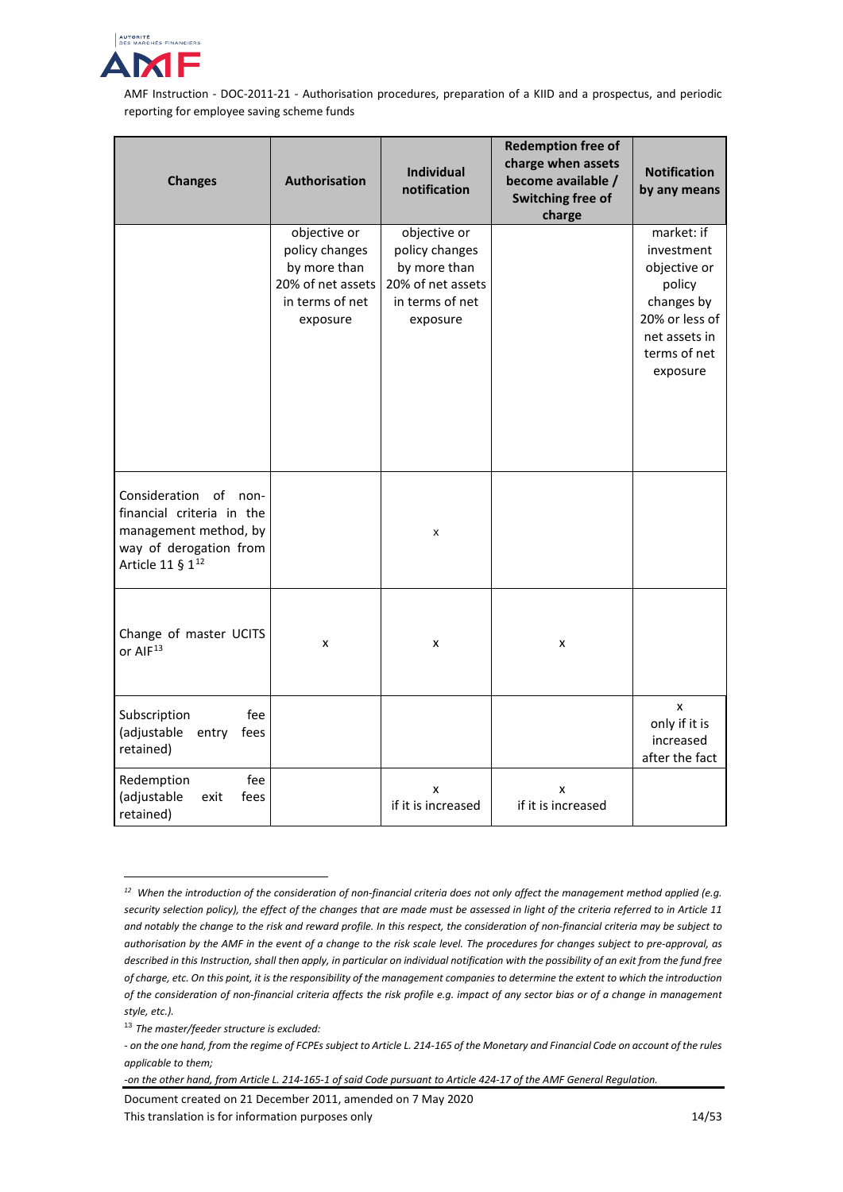

| <b>Changes</b>                                                                                                                        | Authorisation                                                                                      | <b>Individual</b><br>notification                                                                  | <b>Redemption free of</b><br>charge when assets<br>become available /<br>Switching free of<br>charge | <b>Notification</b><br>by any means                                                                                             |
|---------------------------------------------------------------------------------------------------------------------------------------|----------------------------------------------------------------------------------------------------|----------------------------------------------------------------------------------------------------|------------------------------------------------------------------------------------------------------|---------------------------------------------------------------------------------------------------------------------------------|
|                                                                                                                                       | objective or<br>policy changes<br>by more than<br>20% of net assets<br>in terms of net<br>exposure | objective or<br>policy changes<br>by more than<br>20% of net assets<br>in terms of net<br>exposure |                                                                                                      | market: if<br>investment<br>objective or<br>policy<br>changes by<br>20% or less of<br>net assets in<br>terms of net<br>exposure |
| Consideration of non-<br>financial criteria in the<br>management method, by<br>way of derogation from<br>Article 11 § 1 <sup>12</sup> |                                                                                                    | x                                                                                                  |                                                                                                      |                                                                                                                                 |
| Change of master UCITS<br>or AIF <sup>13</sup>                                                                                        | x                                                                                                  | x                                                                                                  | x                                                                                                    |                                                                                                                                 |
| Subscription<br>fee<br>(adjustable<br>entry<br>fees<br>retained)                                                                      |                                                                                                    |                                                                                                    |                                                                                                      | X<br>only if it is<br>increased<br>after the fact                                                                               |
| Redemption<br>fee<br>(adjustable<br>exit<br>fees<br>retained)                                                                         |                                                                                                    | X<br>if it is increased                                                                            | x<br>if it is increased                                                                              |                                                                                                                                 |

<span id="page-13-0"></span>*<sup>12</sup> When the introduction of the consideration of non-financial criteria does not only affect the management method applied (e.g. security selection policy), the effect of the changes that are made must be assessed in light of the criteria referred to in Article 11 and notably the change to the risk and reward profile. In this respect, the consideration of non-financial criteria may be subject to authorisation by the AMF in the event of a change to the risk scale level. The procedures for changes subject to pre-approval, as described in this Instruction, shall then apply, in particular on individual notification with the possibility of an exit from the fund free of charge, etc. On this point, it is the responsibility of the management companies to determine the extent to which the introduction of the consideration of non-financial criteria affects the risk profile e.g. impact of any sector bias or of a change in management style, etc.).*

j

Document created on 21 December 2011, amended on 7 May 2020 This translation is for information purposes only 14/53

<span id="page-13-1"></span><sup>13</sup> *The master/feeder structure is excluded:* 

*<sup>-</sup> on the one hand, from the regime of FCPEs subject to Article L. 214-165 of the Monetary and Financial Code on account of the rules applicable to them;* 

*<sup>-</sup>on the other hand, from Article L. 214-165-1 of said Code pursuant to Article 424-17 of the AMF General Regulation.*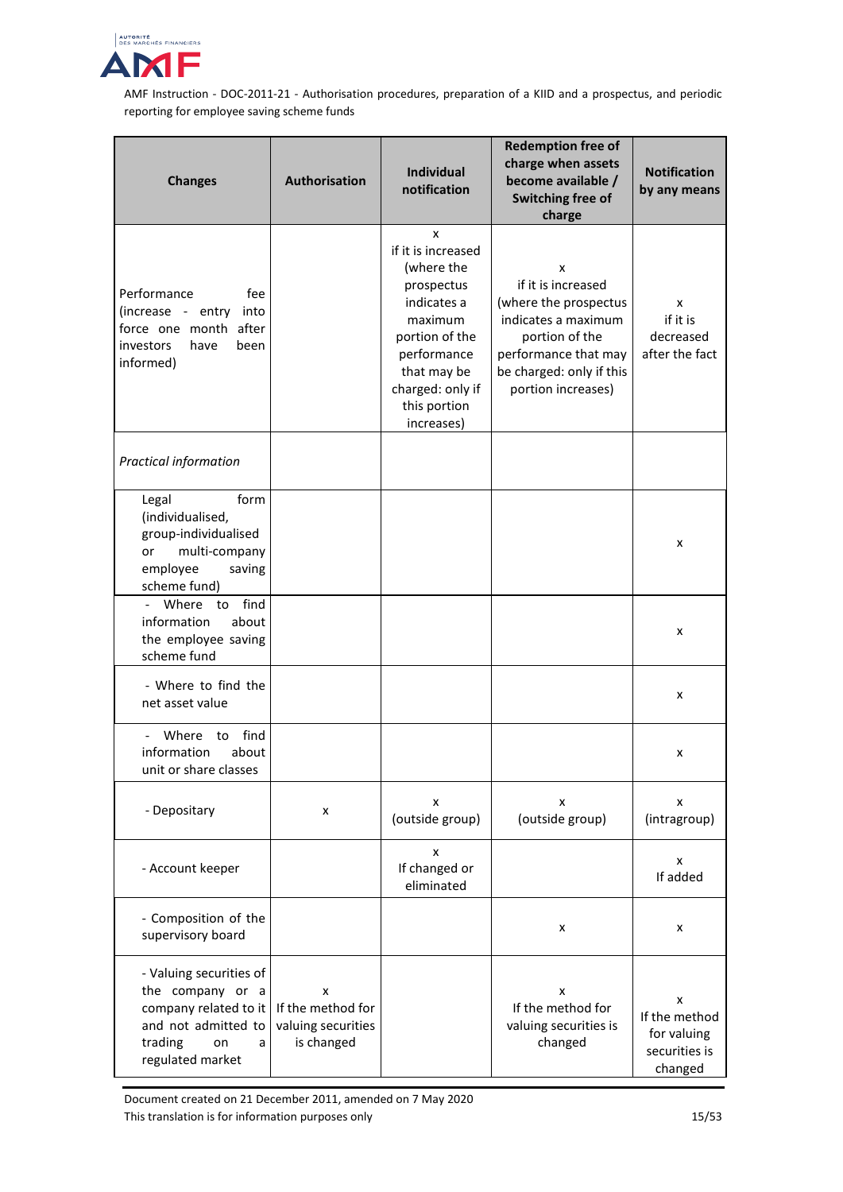

| <b>Changes</b>                                                                                                                        | <b>Authorisation</b>                                       | <b>Individual</b><br>notification                                                                                                                                               | <b>Redemption free of</b><br>charge when assets<br>become available /<br>Switching free of<br>charge                                                                | <b>Notification</b><br>by any means                           |
|---------------------------------------------------------------------------------------------------------------------------------------|------------------------------------------------------------|---------------------------------------------------------------------------------------------------------------------------------------------------------------------------------|---------------------------------------------------------------------------------------------------------------------------------------------------------------------|---------------------------------------------------------------|
| Performance<br>fee<br>(increase - entry<br>into<br>force one month after<br>investors<br>have<br>been<br>informed)                    |                                                            | X<br>if it is increased<br>(where the<br>prospectus<br>indicates a<br>maximum<br>portion of the<br>performance<br>that may be<br>charged: only if<br>this portion<br>increases) | x<br>if it is increased<br>(where the prospectus<br>indicates a maximum<br>portion of the<br>performance that may<br>be charged: only if this<br>portion increases) | x<br>if it is<br>decreased<br>after the fact                  |
| Practical information                                                                                                                 |                                                            |                                                                                                                                                                                 |                                                                                                                                                                     |                                                               |
| form<br>Legal<br>(individualised,<br>group-individualised<br>multi-company<br>or<br>employee<br>saving<br>scheme fund)                |                                                            |                                                                                                                                                                                 |                                                                                                                                                                     | x                                                             |
| find<br>Where<br>to<br>information<br>about<br>the employee saving<br>scheme fund                                                     |                                                            |                                                                                                                                                                                 |                                                                                                                                                                     | x                                                             |
| - Where to find the<br>net asset value                                                                                                |                                                            |                                                                                                                                                                                 |                                                                                                                                                                     | x                                                             |
| - Where<br>find<br>to<br>information<br>about<br>unit or share classes                                                                |                                                            |                                                                                                                                                                                 |                                                                                                                                                                     | x                                                             |
| - Depositary                                                                                                                          | x                                                          | x<br>(outside group)                                                                                                                                                            | x<br>(outside group)                                                                                                                                                | x<br>(intragroup)                                             |
| - Account keeper                                                                                                                      |                                                            | x<br>If changed or<br>eliminated                                                                                                                                                |                                                                                                                                                                     | x<br>If added                                                 |
| - Composition of the<br>supervisory board                                                                                             |                                                            |                                                                                                                                                                                 | x                                                                                                                                                                   | x                                                             |
| - Valuing securities of<br>the company or a<br>company related to it<br>and not admitted to<br>trading<br>on<br>a<br>regulated market | x<br>If the method for<br>valuing securities<br>is changed |                                                                                                                                                                                 | x<br>If the method for<br>valuing securities is<br>changed                                                                                                          | x<br>If the method<br>for valuing<br>securities is<br>changed |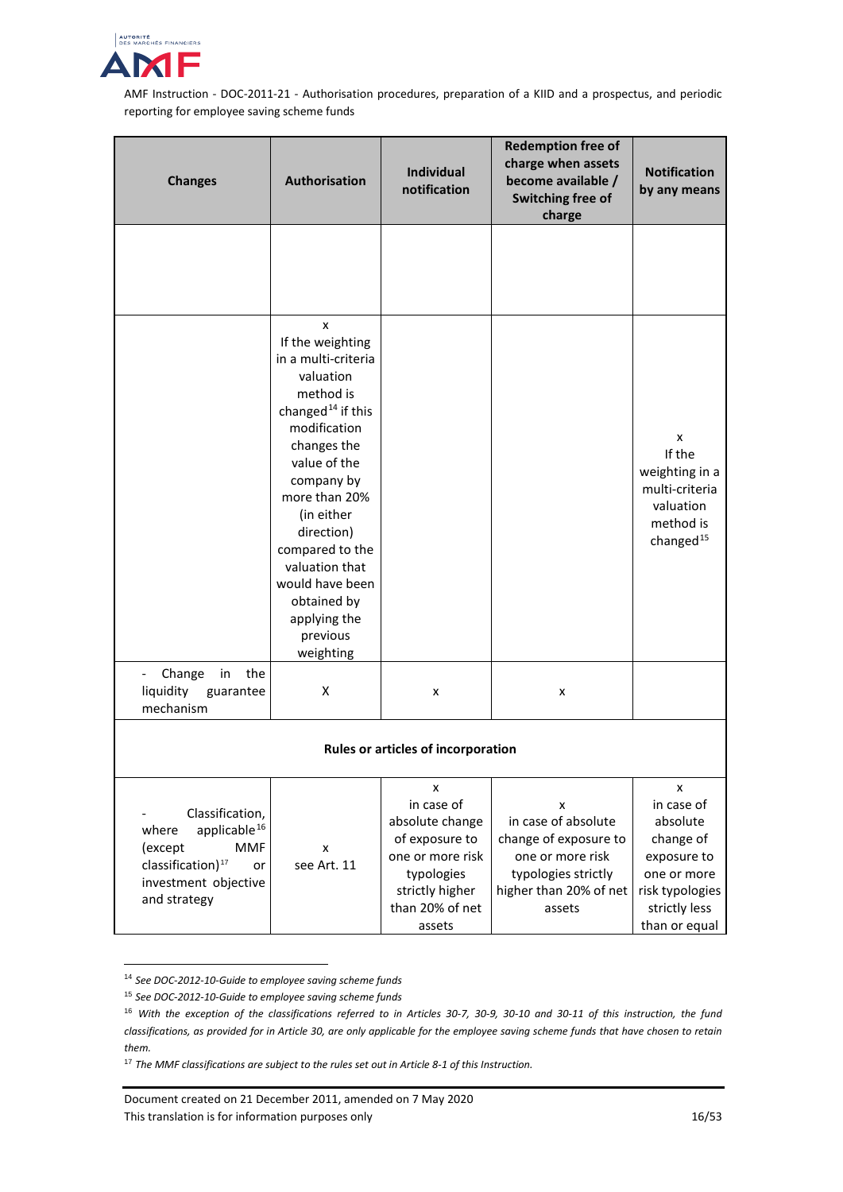

| <b>Changes</b>                                                                                                                                      | <b>Authorisation</b>                                                                                                                                                                                                                                                                                                              | <b>Individual</b><br>notification                                                                                                      | <b>Redemption free of</b><br>charge when assets<br>become available /<br>Switching free of<br>charge                             | <b>Notification</b><br>by any means                                                                                         |
|-----------------------------------------------------------------------------------------------------------------------------------------------------|-----------------------------------------------------------------------------------------------------------------------------------------------------------------------------------------------------------------------------------------------------------------------------------------------------------------------------------|----------------------------------------------------------------------------------------------------------------------------------------|----------------------------------------------------------------------------------------------------------------------------------|-----------------------------------------------------------------------------------------------------------------------------|
|                                                                                                                                                     |                                                                                                                                                                                                                                                                                                                                   |                                                                                                                                        |                                                                                                                                  |                                                                                                                             |
|                                                                                                                                                     | X<br>If the weighting<br>in a multi-criteria<br>valuation<br>method is<br>changed <sup>14</sup> if this<br>modification<br>changes the<br>value of the<br>company by<br>more than 20%<br>(in either<br>direction)<br>compared to the<br>valuation that<br>would have been<br>obtained by<br>applying the<br>previous<br>weighting |                                                                                                                                        |                                                                                                                                  | X<br>If the<br>weighting in a<br>multi-criteria<br>valuation<br>method is<br>changed $15$                                   |
| Change<br>in<br>the<br>liquidity guarantee<br>mechanism                                                                                             | X                                                                                                                                                                                                                                                                                                                                 | x                                                                                                                                      | x                                                                                                                                |                                                                                                                             |
| Rules or articles of incorporation                                                                                                                  |                                                                                                                                                                                                                                                                                                                                   |                                                                                                                                        |                                                                                                                                  |                                                                                                                             |
| Classification,<br>applicable $16$<br>where<br><b>MMF</b><br>(except<br>classification) <sup>17</sup><br>or<br>investment objective<br>and strategy | x<br>see Art. 11                                                                                                                                                                                                                                                                                                                  | x<br>in case of<br>absolute change<br>of exposure to<br>one or more risk<br>typologies<br>strictly higher<br>than 20% of net<br>assets | x<br>in case of absolute<br>change of exposure to<br>one or more risk<br>typologies strictly<br>higher than 20% of net<br>assets | x<br>in case of<br>absolute<br>change of<br>exposure to<br>one or more<br>risk typologies<br>strictly less<br>than or equal |

<span id="page-15-0"></span> <sup>14</sup> *See DOC-2012-10-Guide to employee saving scheme funds*

<span id="page-15-1"></span><sup>15</sup> *See DOC-2012-10-Guide to employee saving scheme funds*

<span id="page-15-2"></span><sup>16</sup> *With the exception of the classifications referred to in Articles 30-7, 30-9, 30-10 and 30-11 of this instruction, the fund classifications, as provided for in Article 30, are only applicable for the employee saving scheme funds that have chosen to retain them.* 

<span id="page-15-3"></span><sup>17</sup> *The MMF classifications are subject to the rules set out in Article 8-1 of this Instruction.*

Document created on 21 December 2011, amended on 7 May 2020 This translation is for information purposes only 16/53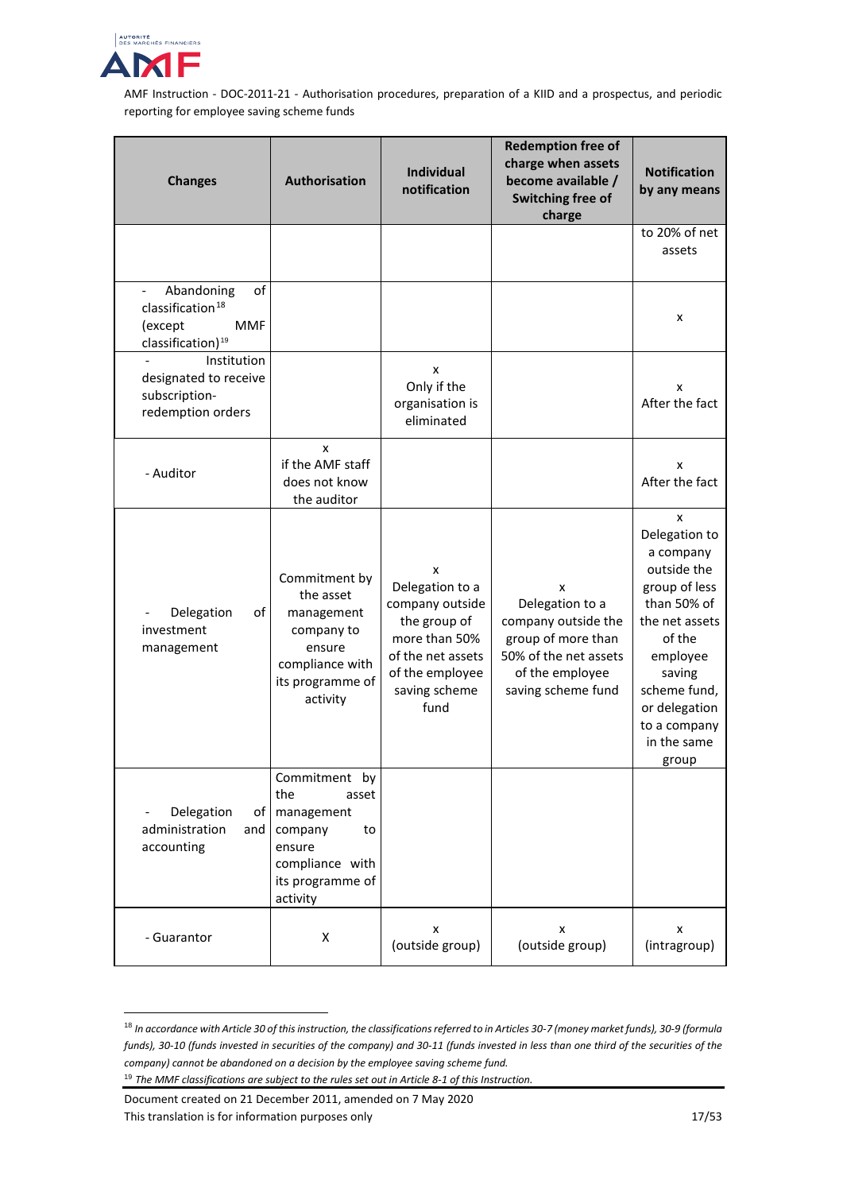

| <b>Changes</b>                                                                                             | Authorisation                                                                                                             | <b>Individual</b><br>notification                                                                                                         | <b>Redemption free of</b><br>charge when assets<br>become available /<br>Switching free of<br>charge                                | <b>Notification</b><br>by any means                                                                                                                                                                       |
|------------------------------------------------------------------------------------------------------------|---------------------------------------------------------------------------------------------------------------------------|-------------------------------------------------------------------------------------------------------------------------------------------|-------------------------------------------------------------------------------------------------------------------------------------|-----------------------------------------------------------------------------------------------------------------------------------------------------------------------------------------------------------|
|                                                                                                            |                                                                                                                           |                                                                                                                                           |                                                                                                                                     | to 20% of net<br>assets                                                                                                                                                                                   |
| Abandoning<br>of<br>classification <sup>18</sup><br>(except<br><b>MMF</b><br>classification) <sup>19</sup> |                                                                                                                           |                                                                                                                                           |                                                                                                                                     | x                                                                                                                                                                                                         |
| Institution<br>designated to receive<br>subscription-<br>redemption orders                                 |                                                                                                                           | x<br>Only if the<br>organisation is<br>eliminated                                                                                         |                                                                                                                                     | x<br>After the fact                                                                                                                                                                                       |
| - Auditor                                                                                                  | X<br>if the AMF staff<br>does not know<br>the auditor                                                                     |                                                                                                                                           |                                                                                                                                     | x<br>After the fact                                                                                                                                                                                       |
| of<br>Delegation<br>investment<br>management                                                               | Commitment by<br>the asset<br>management<br>company to<br>ensure<br>compliance with<br>its programme of<br>activity       | x<br>Delegation to a<br>company outside<br>the group of<br>more than 50%<br>of the net assets<br>of the employee<br>saving scheme<br>fund | x<br>Delegation to a<br>company outside the<br>group of more than<br>50% of the net assets<br>of the employee<br>saving scheme fund | x<br>Delegation to<br>a company<br>outside the<br>group of less<br>than 50% of<br>the net assets<br>of the<br>employee<br>saving<br>scheme fund,<br>or delegation<br>to a company<br>in the same<br>group |
| Delegation<br>of<br>administration<br>and<br>accounting                                                    | Commitment by<br>the<br>asset<br>management<br>company<br>to<br>ensure<br>compliance with<br>its programme of<br>activity |                                                                                                                                           |                                                                                                                                     |                                                                                                                                                                                                           |
| - Guarantor                                                                                                | X                                                                                                                         | x<br>(outside group)                                                                                                                      | x<br>(outside group)                                                                                                                | x<br>(intragroup)                                                                                                                                                                                         |

<span id="page-16-0"></span> <sup>18</sup> *In accordance with Article 30 of this instruction, the classifications referred to in Articles 30-7 (money market funds), 30-9 (formula funds), 30-10 (funds invested in securities of the company) and 30-11 (funds invested in less than one third of the securities of the company) cannot be abandoned on a decision by the employee saving scheme fund.*

<span id="page-16-1"></span><sup>19</sup> *The MMF classifications are subject to the rules set out in Article 8-1 of this Instruction.*

Document created on 21 December 2011, amended on 7 May 2020 This translation is for information purposes only 17/53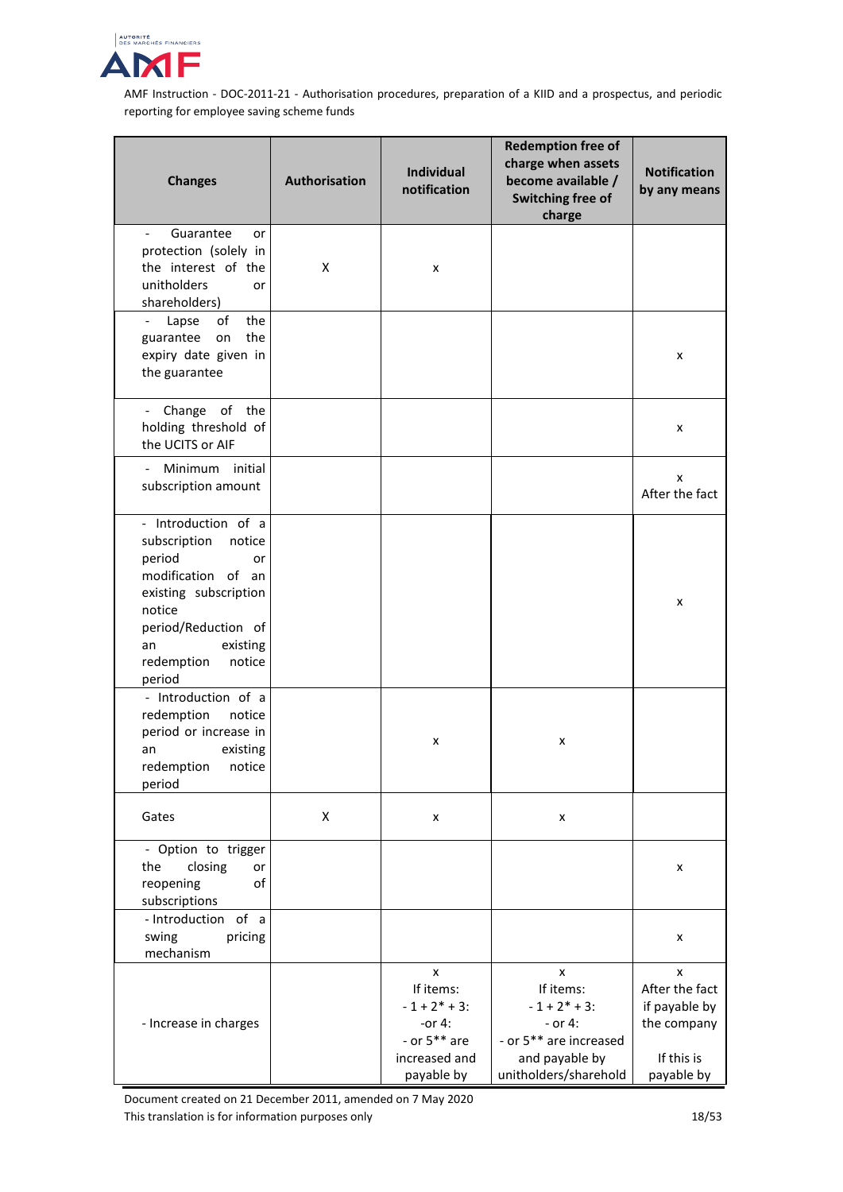

| <b>Changes</b>                                                                                                                                                                                    | Authorisation | Individual<br>notification                                                                      | <b>Redemption free of</b><br>charge when assets<br>become available /<br>Switching free of<br>charge                 | <b>Notification</b><br>by any means                                             |
|---------------------------------------------------------------------------------------------------------------------------------------------------------------------------------------------------|---------------|-------------------------------------------------------------------------------------------------|----------------------------------------------------------------------------------------------------------------------|---------------------------------------------------------------------------------|
| Guarantee<br>$\overline{\phantom{a}}$<br>or<br>protection (solely in                                                                                                                              |               |                                                                                                 |                                                                                                                      |                                                                                 |
| the interest of the<br>unitholders<br>or<br>shareholders)                                                                                                                                         | X             | x                                                                                               |                                                                                                                      |                                                                                 |
| of<br>the<br>Lapse<br>$\blacksquare$<br>the<br>guarantee<br>on<br>expiry date given in<br>the guarantee                                                                                           |               |                                                                                                 |                                                                                                                      | x                                                                               |
| - Change of the<br>holding threshold of<br>the UCITS or AIF                                                                                                                                       |               |                                                                                                 |                                                                                                                      | x                                                                               |
| Minimum initial<br>subscription amount                                                                                                                                                            |               |                                                                                                 |                                                                                                                      | x<br>After the fact                                                             |
| - Introduction of a<br>subscription<br>notice<br>period<br>or<br>modification of an<br>existing subscription<br>notice<br>period/Reduction of<br>existing<br>an<br>redemption<br>notice<br>period |               |                                                                                                 |                                                                                                                      | x                                                                               |
| - Introduction of a<br>redemption<br>notice<br>period or increase in<br>existing<br>an<br>notice<br>redemption<br>period                                                                          |               | x                                                                                               | x                                                                                                                    |                                                                                 |
| Gates                                                                                                                                                                                             | X             | x                                                                                               | x                                                                                                                    |                                                                                 |
| - Option to trigger<br>the<br>closing<br>or<br>reopening<br>οf<br>subscriptions                                                                                                                   |               |                                                                                                 |                                                                                                                      | x                                                                               |
| - Introduction of a<br>swing<br>pricing<br>mechanism                                                                                                                                              |               |                                                                                                 |                                                                                                                      | x                                                                               |
| - Increase in charges                                                                                                                                                                             |               | x<br>If items:<br>$-1 + 2^* + 3$ :<br>-or $4:$<br>- or $5**$ are<br>increased and<br>payable by | x<br>If items:<br>$-1 + 2^* + 3$ :<br>$-$ or 4:<br>- or 5** are increased<br>and payable by<br>unitholders/sharehold | x<br>After the fact<br>if payable by<br>the company<br>If this is<br>payable by |

Document created on 21 December 2011, amended on 7 May 2020 This translation is for information purposes only 18/53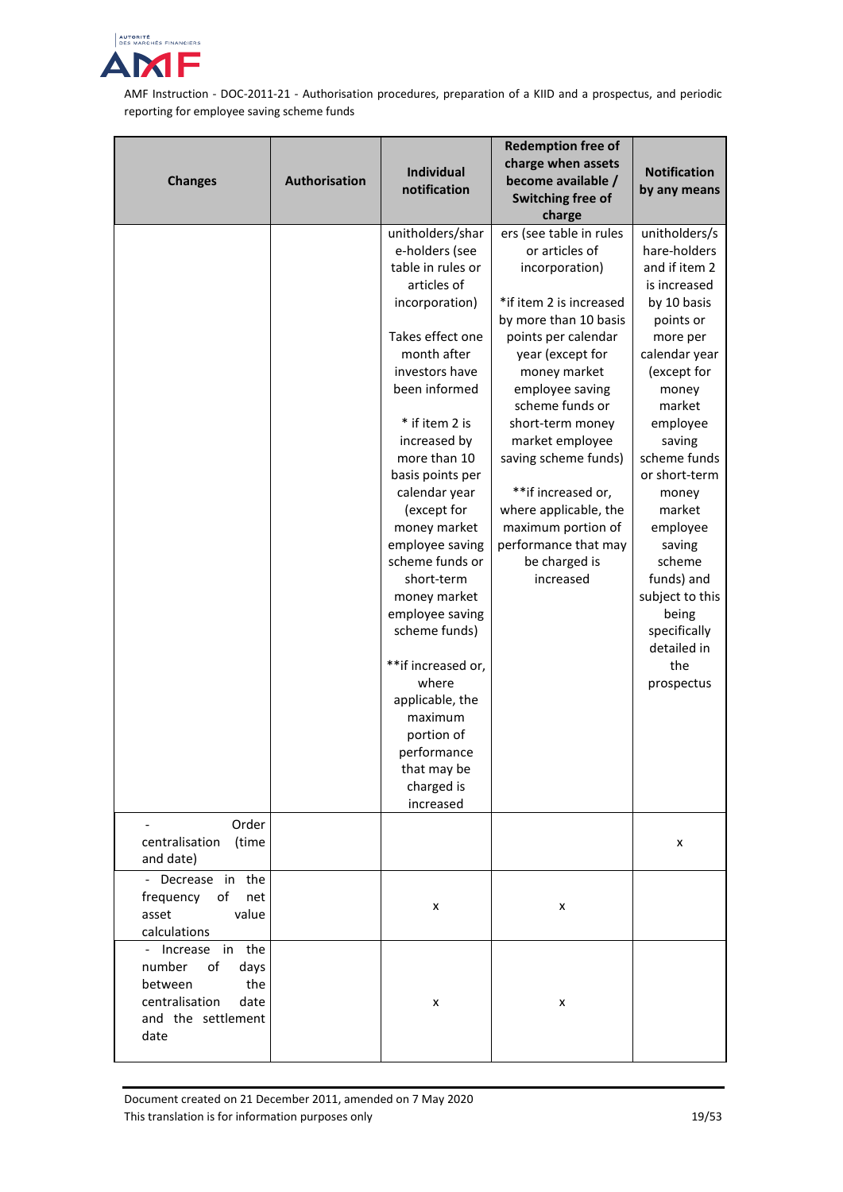

| <b>Changes</b>                                                                                                      | Authorisation | Individual<br>notification                                                                                                                                                                                                                                                                                                                                                                                                                     | <b>Redemption free of</b><br>charge when assets<br>become available /<br>Switching free of                                                                                                                                                                                                                                                                                                                           | <b>Notification</b><br>by any means                                                                                                                                                                                                                                                                                                                               |
|---------------------------------------------------------------------------------------------------------------------|---------------|------------------------------------------------------------------------------------------------------------------------------------------------------------------------------------------------------------------------------------------------------------------------------------------------------------------------------------------------------------------------------------------------------------------------------------------------|----------------------------------------------------------------------------------------------------------------------------------------------------------------------------------------------------------------------------------------------------------------------------------------------------------------------------------------------------------------------------------------------------------------------|-------------------------------------------------------------------------------------------------------------------------------------------------------------------------------------------------------------------------------------------------------------------------------------------------------------------------------------------------------------------|
|                                                                                                                     |               | unitholders/shar<br>e-holders (see<br>table in rules or<br>articles of<br>incorporation)<br>Takes effect one<br>month after<br>investors have<br>been informed<br>* if item 2 is<br>increased by<br>more than 10<br>basis points per<br>calendar year<br>(except for<br>money market<br>employee saving<br>scheme funds or<br>short-term<br>money market<br>employee saving<br>scheme funds)<br>**if increased or,<br>where<br>applicable, the | charge<br>ers (see table in rules<br>or articles of<br>incorporation)<br>*if item 2 is increased<br>by more than 10 basis<br>points per calendar<br>year (except for<br>money market<br>employee saving<br>scheme funds or<br>short-term money<br>market employee<br>saving scheme funds)<br>**if increased or,<br>where applicable, the<br>maximum portion of<br>performance that may<br>be charged is<br>increased | unitholders/s<br>hare-holders<br>and if item 2<br>is increased<br>by 10 basis<br>points or<br>more per<br>calendar year<br>(except for<br>money<br>market<br>employee<br>saving<br>scheme funds<br>or short-term<br>money<br>market<br>employee<br>saving<br>scheme<br>funds) and<br>subject to this<br>being<br>specifically<br>detailed in<br>the<br>prospectus |
|                                                                                                                     |               | maximum<br>portion of<br>performance<br>that may be<br>charged is<br>increased                                                                                                                                                                                                                                                                                                                                                                 |                                                                                                                                                                                                                                                                                                                                                                                                                      |                                                                                                                                                                                                                                                                                                                                                                   |
| Order<br>centralisation<br>(time<br>and date)                                                                       |               |                                                                                                                                                                                                                                                                                                                                                                                                                                                |                                                                                                                                                                                                                                                                                                                                                                                                                      | x                                                                                                                                                                                                                                                                                                                                                                 |
| - Decrease in the<br>frequency of<br>net<br>asset<br>value<br>calculations                                          |               | x                                                                                                                                                                                                                                                                                                                                                                                                                                              | x                                                                                                                                                                                                                                                                                                                                                                                                                    |                                                                                                                                                                                                                                                                                                                                                                   |
| - Increase in the<br>number<br>of<br>days<br>between<br>the<br>centralisation<br>date<br>and the settlement<br>date |               | x                                                                                                                                                                                                                                                                                                                                                                                                                                              | x                                                                                                                                                                                                                                                                                                                                                                                                                    |                                                                                                                                                                                                                                                                                                                                                                   |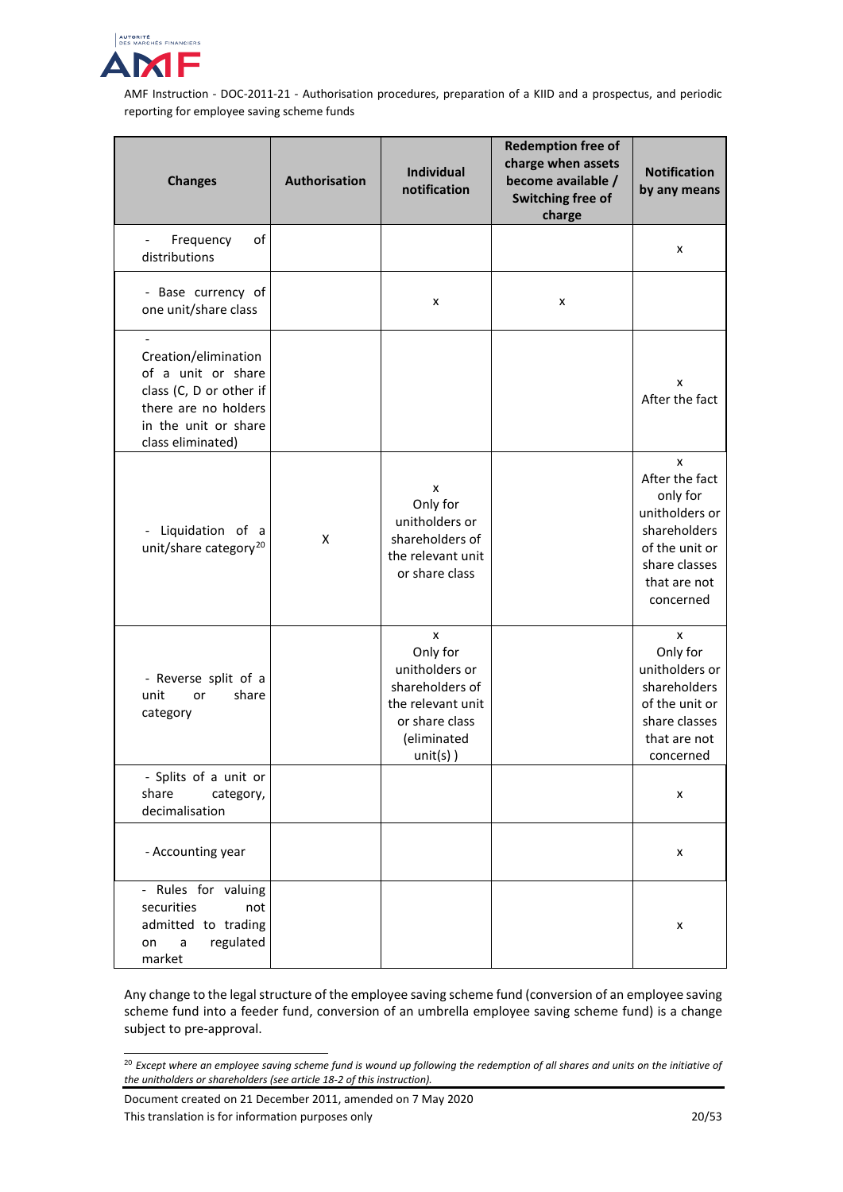

| <b>Changes</b>                                                                                                                             | Authorisation | <b>Individual</b><br>notification                                                                                       | <b>Redemption free of</b><br>charge when assets<br>become available /<br>Switching free of<br>charge | <b>Notification</b><br>by any means                                                                                               |
|--------------------------------------------------------------------------------------------------------------------------------------------|---------------|-------------------------------------------------------------------------------------------------------------------------|------------------------------------------------------------------------------------------------------|-----------------------------------------------------------------------------------------------------------------------------------|
| Frequency<br>of<br>$\overline{\phantom{a}}$<br>distributions                                                                               |               |                                                                                                                         |                                                                                                      | x                                                                                                                                 |
| - Base currency of<br>one unit/share class                                                                                                 |               | x                                                                                                                       | X                                                                                                    |                                                                                                                                   |
| Creation/elimination<br>of a unit or share<br>class (C, D or other if<br>there are no holders<br>in the unit or share<br>class eliminated) |               |                                                                                                                         |                                                                                                      | x<br>After the fact                                                                                                               |
| Liquidation of a<br>$\overline{\phantom{a}}$<br>unit/share category <sup>20</sup>                                                          | X             | x<br>Only for<br>unitholders or<br>shareholders of<br>the relevant unit<br>or share class                               |                                                                                                      | X<br>After the fact<br>only for<br>unitholders or<br>shareholders<br>of the unit or<br>share classes<br>that are not<br>concerned |
| - Reverse split of a<br>unit<br>share<br>or<br>category                                                                                    |               | x<br>Only for<br>unitholders or<br>shareholders of<br>the relevant unit<br>or share class<br>(eliminated<br>$unit(s)$ ) |                                                                                                      | x<br>Only for<br>unitholders or<br>shareholders<br>of the unit or<br>share classes<br>that are not<br>concerned                   |
| - Splits of a unit or<br>share<br>category,<br>decimalisation                                                                              |               |                                                                                                                         |                                                                                                      | x                                                                                                                                 |
| - Accounting year                                                                                                                          |               |                                                                                                                         |                                                                                                      | x                                                                                                                                 |
| - Rules for valuing<br>securities<br>not<br>admitted to trading<br>regulated<br>a<br>on<br>market                                          |               |                                                                                                                         |                                                                                                      | x                                                                                                                                 |

Any change to the legal structure of the employee saving scheme fund (conversion of an employee saving scheme fund into a feeder fund, conversion of an umbrella employee saving scheme fund) is a change subject to pre-approval.

<span id="page-19-0"></span> <sup>20</sup> *Except where an employee saving scheme fund is wound up following the redemption of all shares and units on the initiative of the unitholders or shareholders (see article 18-2 of this instruction).*

Document created on 21 December 2011, amended on 7 May 2020 This translation is for information purposes only 20/53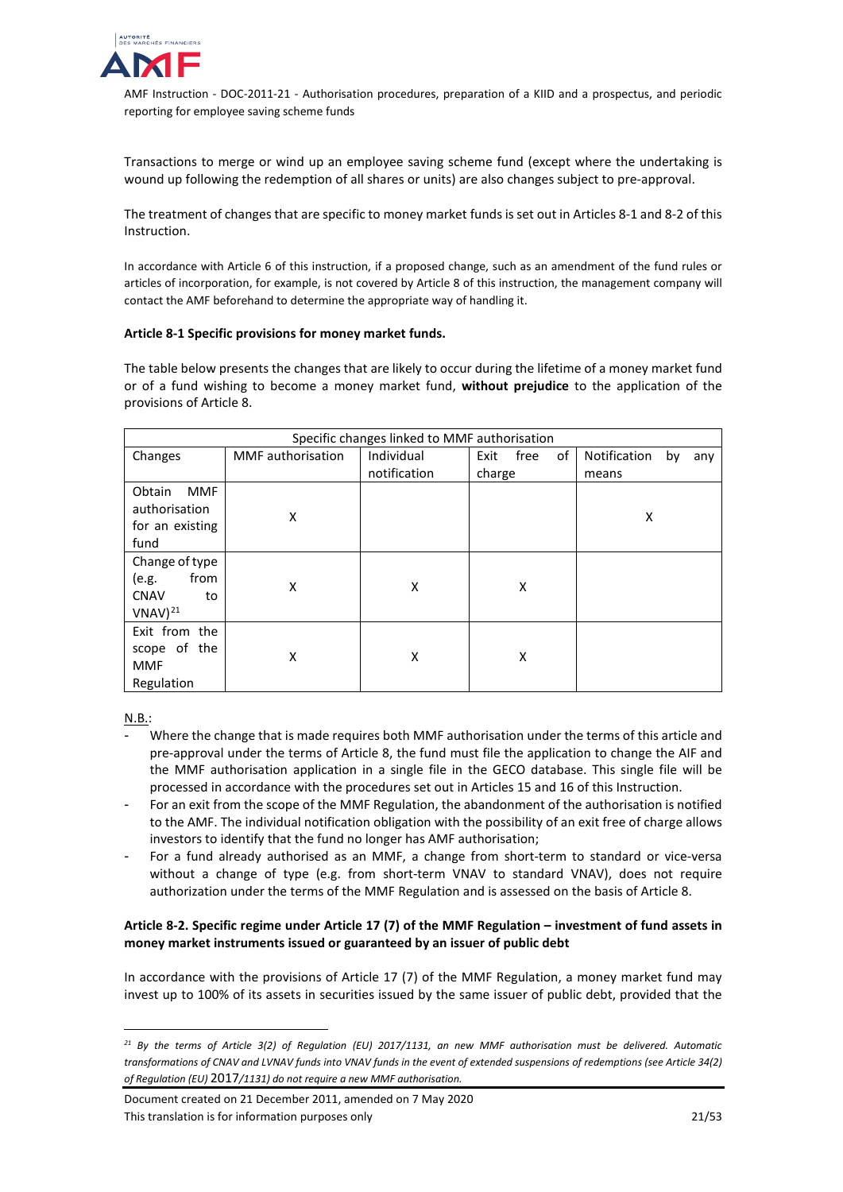

Transactions to merge or wind up an employee saving scheme fund (except where the undertaking is wound up following the redemption of all shares or units) are also changes subject to pre-approval.

The treatment of changes that are specific to money market funds is set out in Articles 8-1 and 8-2 of this Instruction.

In accordance with Article 6 of this instruction, if a proposed change, such as an amendment of the fund rules or articles of incorporation, for example, is not covered by Article 8 of this instruction, the management company will contact the AMF beforehand to determine the appropriate way of handling it.

#### **Article 8-1 Specific provisions for money market funds.**

The table below presents the changes that are likely to occur during the lifetime of a money market fund or of a fund wishing to become a money market fund, **without prejudice** to the application of the provisions of Article 8.

|                                                                      |                          | Specific changes linked to MMF authorisation |                    |                           |
|----------------------------------------------------------------------|--------------------------|----------------------------------------------|--------------------|---------------------------|
| Changes                                                              | <b>MMF</b> authorisation | Individual                                   | of<br>Exit<br>free | Notification<br>by<br>any |
|                                                                      |                          | notification                                 | charge             | means                     |
| Obtain<br><b>MMF</b><br>authorisation<br>for an existing<br>fund     | X                        |                                              |                    | X                         |
| Change of type<br>from<br>(e.g.<br><b>CNAV</b><br>to<br>$VNAV)^{21}$ | X                        | X                                            | X                  |                           |
| Exit from the<br>scope of the<br><b>MMF</b><br>Regulation            | X                        | X                                            | X                  |                           |

N.B.:

j

- Where the change that is made requires both MMF authorisation under the terms of this article and pre-approval under the terms of Article 8, the fund must file the application to change the AIF and the MMF authorisation application in a single file in the GECO database. This single file will be processed in accordance with the procedures set out in Articles 15 and 16 of this Instruction.
- For an exit from the scope of the MMF Regulation, the abandonment of the authorisation is notified to the AMF. The individual notification obligation with the possibility of an exit free of charge allows investors to identify that the fund no longer has AMF authorisation;
- For a fund already authorised as an MMF, a change from short-term to standard or vice-versa without a change of type (e.g. from short-term VNAV to standard VNAV), does not require authorization under the terms of the MMF Regulation and is assessed on the basis of Article 8.

# **Article 8-2. Specific regime under Article 17 (7) of the MMF Regulation – investment of fund assets in money market instruments issued or guaranteed by an issuer of public debt**

In accordance with the provisions of Article 17 (7) of the MMF Regulation, a money market fund may invest up to 100% of its assets in securities issued by the same issuer of public debt, provided that the

<span id="page-20-0"></span>*<sup>21</sup> By the terms of Article 3(2) of Regulation [\(EU\) 2017/1131,](https://eur-lex.europa.eu/legal-content/FR/TXT/PDF/?uri=CELEX:32017R1131&from=FR) an new MMF authorisation must be delivered. Automatic transformations of CNAV and LVNAV funds into VNAV funds in the event of extended suspensions of redemptions (see Article 34(2) of Regulation (EU)* [2017](https://eur-lex.europa.eu/legal-content/FR/TXT/PDF/?uri=CELEX:32017R1131&from=FR)*/1131) do not require a new MMF authorisation.*

Document created on 21 December 2011, amended on 7 May 2020 This translation is for information purposes only 2008 2008 2008 2009 2008 2016 2016 2017 2017 2017 2017 2017 201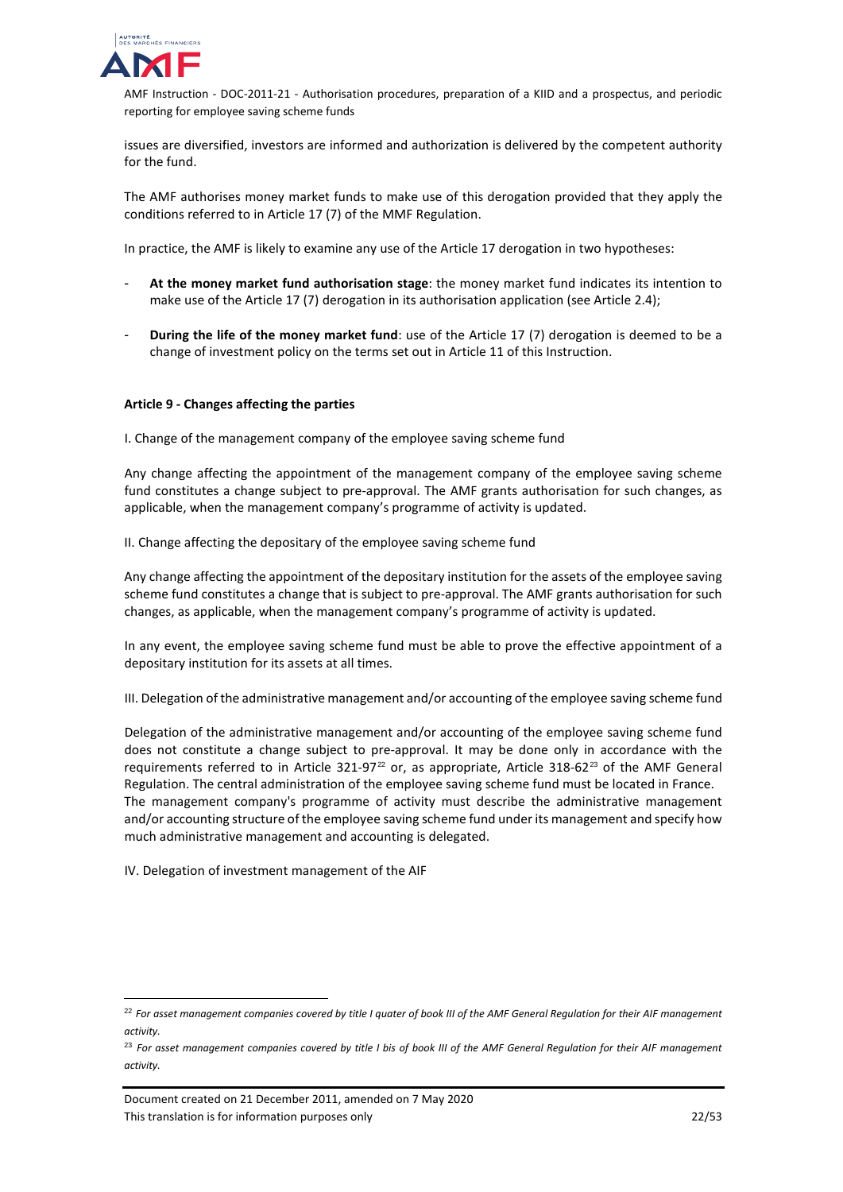

issues are diversified, investors are informed and authorization is delivered by the competent authority for the fund.

The AMF authorises money market funds to make use of this derogation provided that they apply the conditions referred to in Article 17 (7) of the MMF Regulation.

In practice, the AMF is likely to examine any use of the Article 17 derogation in two hypotheses:

- **At the money market fund authorisation stage**: the money market fund indicates its intention to make use of the Article 17 (7) derogation in its authorisation application (see Article 2.4);
- **During the life of the money market fund**: use of the Article 17 (7) derogation is deemed to be a change of investment policy on the terms set out in Article 11 of this Instruction.

#### **Article 9 - Changes affecting the parties**

I. Change of the management company of the employee saving scheme fund

Any change affecting the appointment of the management company of the employee saving scheme fund constitutes a change subject to pre-approval. The AMF grants authorisation for such changes, as applicable, when the management company's programme of activity is updated.

II. Change affecting the depositary of the employee saving scheme fund

Any change affecting the appointment of the depositary institution for the assets of the employee saving scheme fund constitutes a change that is subject to pre-approval. The AMF grants authorisation for such changes, as applicable, when the management company's programme of activity is updated.

In any event, the employee saving scheme fund must be able to prove the effective appointment of a depositary institution for its assets at all times.

III. Delegation of the administrative management and/or accounting of the employee saving scheme fund

Delegation of the administrative management and/or accounting of the employee saving scheme fund does not constitute a change subject to pre-approval. It may be done only in accordance with the requirements referred to in Article 321-97<sup>[22](#page-21-0)</sup> or, as appropriate, Article 318-62<sup>[23](#page-21-1)</sup> of the AMF General Regulation. The central administration of the employee saving scheme fund must be located in France. The management company's programme of activity must describe the administrative management and/or accounting structure of the employee saving scheme fund under its management and specify how much administrative management and accounting is delegated.

IV. Delegation of investment management of the AIF

<span id="page-21-0"></span> <sup>22</sup> *For asset management companies covered by title I quater of book III of the AMF General Regulation for their AIF management activity.*

<span id="page-21-1"></span><sup>23</sup> *For asset management companies covered by title I bis of book III of the AMF General Regulation for their AIF management activity.*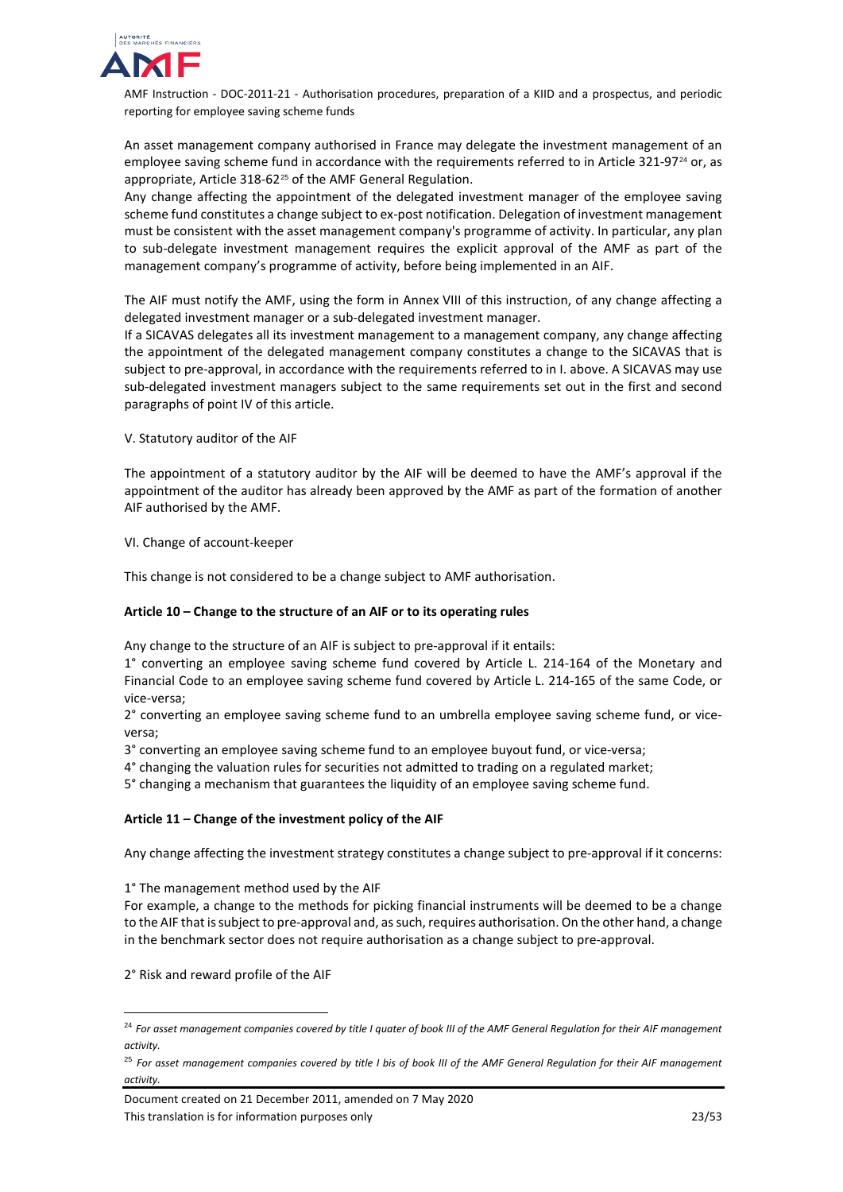

An asset management company authorised in France may delegate the investment management of an employee saving scheme fund in accordance with the requirements referred to in Article 321-97<sup>[24](#page-22-0)</sup> or, as appropriate, Article 318-62<sup>[25](#page-22-1)</sup> of the AMF General Regulation.

Any change affecting the appointment of the delegated investment manager of the employee saving scheme fund constitutes a change subject to ex-post notification. Delegation of investment management must be consistent with the asset management company's programme of activity. In particular, any plan to sub-delegate investment management requires the explicit approval of the AMF as part of the management company's programme of activity, before being implemented in an AIF.

The AIF must notify the AMF, using the form in Annex VIII of this instruction, of any change affecting a delegated investment manager or a sub-delegated investment manager.

If a SICAVAS delegates all its investment management to a management company, any change affecting the appointment of the delegated management company constitutes a change to the SICAVAS that is subject to pre-approval, in accordance with the requirements referred to in I. above. A SICAVAS may use sub-delegated investment managers subject to the same requirements set out in the first and second paragraphs of point IV of this article.

V. Statutory auditor of the AIF

The appointment of a statutory auditor by the AIF will be deemed to have the AMF's approval if the appointment of the auditor has already been approved by the AMF as part of the formation of another AIF authorised by the AMF.

VI. Change of account-keeper

This change is not considered to be a change subject to AMF authorisation.

## **Article 10 – Change to the structure of an AIF or to its operating rules**

Any change to the structure of an AIF is subject to pre-approval if it entails:

1° converting an employee saving scheme fund covered by Article L. 214-164 of the Monetary and Financial Code to an employee saving scheme fund covered by Article L. 214-165 of the same Code, or vice-versa;

2° converting an employee saving scheme fund to an umbrella employee saving scheme fund, or viceversa;

3° converting an employee saving scheme fund to an employee buyout fund, or vice-versa;

4° changing the valuation rules for securities not admitted to trading on a regulated market;

5° changing a mechanism that guarantees the liquidity of an employee saving scheme fund.

## **Article 11 – Change of the investment policy of the AIF**

Any change affecting the investment strategy constitutes a change subject to pre-approval if it concerns:

#### 1° The management method used by the AIF

For example, a change to the methods for picking financial instruments will be deemed to be a change to the AIF that is subject to pre-approval and, as such, requires authorisation. On the other hand, a change in the benchmark sector does not require authorisation as a change subject to pre-approval.

2° Risk and reward profile of the AIF

Document created on 21 December 2011, amended on 7 May 2020 This translation is for information purposes only 23/53

<span id="page-22-0"></span> <sup>24</sup> *For asset management companies covered by title I quater of book III of the AMF General Regulation for their AIF management activity.*

<span id="page-22-1"></span><sup>25</sup> *For asset management companies covered by title I bis of book III of the AMF General Regulation for their AIF management activity.*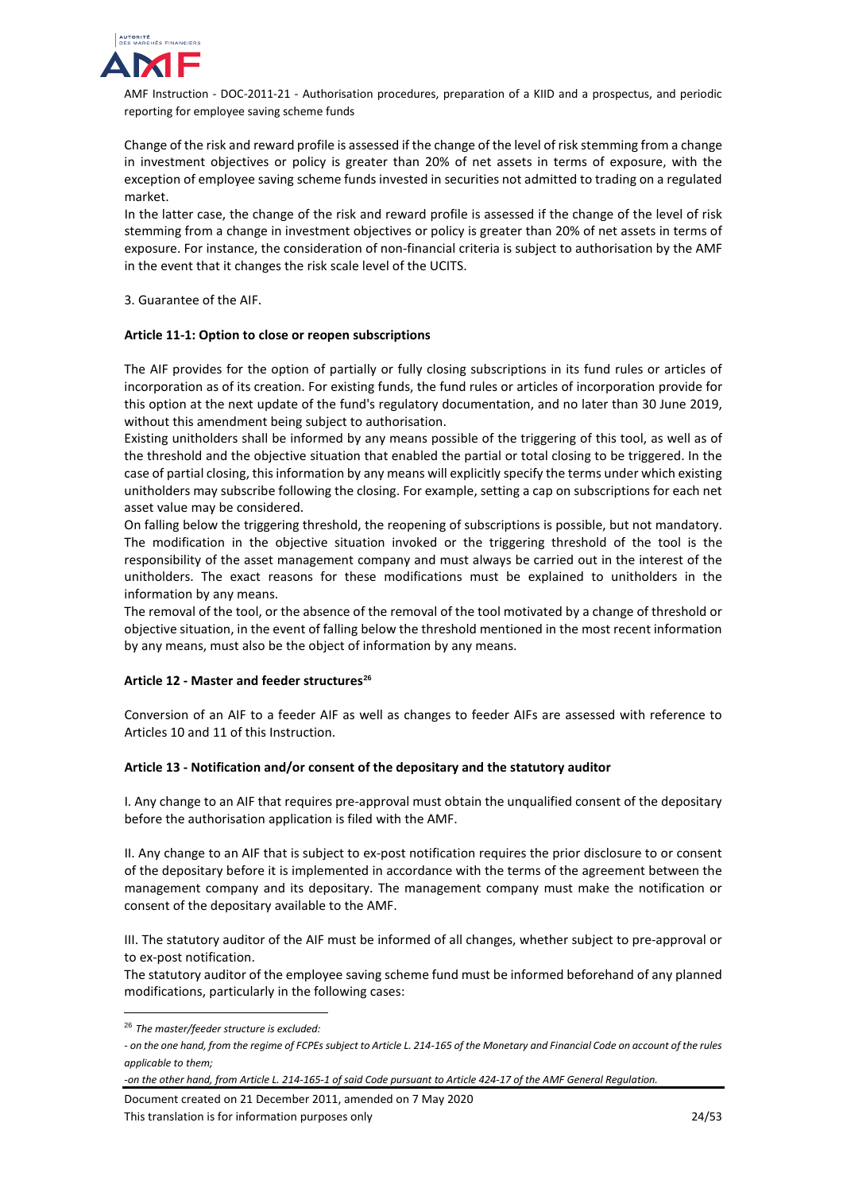

Change of the risk and reward profile is assessed if the change of the level of risk stemming from a change in investment objectives or policy is greater than 20% of net assets in terms of exposure, with the exception of employee saving scheme funds invested in securities not admitted to trading on a regulated market.

In the latter case, the change of the risk and reward profile is assessed if the change of the level of risk stemming from a change in investment objectives or policy is greater than 20% of net assets in terms of exposure. For instance, the consideration of non-financial criteria is subject to authorisation by the AMF in the event that it changes the risk scale level of the UCITS.

3. Guarantee of the AIF.

## **Article 11-1: Option to close or reopen subscriptions**

The AIF provides for the option of partially or fully closing subscriptions in its fund rules or articles of incorporation as of its creation. For existing funds, the fund rules or articles of incorporation provide for this option at the next update of the fund's regulatory documentation, and no later than 30 June 2019, without this amendment being subject to authorisation.

Existing unitholders shall be informed by any means possible of the triggering of this tool, as well as of the threshold and the objective situation that enabled the partial or total closing to be triggered. In the case of partial closing, this information by any means will explicitly specify the terms under which existing unitholders may subscribe following the closing. For example, setting a cap on subscriptions for each net asset value may be considered.

On falling below the triggering threshold, the reopening of subscriptions is possible, but not mandatory. The modification in the objective situation invoked or the triggering threshold of the tool is the responsibility of the asset management company and must always be carried out in the interest of the unitholders. The exact reasons for these modifications must be explained to unitholders in the information by any means.

The removal of the tool, or the absence of the removal of the tool motivated by a change of threshold or objective situation, in the event of falling below the threshold mentioned in the most recent information by any means, must also be the object of information by any means.

## **Article 12 - Master and feeder structures[26](#page-23-0)**

Conversion of an AIF to a feeder AIF as well as changes to feeder AIFs are assessed with reference to Articles 10 and 11 of this Instruction.

#### **Article 13 - Notification and/or consent of the depositary and the statutory auditor**

I. Any change to an AIF that requires pre-approval must obtain the unqualified consent of the depositary before the authorisation application is filed with the AMF.

II. Any change to an AIF that is subject to ex-post notification requires the prior disclosure to or consent of the depositary before it is implemented in accordance with the terms of the agreement between the management company and its depositary. The management company must make the notification or consent of the depositary available to the AMF.

III. The statutory auditor of the AIF must be informed of all changes, whether subject to pre-approval or to ex-post notification.

The statutory auditor of the employee saving scheme fund must be informed beforehand of any planned modifications, particularly in the following cases:

Document created on 21 December 2011, amended on 7 May 2020 This translation is for information purposes only 24/53

<span id="page-23-0"></span> <sup>26</sup> *The master/feeder structure is excluded:* 

*<sup>-</sup> on the one hand, from the regime of FCPEs subject to Article L. 214-165 of the Monetary and Financial Code on account of the rules applicable to them;* 

*<sup>-</sup>on the other hand, from Article L. 214-165-1 of said Code pursuant to Article 424-17 of the AMF General Regulation.*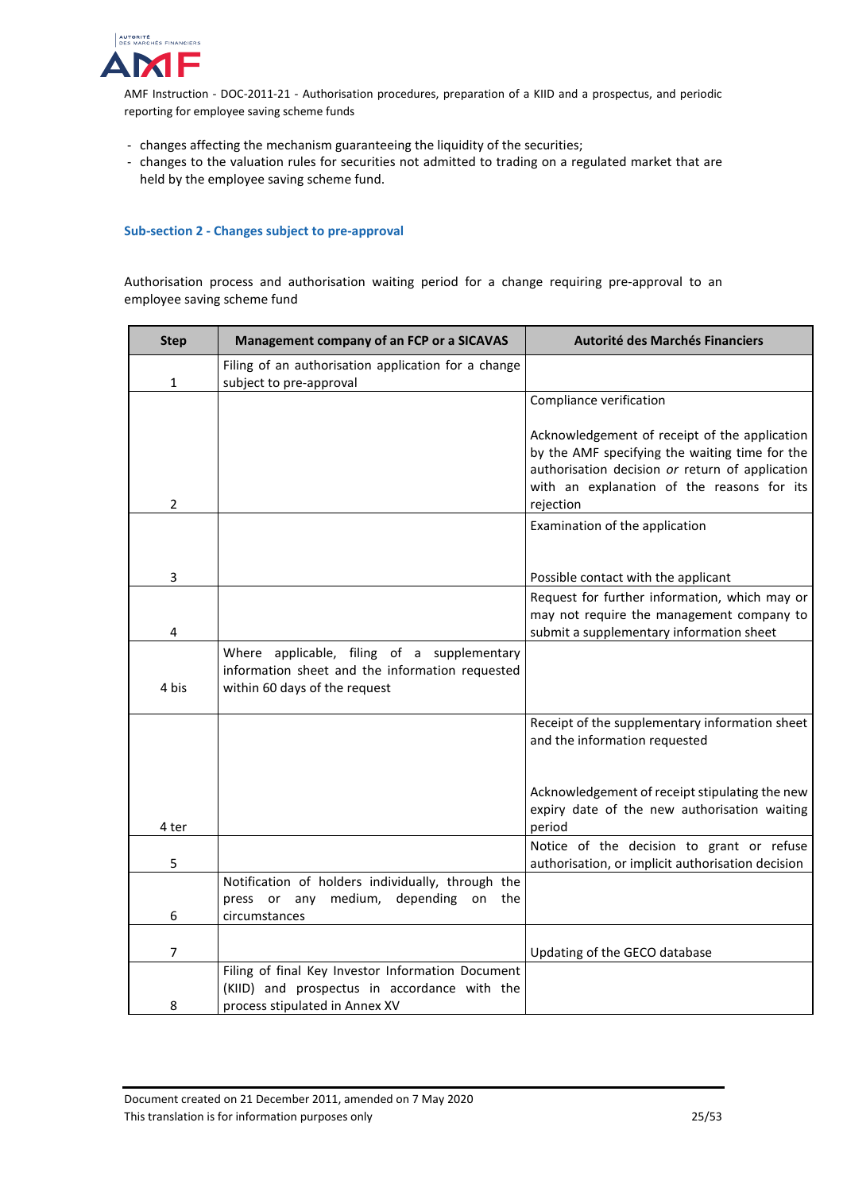

- changes affecting the mechanism guaranteeing the liquidity of the securities;
- changes to the valuation rules for securities not admitted to trading on a regulated market that are held by the employee saving scheme fund.

#### <span id="page-24-0"></span>**Sub-section 2 - Changes subject to pre-approval**

Authorisation process and authorisation waiting period for a change requiring pre-approval to an employee saving scheme fund

| <b>Step</b>    | Management company of an FCP or a SICAVAS                                                                                           | Autorité des Marchés Financiers                                                                                                                                                                               |
|----------------|-------------------------------------------------------------------------------------------------------------------------------------|---------------------------------------------------------------------------------------------------------------------------------------------------------------------------------------------------------------|
| 1              | Filing of an authorisation application for a change<br>subject to pre-approval                                                      |                                                                                                                                                                                                               |
|                |                                                                                                                                     | Compliance verification                                                                                                                                                                                       |
| 2              |                                                                                                                                     | Acknowledgement of receipt of the application<br>by the AMF specifying the waiting time for the<br>authorisation decision or return of application<br>with an explanation of the reasons for its<br>rejection |
|                |                                                                                                                                     | Examination of the application                                                                                                                                                                                |
| 3              |                                                                                                                                     | Possible contact with the applicant                                                                                                                                                                           |
| 4              |                                                                                                                                     | Request for further information, which may or<br>may not require the management company to<br>submit a supplementary information sheet                                                                        |
| 4 bis          | Where applicable, filing of a supplementary<br>information sheet and the information requested<br>within 60 days of the request     |                                                                                                                                                                                                               |
|                |                                                                                                                                     | Receipt of the supplementary information sheet<br>and the information requested                                                                                                                               |
| 4 ter          |                                                                                                                                     | Acknowledgement of receipt stipulating the new<br>expiry date of the new authorisation waiting<br>period                                                                                                      |
| 5              |                                                                                                                                     | Notice of the decision to grant or refuse<br>authorisation, or implicit authorisation decision                                                                                                                |
| 6              | Notification of holders individually, through the<br>press or<br>any<br>medium,<br>depending<br>the<br>on<br>circumstances          |                                                                                                                                                                                                               |
| $\overline{7}$ |                                                                                                                                     | Updating of the GECO database                                                                                                                                                                                 |
| 8              | Filing of final Key Investor Information Document<br>(KIID) and prospectus in accordance with the<br>process stipulated in Annex XV |                                                                                                                                                                                                               |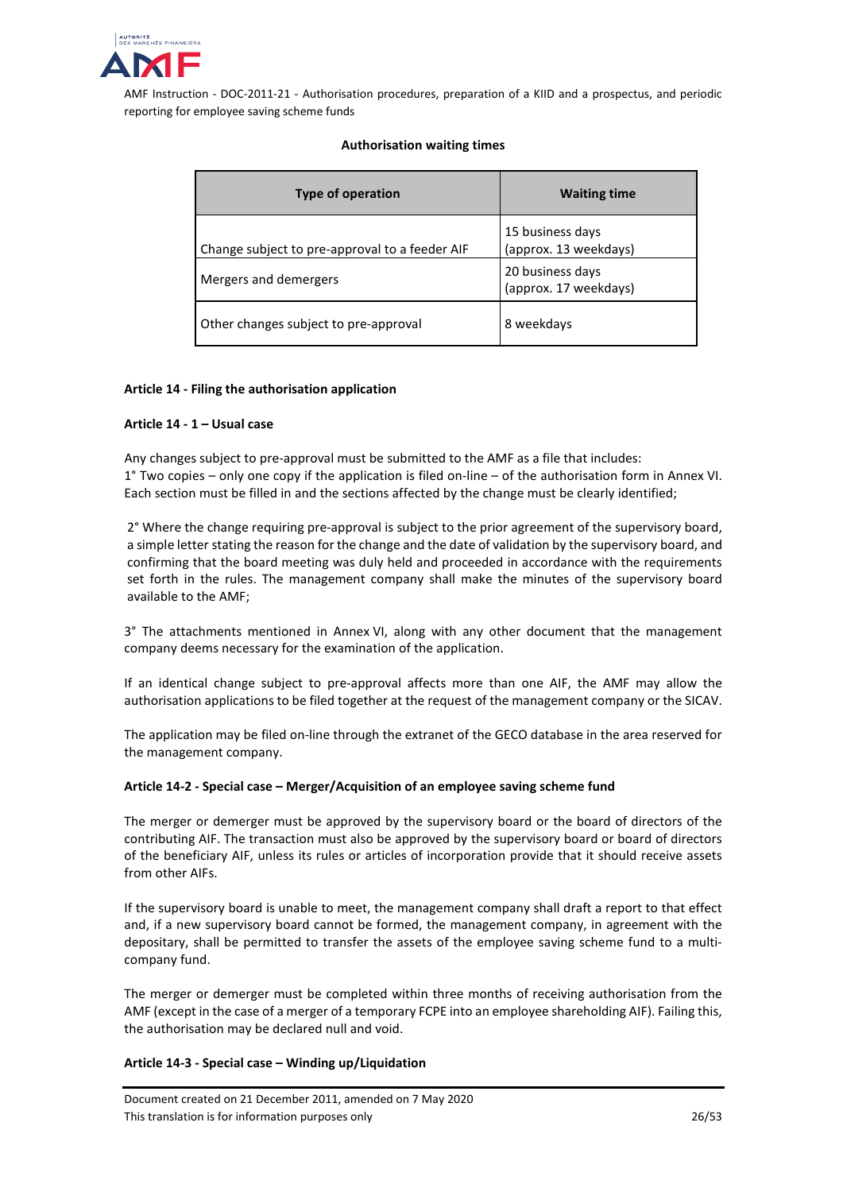

# **Authorisation waiting times**

| Type of operation                              | <b>Waiting time</b>                       |  |
|------------------------------------------------|-------------------------------------------|--|
| Change subject to pre-approval to a feeder AIF | 15 business days<br>(approx. 13 weekdays) |  |
| Mergers and demergers                          | 20 business days<br>(approx. 17 weekdays) |  |
| Other changes subject to pre-approval          | 8 weekdays                                |  |

## **Article 14 - Filing the authorisation application**

## **Article 14 - 1 – Usual case**

Any changes subject to pre-approval must be submitted to the AMF as a file that includes: 1° Two copies – only one copy if the application is filed on-line – of the authorisation form in Annex VI. Each section must be filled in and the sections affected by the change must be clearly identified;

2° Where the change requiring pre-approval is subject to the prior agreement of the supervisory board, a simple letter stating the reason for the change and the date of validation by the supervisory board, and confirming that the board meeting was duly held and proceeded in accordance with the requirements set forth in the rules. The management company shall make the minutes of the supervisory board available to the AMF;

3° The attachments mentioned in Annex VI, along with any other document that the management company deems necessary for the examination of the application.

If an identical change subject to pre-approval affects more than one AIF, the AMF may allow the authorisation applications to be filed together at the request of the management company or the SICAV.

The application may be filed on-line through the extranet of the GECO database in the area reserved for the management company.

## **Article 14-2 - Special case – Merger/Acquisition of an employee saving scheme fund**

The merger or demerger must be approved by the supervisory board or the board of directors of the contributing AIF. The transaction must also be approved by the supervisory board or board of directors of the beneficiary AIF, unless its rules or articles of incorporation provide that it should receive assets from other AIFs.

If the supervisory board is unable to meet, the management company shall draft a report to that effect and, if a new supervisory board cannot be formed, the management company, in agreement with the depositary, shall be permitted to transfer the assets of the employee saving scheme fund to a multicompany fund.

The merger or demerger must be completed within three months of receiving authorisation from the AMF (except in the case of a merger of a temporary FCPE into an employee shareholding AIF). Failing this, the authorisation may be declared null and void.

## **Article 14-3 - Special case – Winding up/Liquidation**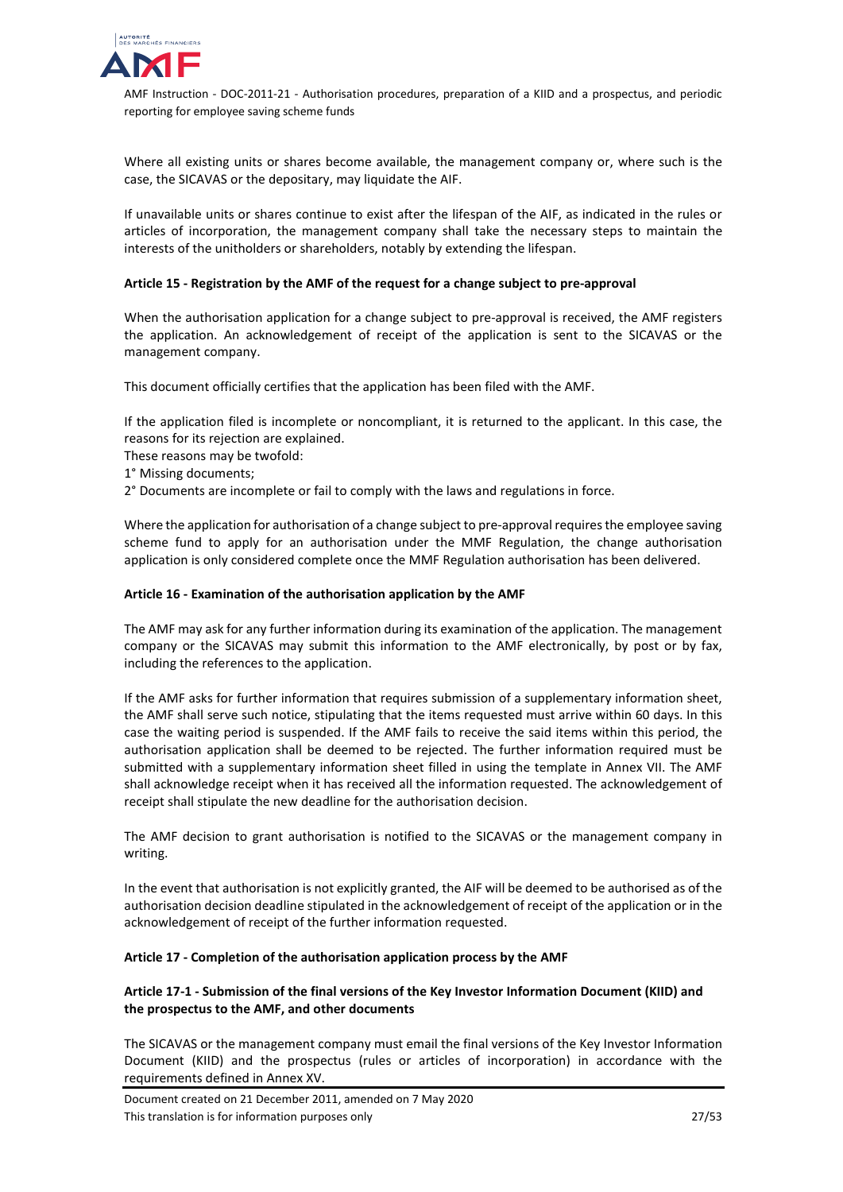

Where all existing units or shares become available, the management company or, where such is the case, the SICAVAS or the depositary, may liquidate the AIF.

If unavailable units or shares continue to exist after the lifespan of the AIF, as indicated in the rules or articles of incorporation, the management company shall take the necessary steps to maintain the interests of the unitholders or shareholders, notably by extending the lifespan.

## **Article 15 - Registration by the AMF of the request for a change subject to pre-approval**

When the authorisation application for a change subject to pre-approval is received, the AMF registers the application. An acknowledgement of receipt of the application is sent to the SICAVAS or the management company.

This document officially certifies that the application has been filed with the AMF.

If the application filed is incomplete or noncompliant, it is returned to the applicant. In this case, the reasons for its rejection are explained.

These reasons may be twofold:

- 1° Missing documents;
- 2° Documents are incomplete or fail to comply with the laws and regulations in force.

Where the application for authorisation of a change subject to pre-approval requires the employee saving scheme fund to apply for an authorisation under the MMF Regulation, the change authorisation application is only considered complete once the MMF Regulation authorisation has been delivered.

#### **Article 16 - Examination of the authorisation application by the AMF**

The AMF may ask for any further information during its examination of the application. The management company or the SICAVAS may submit this information to the AMF electronically, by post or by fax, including the references to the application.

If the AMF asks for further information that requires submission of a supplementary information sheet, the AMF shall serve such notice, stipulating that the items requested must arrive within 60 days. In this case the waiting period is suspended. If the AMF fails to receive the said items within this period, the authorisation application shall be deemed to be rejected. The further information required must be submitted with a supplementary information sheet filled in using the template in Annex VII. The AMF shall acknowledge receipt when it has received all the information requested. The acknowledgement of receipt shall stipulate the new deadline for the authorisation decision.

The AMF decision to grant authorisation is notified to the SICAVAS or the management company in writing.

In the event that authorisation is not explicitly granted, the AIF will be deemed to be authorised as of the authorisation decision deadline stipulated in the acknowledgement of receipt of the application or in the acknowledgement of receipt of the further information requested.

#### **Article 17 - Completion of the authorisation application process by the AMF**

# **Article 17-1 - Submission of the final versions of the Key Investor Information Document (KIID) and the prospectus to the AMF, and other documents**

The SICAVAS or the management company must email the final versions of the Key Investor Information Document (KIID) and the prospectus (rules or articles of incorporation) in accordance with the requirements defined in Annex XV.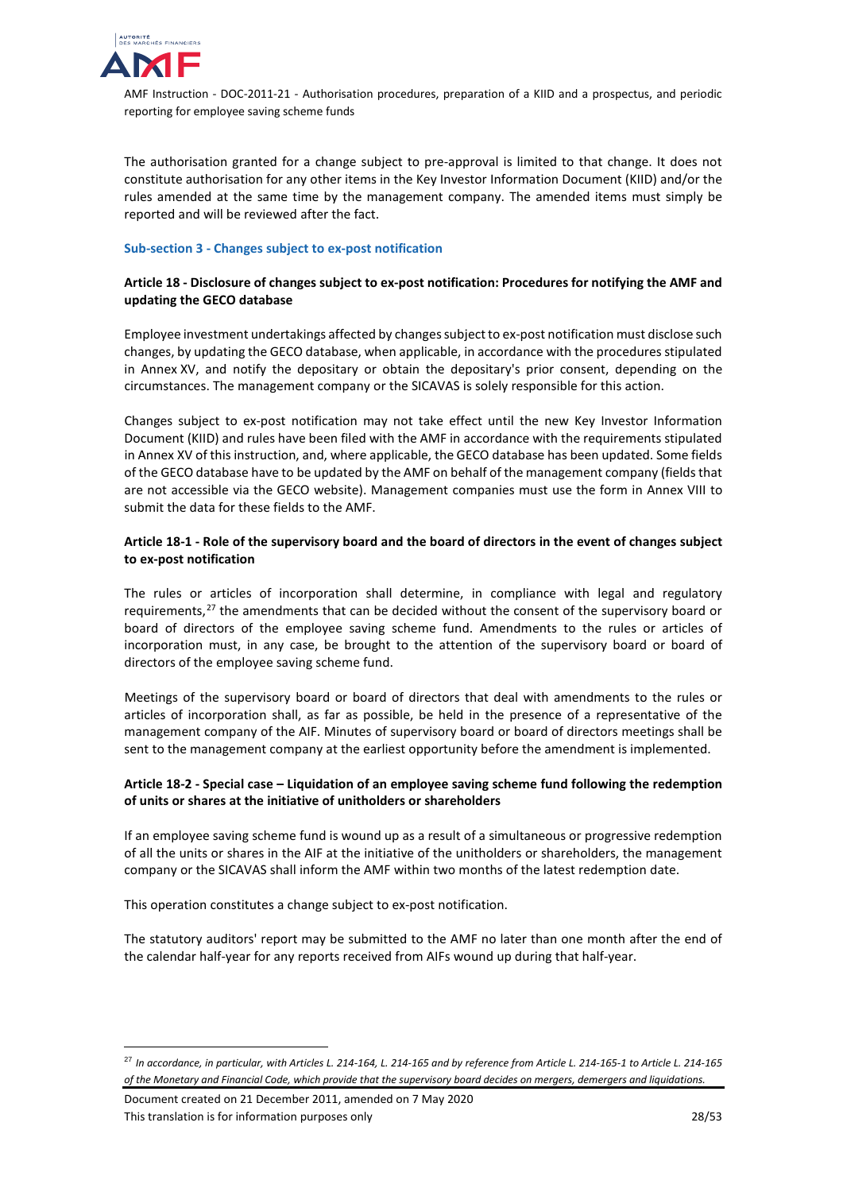

The authorisation granted for a change subject to pre-approval is limited to that change. It does not constitute authorisation for any other items in the Key Investor Information Document (KIID) and/or the rules amended at the same time by the management company. The amended items must simply be reported and will be reviewed after the fact.

## <span id="page-27-0"></span>**Sub-section 3 - Changes subject to ex-post notification**

# **Article 18 - Disclosure of changes subject to ex-post notification: Procedures for notifying the AMF and updating the GECO database**

Employee investment undertakings affected by changes subject to ex-post notification must disclose such changes, by updating the GECO database, when applicable, in accordance with the procedures stipulated in Annex XV, and notify the depositary or obtain the depositary's prior consent, depending on the circumstances. The management company or the SICAVAS is solely responsible for this action.

Changes subject to ex-post notification may not take effect until the new Key Investor Information Document (KIID) and rules have been filed with the AMF in accordance with the requirements stipulated in Annex XV of this instruction, and, where applicable, the GECO database has been updated. Some fields of the GECO database have to be updated by the AMF on behalf of the management company (fields that are not accessible via the GECO website). Management companies must use the form in Annex VIII to submit the data for these fields to the AMF.

# **Article 18-1 - Role of the supervisory board and the board of directors in the event of changes subject to ex-post notification**

The rules or articles of incorporation shall determine, in compliance with legal and regulatory requirements,<sup>[27](#page-27-1)</sup> the amendments that can be decided without the consent of the supervisory board or board of directors of the employee saving scheme fund. Amendments to the rules or articles of incorporation must, in any case, be brought to the attention of the supervisory board or board of directors of the employee saving scheme fund.

Meetings of the supervisory board or board of directors that deal with amendments to the rules or articles of incorporation shall, as far as possible, be held in the presence of a representative of the management company of the AIF. Minutes of supervisory board or board of directors meetings shall be sent to the management company at the earliest opportunity before the amendment is implemented.

# **Article 18-2 - Special case – Liquidation of an employee saving scheme fund following the redemption of units or shares at the initiative of unitholders or shareholders**

If an employee saving scheme fund is wound up as a result of a simultaneous or progressive redemption of all the units or shares in the AIF at the initiative of the unitholders or shareholders, the management company or the SICAVAS shall inform the AMF within two months of the latest redemption date.

This operation constitutes a change subject to ex-post notification.

The statutory auditors' report may be submitted to the AMF no later than one month after the end of the calendar half-year for any reports received from AIFs wound up during that half-year.

Document created on 21 December 2011, amended on 7 May 2020 This translation is for information purposes only 28/53

<span id="page-27-1"></span> <sup>27</sup> *In accordance, in particular, with Articles L. 214-164, L. 214-165 and by reference from Article L. 214-165-1 to Article L. 214-165 of the Monetary and Financial Code, which provide that the supervisory board decides on mergers, demergers and liquidations.*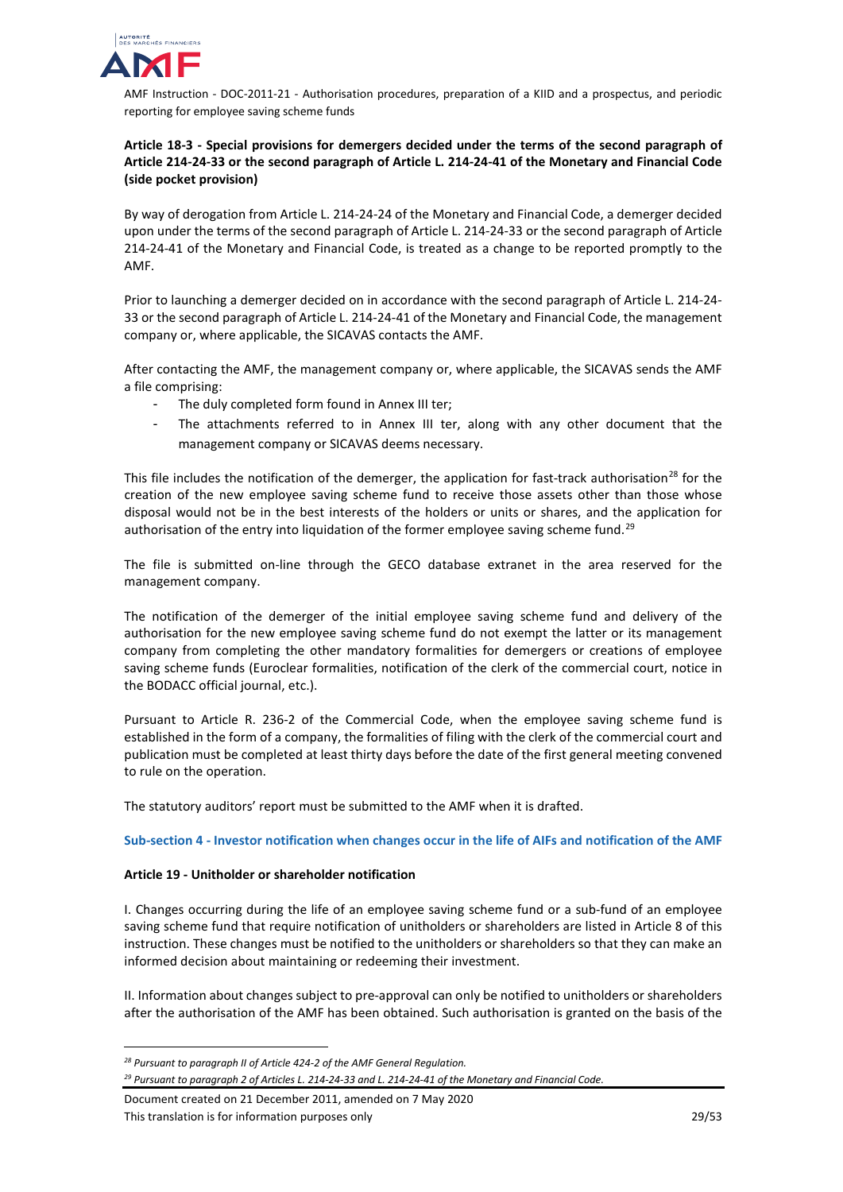

# **Article 18-3 - Special provisions for demergers decided under the terms of the second paragraph of Article 214-24-33 or the second paragraph of Article L. 214-24-41 of the Monetary and Financial Code (side pocket provision)**

By way of derogation from Article L. 214-24-24 of the Monetary and Financial Code, a demerger decided upon under the terms of the second paragraph of Article L. 214-24-33 or the second paragraph of Article 214-24-41 of the Monetary and Financial Code, is treated as a change to be reported promptly to the AMF.

Prior to launching a demerger decided on in accordance with the second paragraph of Article L. 214-24- 33 or the second paragraph of Article L. 214-24-41 of the Monetary and Financial Code, the management company or, where applicable, the SICAVAS contacts the AMF.

After contacting the AMF, the management company or, where applicable, the SICAVAS sends the AMF a file comprising:

- The duly completed form found in Annex III ter;
- The attachments referred to in Annex III ter, along with any other document that the management company or SICAVAS deems necessary.

This file includes the notification of the demerger, the application for fast-track authorisation<sup>[28](#page-28-1)</sup> for the creation of the new employee saving scheme fund to receive those assets other than those whose disposal would not be in the best interests of the holders or units or shares, and the application for authorisation of the entry into liquidation of the former employee saving scheme fund.<sup>[29](#page-28-2)</sup>

The file is submitted on-line through the GECO database extranet in the area reserved for the management company.

The notification of the demerger of the initial employee saving scheme fund and delivery of the authorisation for the new employee saving scheme fund do not exempt the latter or its management company from completing the other mandatory formalities for demergers or creations of employee saving scheme funds (Euroclear formalities, notification of the clerk of the commercial court, notice in the BODACC official journal, etc.).

Pursuant to Article R. 236-2 of the Commercial Code, when the employee saving scheme fund is established in the form of a company, the formalities of filing with the clerk of the commercial court and publication must be completed at least thirty days before the date of the first general meeting convened to rule on the operation.

<span id="page-28-0"></span>The statutory auditors' report must be submitted to the AMF when it is drafted.

## **Sub-section 4 - Investor notification when changes occur in the life of AIFs and notification of the AMF**

## **Article 19 - Unitholder or shareholder notification**

I. Changes occurring during the life of an employee saving scheme fund or a sub-fund of an employee saving scheme fund that require notification of unitholders or shareholders are listed in Article 8 of this instruction. These changes must be notified to the unitholders or shareholders so that they can make an informed decision about maintaining or redeeming their investment.

II. Information about changes subject to pre-approval can only be notified to unitholders or shareholders after the authorisation of the AMF has been obtained. Such authorisation is granted on the basis of the

 $\overline{a}$ 

<span id="page-28-1"></span>*<sup>28</sup> Pursuant to paragraph II of Article 424-2 of the AMF General Regulation.*

<span id="page-28-2"></span>*<sup>29</sup> Pursuant to paragraph 2 of Articles L. 214-24-33 and L. 214-24-41 of the Monetary and Financial Code.*

Document created on 21 December 2011, amended on 7 May 2020 This translation is for information purposes only 29/53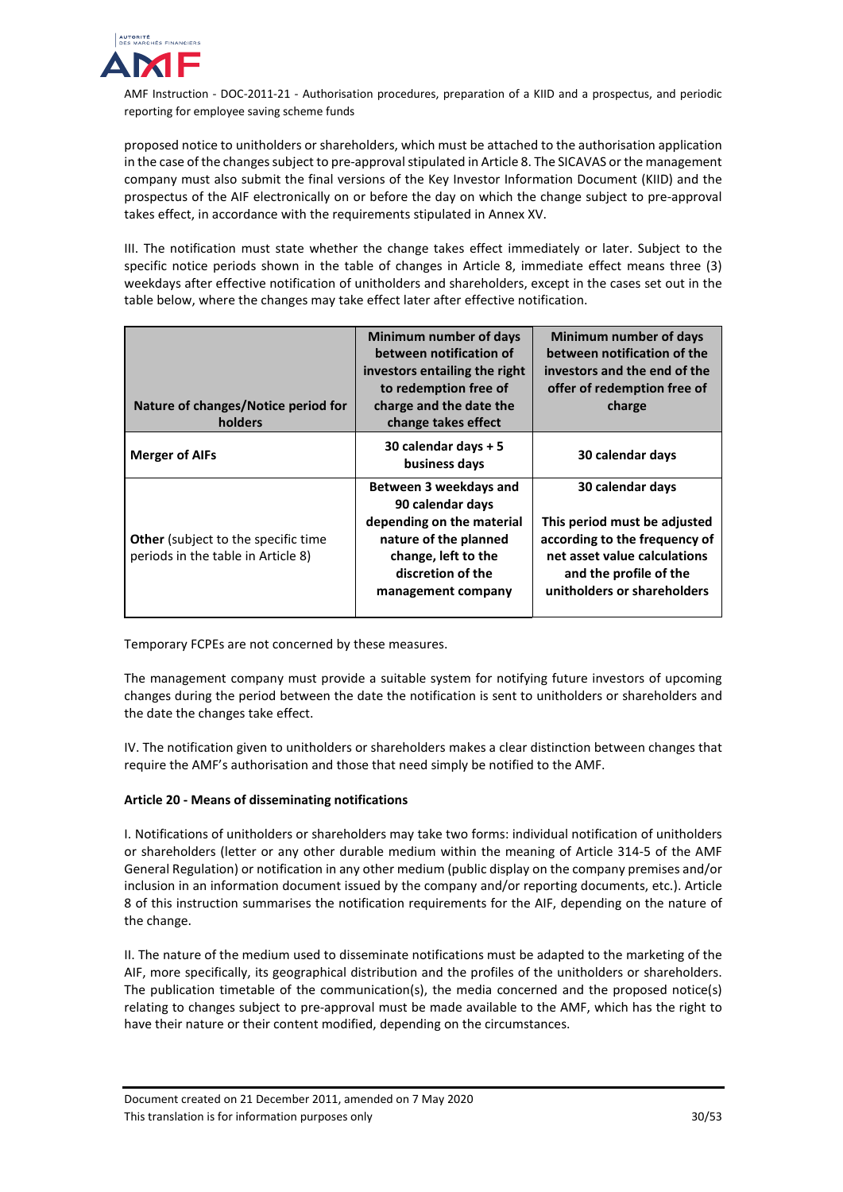

proposed notice to unitholders or shareholders, which must be attached to the authorisation application in the case of the changes subject to pre-approval stipulated in Article 8. The SICAVAS or the management company must also submit the final versions of the Key Investor Information Document (KIID) and the prospectus of the AIF electronically on or before the day on which the change subject to pre-approval takes effect, in accordance with the requirements stipulated in Annex XV.

III. The notification must state whether the change takes effect immediately or later. Subject to the specific notice periods shown in the table of changes in Article 8, immediate effect means three (3) weekdays after effective notification of unitholders and shareholders, except in the cases set out in the table below, where the changes may take effect later after effective notification.

| Nature of changes/Notice period for<br>holders                                   | Minimum number of days<br>between notification of<br>investors entailing the right<br>to redemption free of<br>charge and the date the<br>change takes effect      | Minimum number of days<br>between notification of the<br>investors and the end of the<br>offer of redemption free of<br>charge                                             |
|----------------------------------------------------------------------------------|--------------------------------------------------------------------------------------------------------------------------------------------------------------------|----------------------------------------------------------------------------------------------------------------------------------------------------------------------------|
| <b>Merger of AIFs</b>                                                            | 30 calendar days + 5<br>business days                                                                                                                              | 30 calendar days                                                                                                                                                           |
| <b>Other</b> (subject to the specific time<br>periods in the table in Article 8) | Between 3 weekdays and<br>90 calendar days<br>depending on the material<br>nature of the planned<br>change, left to the<br>discretion of the<br>management company | 30 calendar days<br>This period must be adjusted<br>according to the frequency of<br>net asset value calculations<br>and the profile of the<br>unitholders or shareholders |

Temporary FCPEs are not concerned by these measures.

The management company must provide a suitable system for notifying future investors of upcoming changes during the period between the date the notification is sent to unitholders or shareholders and the date the changes take effect.

IV. The notification given to unitholders or shareholders makes a clear distinction between changes that require the AMF's authorisation and those that need simply be notified to the AMF.

# **Article 20 - Means of disseminating notifications**

I. Notifications of unitholders or shareholders may take two forms: individual notification of unitholders or shareholders (letter or any other durable medium within the meaning of Article 314-5 of the AMF General Regulation) or notification in any other medium (public display on the company premises and/or inclusion in an information document issued by the company and/or reporting documents, etc.). Article 8 of this instruction summarises the notification requirements for the AIF, depending on the nature of the change.

II. The nature of the medium used to disseminate notifications must be adapted to the marketing of the AIF, more specifically, its geographical distribution and the profiles of the unitholders or shareholders. The publication timetable of the communication(s), the media concerned and the proposed notice(s) relating to changes subject to pre-approval must be made available to the AMF, which has the right to have their nature or their content modified, depending on the circumstances.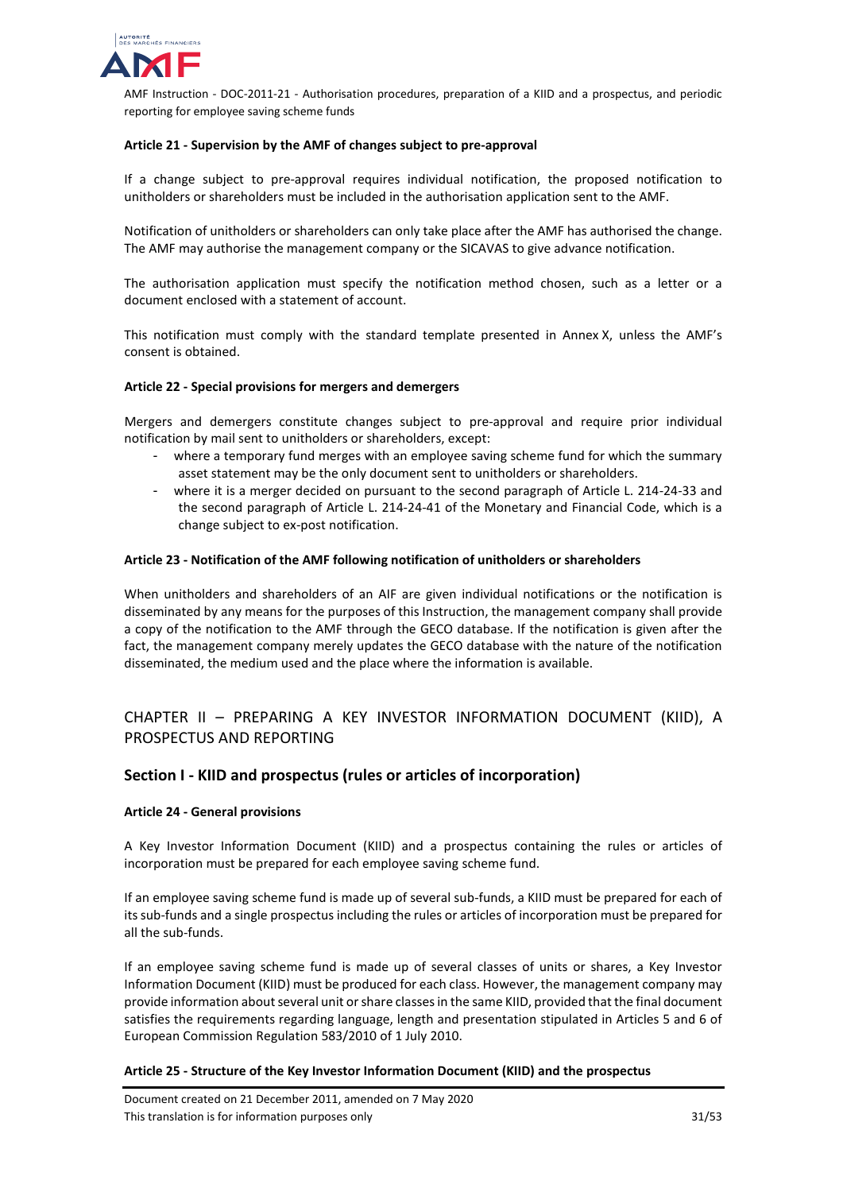

## **Article 21 - Supervision by the AMF of changes subject to pre-approval**

If a change subject to pre-approval requires individual notification, the proposed notification to unitholders or shareholders must be included in the authorisation application sent to the AMF.

Notification of unitholders or shareholders can only take place after the AMF has authorised the change. The AMF may authorise the management company or the SICAVAS to give advance notification.

The authorisation application must specify the notification method chosen, such as a letter or a document enclosed with a statement of account.

This notification must comply with the standard template presented in Annex X, unless the AMF's consent is obtained.

#### **Article 22 - Special provisions for mergers and demergers**

Mergers and demergers constitute changes subject to pre-approval and require prior individual notification by mail sent to unitholders or shareholders, except:

- where a temporary fund merges with an employee saving scheme fund for which the summary asset statement may be the only document sent to unitholders or shareholders.
- where it is a merger decided on pursuant to the second paragraph of Article L. 214-24-33 and the second paragraph of Article L. 214-24-41 of the Monetary and Financial Code, which is a change subject to ex-post notification.

#### **Article 23 - Notification of the AMF following notification of unitholders or shareholders**

When unitholders and shareholders of an AIF are given individual notifications or the notification is disseminated by any means for the purposes of this Instruction, the management company shall provide a copy of the notification to the AMF through the GECO database. If the notification is given after the fact, the management company merely updates the GECO database with the nature of the notification disseminated, the medium used and the place where the information is available.

# <span id="page-30-0"></span>CHAPTER II – PREPARING A KEY INVESTOR INFORMATION DOCUMENT (KIID), A PROSPECTUS AND REPORTING

# <span id="page-30-1"></span>**Section I - KIID and prospectus (rules or articles of incorporation)**

#### **Article 24 - General provisions**

A Key Investor Information Document (KIID) and a prospectus containing the rules or articles of incorporation must be prepared for each employee saving scheme fund.

If an employee saving scheme fund is made up of several sub-funds, a KIID must be prepared for each of its sub-funds and a single prospectus including the rules or articles of incorporation must be prepared for all the sub-funds.

If an employee saving scheme fund is made up of several classes of units or shares, a Key Investor Information Document (KIID) must be produced for each class. However, the management company may provide information about several unit or share classes in the same KIID, provided that the final document satisfies the requirements regarding language, length and presentation stipulated in Articles 5 and 6 of European Commission Regulation 583/2010 of 1 July 2010.

## **Article 25 - Structure of the Key Investor Information Document (KIID) and the prospectus**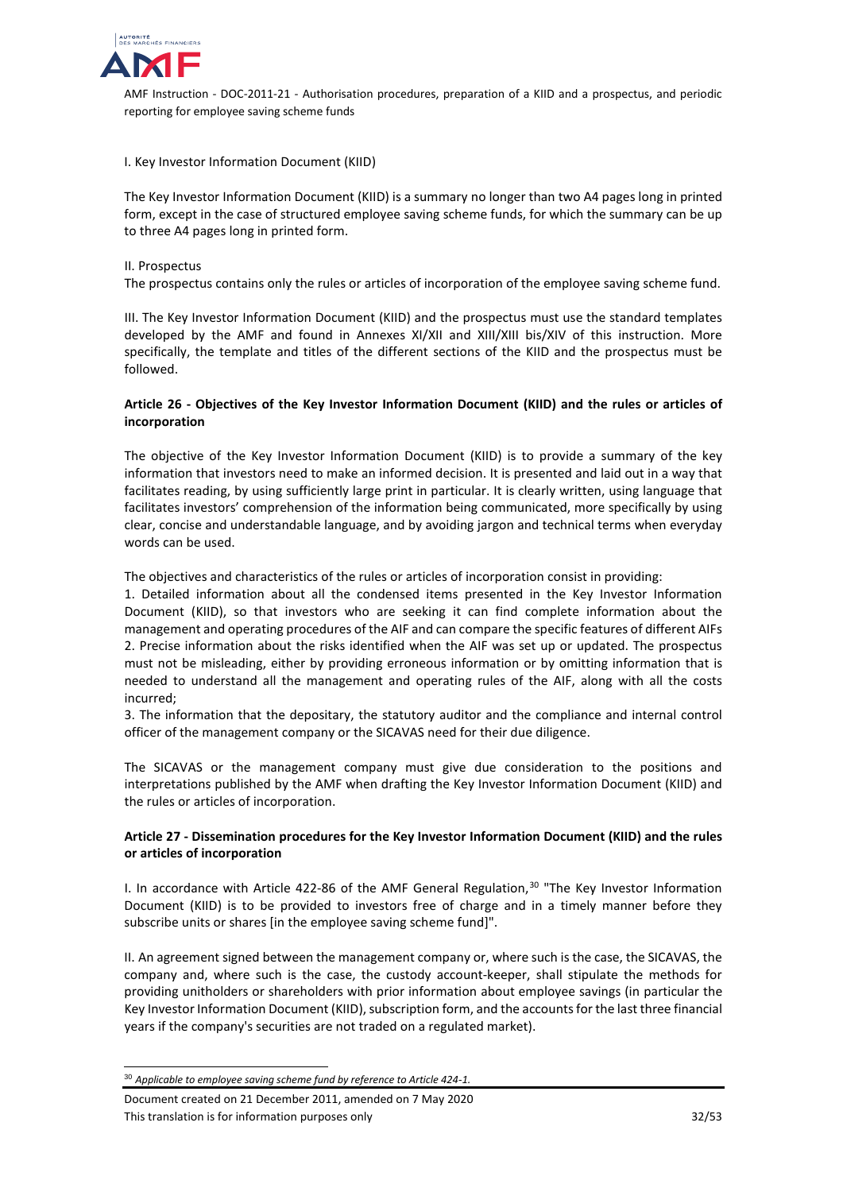

I. Key Investor Information Document (KIID)

The Key Investor Information Document (KIID) is a summary no longer than two A4 pages long in printed form, except in the case of structured employee saving scheme funds, for which the summary can be up to three A4 pages long in printed form.

#### II. Prospectus

The prospectus contains only the rules or articles of incorporation of the employee saving scheme fund.

III. The Key Investor Information Document (KIID) and the prospectus must use the standard templates developed by the AMF and found in Annexes XI/XII and XIII/XIII bis/XIV of this instruction. More specifically, the template and titles of the different sections of the KIID and the prospectus must be followed.

## **Article 26 - Objectives of the Key Investor Information Document (KIID) and the rules or articles of incorporation**

The objective of the Key Investor Information Document (KIID) is to provide a summary of the key information that investors need to make an informed decision. It is presented and laid out in a way that facilitates reading, by using sufficiently large print in particular. It is clearly written, using language that facilitates investors' comprehension of the information being communicated, more specifically by using clear, concise and understandable language, and by avoiding jargon and technical terms when everyday words can be used.

The objectives and characteristics of the rules or articles of incorporation consist in providing:

1. Detailed information about all the condensed items presented in the Key Investor Information Document (KIID), so that investors who are seeking it can find complete information about the management and operating procedures of the AIF and can compare the specific features of different AIFs 2. Precise information about the risks identified when the AIF was set up or updated. The prospectus must not be misleading, either by providing erroneous information or by omitting information that is needed to understand all the management and operating rules of the AIF, along with all the costs incurred;

3. The information that the depositary, the statutory auditor and the compliance and internal control officer of the management company or the SICAVAS need for their due diligence.

The SICAVAS or the management company must give due consideration to the positions and interpretations published by the AMF when drafting the Key Investor Information Document (KIID) and the rules or articles of incorporation.

# **Article 27 - Dissemination procedures for the Key Investor Information Document (KIID) and the rules or articles of incorporation**

I. In accordance with Article 422-86 of the AMF General Regulation, [30](#page-31-0) "The Key Investor Information Document (KIID) is to be provided to investors free of charge and in a timely manner before they subscribe units or shares [in the employee saving scheme fund]".

II. An agreement signed between the management company or, where such is the case, the SICAVAS, the company and, where such is the case, the custody account-keeper, shall stipulate the methods for providing unitholders or shareholders with prior information about employee savings (in particular the Key Investor Information Document (KIID), subscription form, and the accounts for the last three financial years if the company's securities are not traded on a regulated market).

<span id="page-31-0"></span> <sup>30</sup> *Applicable to employee saving scheme fund by reference to Article 424-1.*

Document created on 21 December 2011, amended on 7 May 2020 This translation is for information purposes only 32/53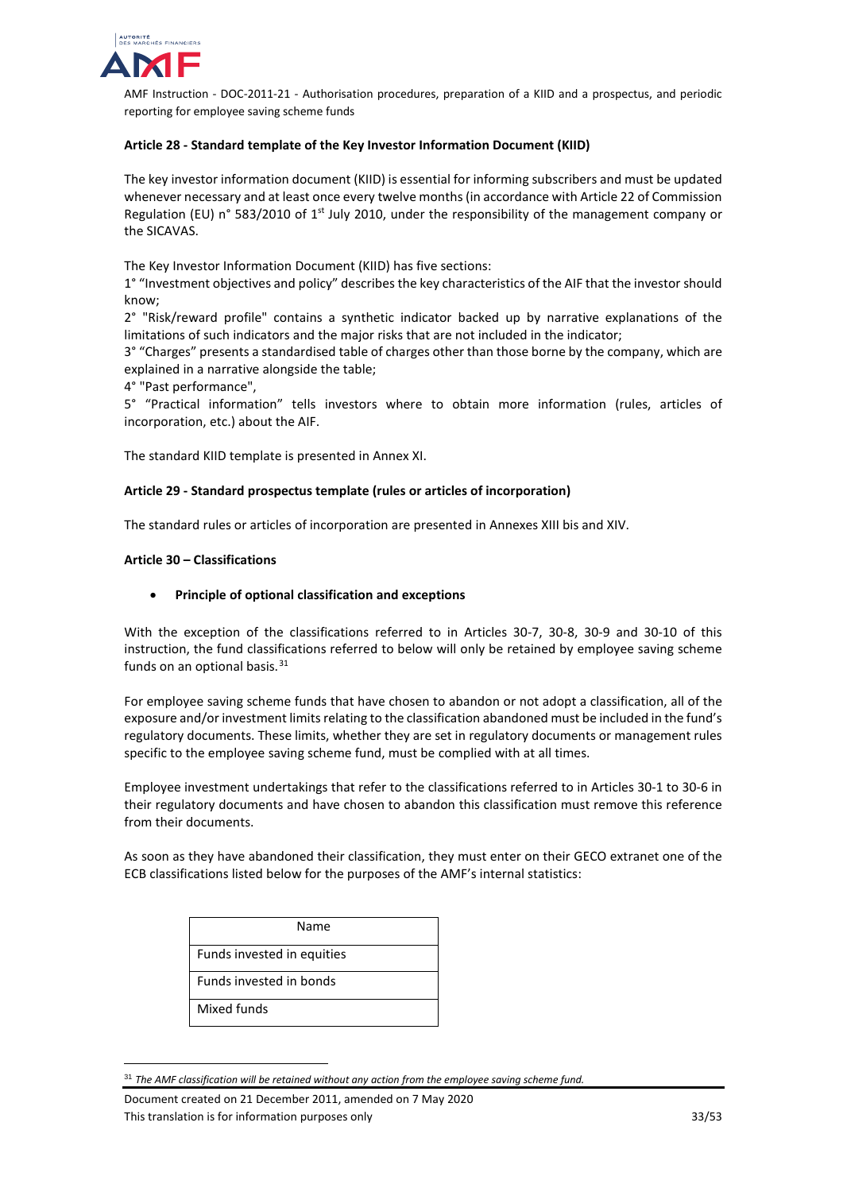

# **Article 28 - Standard template of the Key Investor Information Document (KIID)**

The key investor information document (KIID) is essential for informing subscribers and must be updated whenever necessary and at least once every twelve months (in accordance with Article 22 of Commission Regulation (EU) n° 583/2010 of 1<sup>st</sup> July 2010, under the responsibility of the management company or the SICAVAS.

The Key Investor Information Document (KIID) has five sections:

1° "Investment objectives and policy" describes the key characteristics of the AIF that the investor should know;

2° "Risk/reward profile" contains a synthetic indicator backed up by narrative explanations of the limitations of such indicators and the major risks that are not included in the indicator;

3° "Charges" presents a standardised table of charges other than those borne by the company, which are explained in a narrative alongside the table;

4° "Past performance",

5° "Practical information" tells investors where to obtain more information (rules, articles of incorporation, etc.) about the AIF.

The standard KIID template is presented in Annex XI.

## **Article 29 - Standard prospectus template (rules or articles of incorporation)**

The standard rules or articles of incorporation are presented in Annexes XIII bis and XIV.

#### **Article 30 – Classifications**

## • **Principle of optional classification and exceptions**

With the exception of the classifications referred to in Articles 30-7, 30-8, 30-9 and 30-10 of this instruction, the fund classifications referred to below will only be retained by employee saving scheme funds on an optional basis.<sup>[31](#page-32-0)</sup>

For employee saving scheme funds that have chosen to abandon or not adopt a classification, all of the exposure and/or investment limits relating to the classification abandoned must be included in the fund's regulatory documents. These limits, whether they are set in regulatory documents or management rules specific to the employee saving scheme fund, must be complied with at all times.

Employee investment undertakings that refer to the classifications referred to in Articles 30-1 to 30-6 in their regulatory documents and have chosen to abandon this classification must remove this reference from their documents.

As soon as they have abandoned their classification, they must enter on their GECO extranet one of the ECB classifications listed below for the purposes of the AMF's internal statistics:

| Name                       |
|----------------------------|
| Funds invested in equities |
| Funds invested in bonds    |
| Mixed funds                |

<span id="page-32-0"></span> <sup>31</sup> *The AMF classification will be retained without any action from the employee saving scheme fund.*

Document created on 21 December 2011, amended on 7 May 2020 This translation is for information purposes only 33/53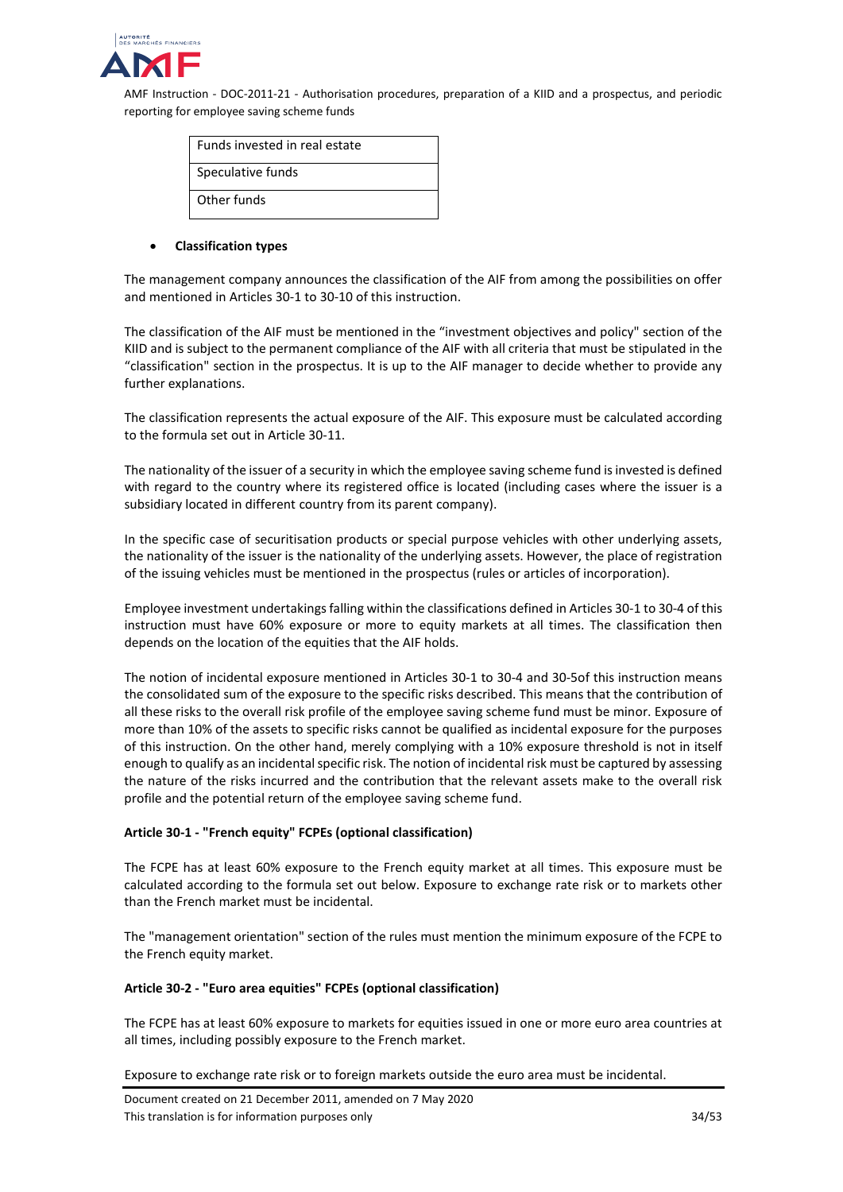

| Funds invested in real estate |
|-------------------------------|
| Speculative funds             |
| Other funds                   |

#### • **Classification types**

The management company announces the classification of the AIF from among the possibilities on offer and mentioned in Articles 30-1 to 30-10 of this instruction.

The classification of the AIF must be mentioned in the "investment objectives and policy" section of the KIID and is subject to the permanent compliance of the AIF with all criteria that must be stipulated in the "classification" section in the prospectus. It is up to the AIF manager to decide whether to provide any further explanations.

The classification represents the actual exposure of the AIF. This exposure must be calculated according to the formula set out in Article 30-11.

The nationality of the issuer of a security in which the employee saving scheme fund is invested is defined with regard to the country where its registered office is located (including cases where the issuer is a subsidiary located in different country from its parent company).

In the specific case of securitisation products or special purpose vehicles with other underlying assets, the nationality of the issuer is the nationality of the underlying assets. However, the place of registration of the issuing vehicles must be mentioned in the prospectus (rules or articles of incorporation).

Employee investment undertakingsfalling within the classifications defined in Articles 30-1 to 30-4 of this instruction must have 60% exposure or more to equity markets at all times. The classification then depends on the location of the equities that the AIF holds.

The notion of incidental exposure mentioned in Articles 30-1 to 30-4 and 30-5of this instruction means the consolidated sum of the exposure to the specific risks described. This means that the contribution of all these risks to the overall risk profile of the employee saving scheme fund must be minor. Exposure of more than 10% of the assets to specific risks cannot be qualified as incidental exposure for the purposes of this instruction. On the other hand, merely complying with a 10% exposure threshold is not in itself enough to qualify as an incidental specific risk. The notion of incidental risk must be captured by assessing the nature of the risks incurred and the contribution that the relevant assets make to the overall risk profile and the potential return of the employee saving scheme fund.

## **Article 30-1 - "French equity" FCPEs (optional classification)**

The FCPE has at least 60% exposure to the French equity market at all times. This exposure must be calculated according to the formula set out below. Exposure to exchange rate risk or to markets other than the French market must be incidental.

The "management orientation" section of the rules must mention the minimum exposure of the FCPE to the French equity market.

## **Article 30-2 - "Euro area equities" FCPEs (optional classification)**

The FCPE has at least 60% exposure to markets for equities issued in one or more euro area countries at all times, including possibly exposure to the French market.

Exposure to exchange rate risk or to foreign markets outside the euro area must be incidental.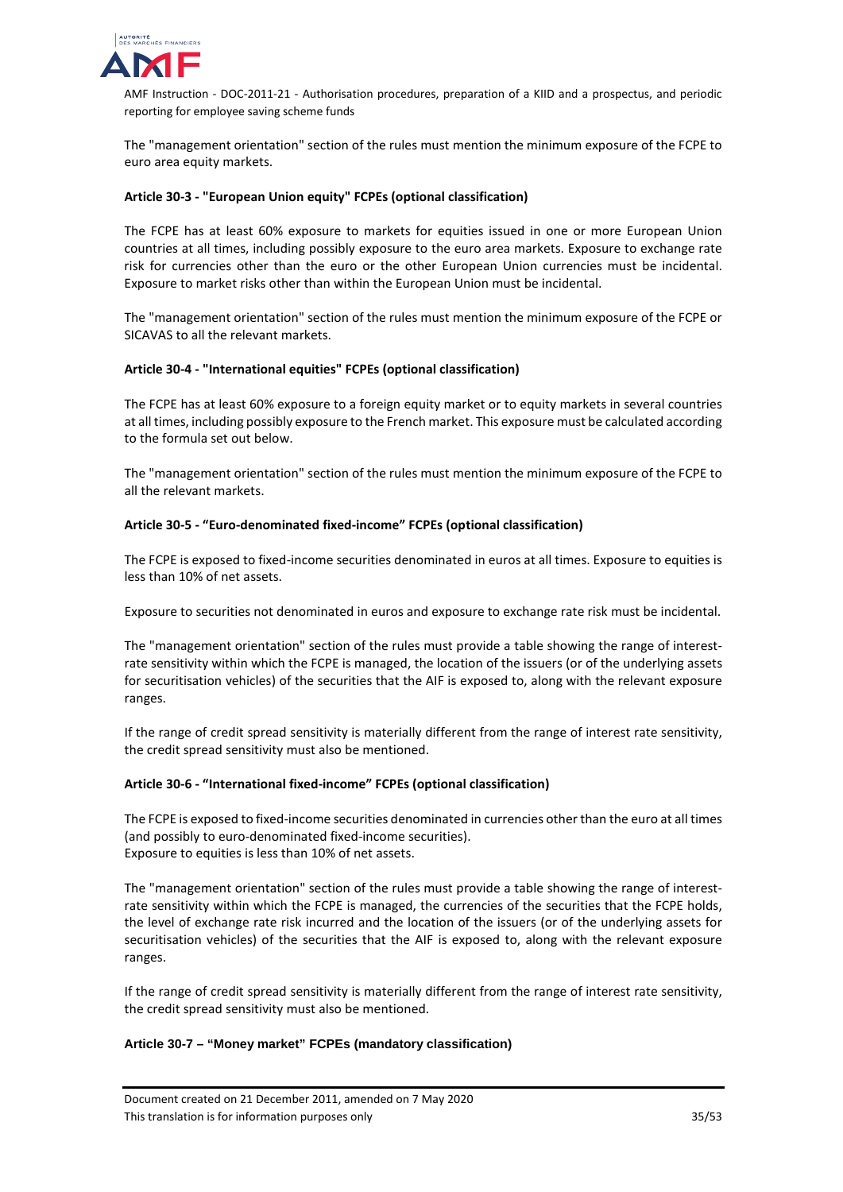

The "management orientation" section of the rules must mention the minimum exposure of the FCPE to euro area equity markets.

## **Article 30-3 - "European Union equity" FCPEs (optional classification)**

The FCPE has at least 60% exposure to markets for equities issued in one or more European Union countries at all times, including possibly exposure to the euro area markets. Exposure to exchange rate risk for currencies other than the euro or the other European Union currencies must be incidental. Exposure to market risks other than within the European Union must be incidental.

The "management orientation" section of the rules must mention the minimum exposure of the FCPE or SICAVAS to all the relevant markets.

#### **Article 30-4 - "International equities" FCPEs (optional classification)**

The FCPE has at least 60% exposure to a foreign equity market or to equity markets in several countries at all times, including possibly exposure to the French market. This exposure must be calculated according to the formula set out below.

The "management orientation" section of the rules must mention the minimum exposure of the FCPE to all the relevant markets.

#### **Article 30-5 - "Euro-denominated fixed-income" FCPEs (optional classification)**

The FCPE is exposed to fixed-income securities denominated in euros at all times. Exposure to equities is less than 10% of net assets.

Exposure to securities not denominated in euros and exposure to exchange rate risk must be incidental.

The "management orientation" section of the rules must provide a table showing the range of interestrate sensitivity within which the FCPE is managed, the location of the issuers (or of the underlying assets for securitisation vehicles) of the securities that the AIF is exposed to, along with the relevant exposure ranges.

If the range of credit spread sensitivity is materially different from the range of interest rate sensitivity, the credit spread sensitivity must also be mentioned.

#### **Article 30-6 - "International fixed-income" FCPEs (optional classification)**

The FCPE is exposed to fixed-income securities denominated in currencies other than the euro at all times (and possibly to euro-denominated fixed-income securities). Exposure to equities is less than 10% of net assets.

The "management orientation" section of the rules must provide a table showing the range of interestrate sensitivity within which the FCPE is managed, the currencies of the securities that the FCPE holds, the level of exchange rate risk incurred and the location of the issuers (or of the underlying assets for securitisation vehicles) of the securities that the AIF is exposed to, along with the relevant exposure ranges.

If the range of credit spread sensitivity is materially different from the range of interest rate sensitivity, the credit spread sensitivity must also be mentioned.

#### **Article 30-7 – "Money market" FCPEs (mandatory classification)**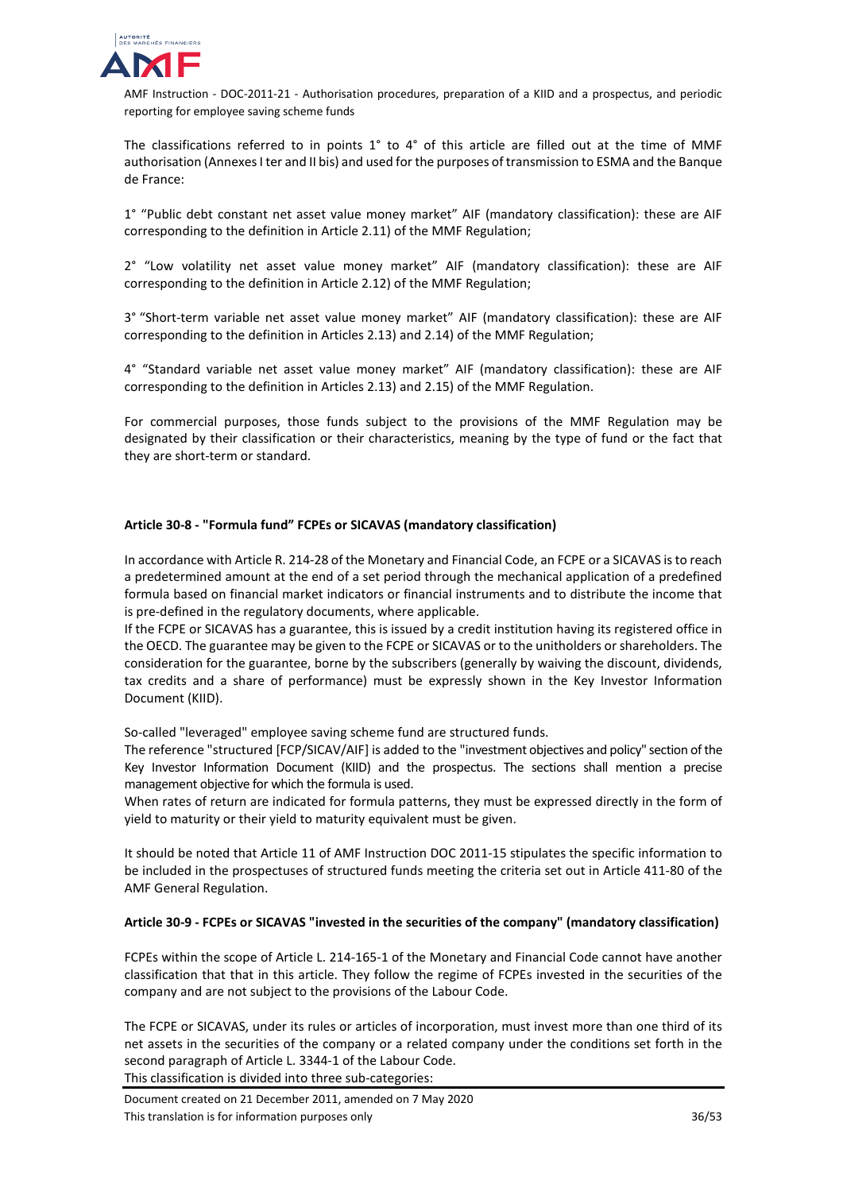

The classifications referred to in points 1° to 4° of this article are filled out at the time of MMF authorisation (Annexes I ter and II bis) and used for the purposes of transmission to ESMA and the Banque de France:

1° "Public debt constant net asset value money market" AIF (mandatory classification): these are AIF corresponding to the definition in Article 2.11) of the MMF Regulation;

2° "Low volatility net asset value money market" AIF (mandatory classification): these are AIF corresponding to the definition in Article 2.12) of the MMF Regulation;

3° "Short-term variable net asset value money market" AIF (mandatory classification): these are AIF corresponding to the definition in Articles 2.13) and 2.14) of the MMF Regulation;

4° "Standard variable net asset value money market" AIF (mandatory classification): these are AIF corresponding to the definition in Articles 2.13) and 2.15) of the MMF Regulation.

For commercial purposes, those funds subject to the provisions of the MMF Regulation may be designated by their classification or their characteristics, meaning by the type of fund or the fact that they are short-term or standard.

## **Article 30-8 - "Formula fund" FCPEs or SICAVAS (mandatory classification)**

In accordance with Article R. 214-28 of the Monetary and Financial Code, an FCPE or a SICAVAS is to reach a predetermined amount at the end of a set period through the mechanical application of a predefined formula based on financial market indicators or financial instruments and to distribute the income that is pre-defined in the regulatory documents, where applicable.

If the FCPE or SICAVAS has a guarantee, this is issued by a credit institution having its registered office in the OECD. The guarantee may be given to the FCPE or SICAVAS or to the unitholders or shareholders. The consideration for the guarantee, borne by the subscribers (generally by waiving the discount, dividends, tax credits and a share of performance) must be expressly shown in the Key Investor Information Document (KIID).

So-called "leveraged" employee saving scheme fund are structured funds.

The reference "structured [FCP/SICAV/AIF] is added to the "investment objectives and policy" section of the Key Investor Information Document (KIID) and the prospectus. The sections shall mention a precise management objective for which the formula is used.

When rates of return are indicated for formula patterns, they must be expressed directly in the form of yield to maturity or their yield to maturity equivalent must be given.

It should be noted that Article 11 of AMF Instruction DOC 2011-15 stipulates the specific information to be included in the prospectuses of structured funds meeting the criteria set out in Article 411-80 of the AMF General Regulation.

## **Article 30-9 - FCPEs or SICAVAS "invested in the securities of the company" (mandatory classification)**

FCPEs within the scope of Article L. 214-165-1 of the Monetary and Financial Code cannot have another classification that that in this article. They follow the regime of FCPEs invested in the securities of the company and are not subject to the provisions of the Labour Code.

The FCPE or SICAVAS, under its rules or articles of incorporation, must invest more than one third of its net assets in the securities of the company or a related company under the conditions set forth in the second paragraph of Article L. 3344-1 of the Labour Code.

This classification is divided into three sub-categories: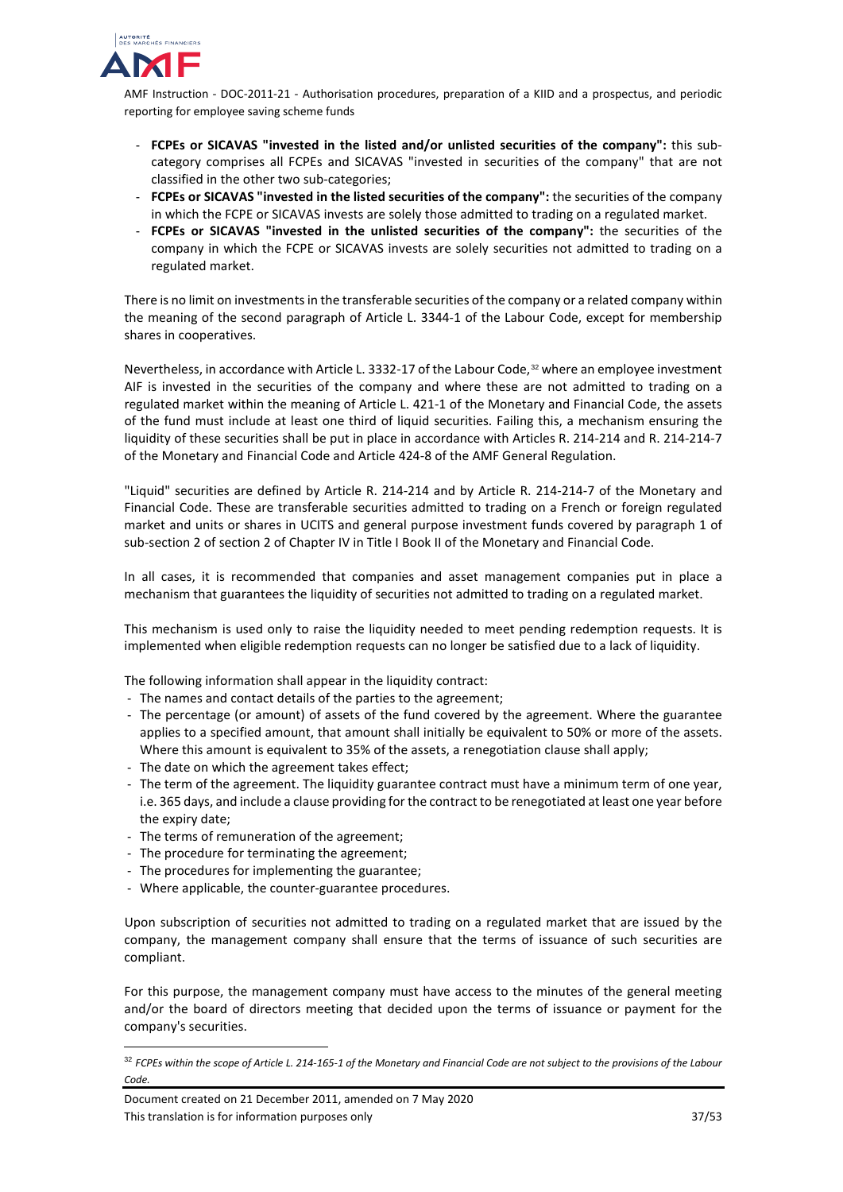

- **FCPEs or SICAVAS "invested in the listed and/or unlisted securities of the company":** this subcategory comprises all FCPEs and SICAVAS "invested in securities of the company" that are not classified in the other two sub-categories;
- **FCPEs or SICAVAS "invested in the listed securities of the company":** the securities of the company in which the FCPE or SICAVAS invests are solely those admitted to trading on a regulated market.
- **FCPEs or SICAVAS "invested in the unlisted securities of the company":** the securities of the company in which the FCPE or SICAVAS invests are solely securities not admitted to trading on a regulated market.

There is no limit on investments in the transferable securities of the company or a related company within the meaning of the second paragraph of Article L. 3344-1 of the Labour Code, except for membership shares in cooperatives.

Nevertheless, in accordance with Article L. 3332-17 of the Labour Code, [32](#page-36-0) where an employee investment AIF is invested in the securities of the company and where these are not admitted to trading on a regulated market within the meaning of Article L. 421-1 of the Monetary and Financial Code, the assets of the fund must include at least one third of liquid securities. Failing this, a mechanism ensuring the liquidity of these securities shall be put in place in accordance with Articles R. 214-214 and R. 214-214-7 of the Monetary and Financial Code and Article 424-8 of the AMF General Regulation.

"Liquid" securities are defined by Article R. 214-214 and by Article R. 214-214-7 of the Monetary and Financial Code. These are transferable securities admitted to trading on a French or foreign regulated market and units or shares in UCITS and general purpose investment funds covered by paragraph 1 of sub-section 2 of section 2 of Chapter IV in Title I Book II of the Monetary and Financial Code.

In all cases, it is recommended that companies and asset management companies put in place a mechanism that guarantees the liquidity of securities not admitted to trading on a regulated market.

This mechanism is used only to raise the liquidity needed to meet pending redemption requests. It is implemented when eligible redemption requests can no longer be satisfied due to a lack of liquidity.

The following information shall appear in the liquidity contract:

- The names and contact details of the parties to the agreement;
- The percentage (or amount) of assets of the fund covered by the agreement. Where the guarantee applies to a specified amount, that amount shall initially be equivalent to 50% or more of the assets. Where this amount is equivalent to 35% of the assets, a renegotiation clause shall apply;
- The date on which the agreement takes effect;
- The term of the agreement. The liquidity guarantee contract must have a minimum term of one year, i.e. 365 days, and include a clause providing for the contract to be renegotiated at least one year before the expiry date;
- The terms of remuneration of the agreement;
- The procedure for terminating the agreement;
- The procedures for implementing the guarantee;
- Where applicable, the counter-guarantee procedures.

Upon subscription of securities not admitted to trading on a regulated market that are issued by the company, the management company shall ensure that the terms of issuance of such securities are compliant.

For this purpose, the management company must have access to the minutes of the general meeting and/or the board of directors meeting that decided upon the terms of issuance or payment for the company's securities.

<span id="page-36-0"></span> <sup>32</sup> *FCPEs within the scope of Article L. 214-165-1 of the Monetary and Financial Code are not subject to the provisions of the Labour Code.*

Document created on 21 December 2011, amended on 7 May 2020 This translation is for information purposes only 37/53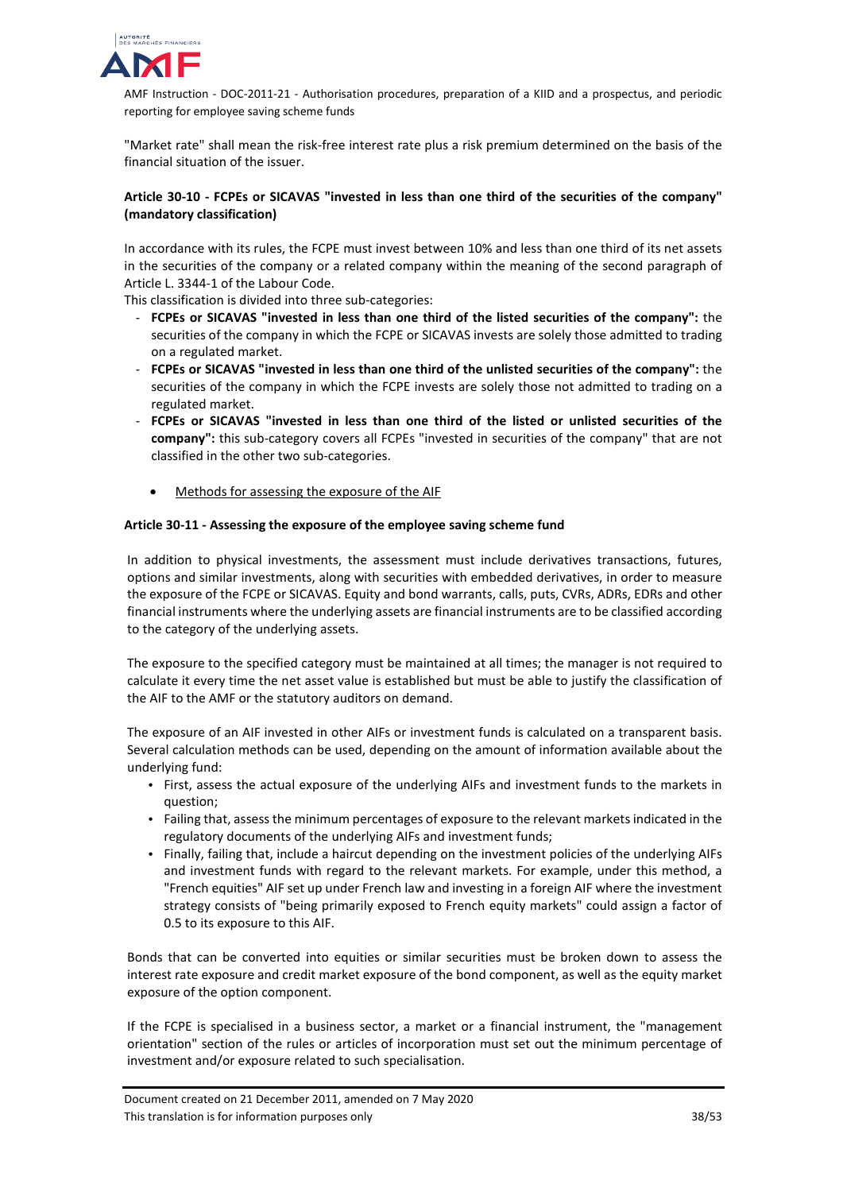

"Market rate" shall mean the risk-free interest rate plus a risk premium determined on the basis of the financial situation of the issuer.

# **Article 30-10 - FCPEs or SICAVAS "invested in less than one third of the securities of the company" (mandatory classification)**

In accordance with its rules, the FCPE must invest between 10% and less than one third of its net assets in the securities of the company or a related company within the meaning of the second paragraph of Article L. 3344-1 of the Labour Code.

This classification is divided into three sub-categories:

- **FCPEs or SICAVAS "invested in less than one third of the listed securities of the company":** the securities of the company in which the FCPE or SICAVAS invests are solely those admitted to trading on a regulated market.
- **FCPEs or SICAVAS "invested in less than one third of the unlisted securities of the company":** the securities of the company in which the FCPE invests are solely those not admitted to trading on a regulated market.
- **FCPEs or SICAVAS "invested in less than one third of the listed or unlisted securities of the company":** this sub-category covers all FCPEs "invested in securities of the company" that are not classified in the other two sub-categories.
	- Methods for assessing the exposure of the AIF

## **Article 30-11 - Assessing the exposure of the employee saving scheme fund**

In addition to physical investments, the assessment must include derivatives transactions, futures, options and similar investments, along with securities with embedded derivatives, in order to measure the exposure of the FCPE or SICAVAS. Equity and bond warrants, calls, puts, CVRs, ADRs, EDRs and other financial instruments where the underlying assets are financial instruments are to be classified according to the category of the underlying assets.

The exposure to the specified category must be maintained at all times; the manager is not required to calculate it every time the net asset value is established but must be able to justify the classification of the AIF to the AMF or the statutory auditors on demand.

The exposure of an AIF invested in other AIFs or investment funds is calculated on a transparent basis. Several calculation methods can be used, depending on the amount of information available about the underlying fund:

- First, assess the actual exposure of the underlying AIFs and investment funds to the markets in question;
- Failing that, assess the minimum percentages of exposure to the relevant markets indicated in the regulatory documents of the underlying AIFs and investment funds;
- Finally, failing that, include a haircut depending on the investment policies of the underlying AIFs and investment funds with regard to the relevant markets. For example, under this method, a "French equities" AIF set up under French law and investing in a foreign AIF where the investment strategy consists of "being primarily exposed to French equity markets" could assign a factor of 0.5 to its exposure to this AIF.

Bonds that can be converted into equities or similar securities must be broken down to assess the interest rate exposure and credit market exposure of the bond component, as well as the equity market exposure of the option component.

If the FCPE is specialised in a business sector, a market or a financial instrument, the "management orientation" section of the rules or articles of incorporation must set out the minimum percentage of investment and/or exposure related to such specialisation.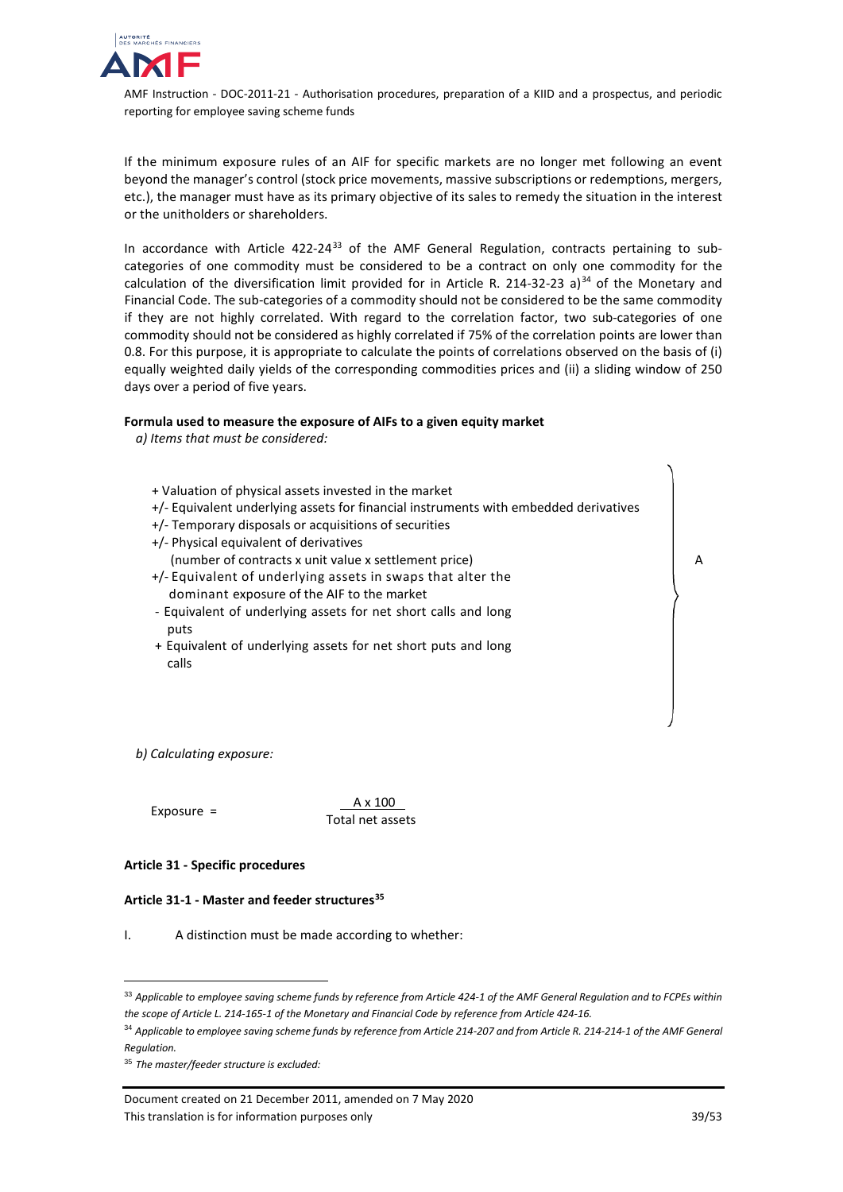

If the minimum exposure rules of an AIF for specific markets are no longer met following an event beyond the manager's control (stock price movements, massive subscriptions or redemptions, mergers, etc.), the manager must have as its primary objective of its sales to remedy the situation in the interest or the unitholders or shareholders.

In accordance with Article 422-24 $33$  of the AMF General Regulation, contracts pertaining to subcategories of one commodity must be considered to be a contract on only one commodity for the calculation of the diversification limit provided for in Article R. 214-32-23 a)<sup>[34](#page-38-1)</sup> of the Monetary and Financial Code. The sub-categories of a commodity should not be considered to be the same commodity if they are not highly correlated. With regard to the correlation factor, two sub-categories of one commodity should not be considered as highly correlated if 75% of the correlation points are lower than 0.8. For this purpose, it is appropriate to calculate the points of correlations observed on the basis of (i) equally weighted daily yields of the corresponding commodities prices and (ii) a sliding window of 250 days over a period of five years.

#### **Formula used to measure the exposure of AIFs to a given equity market**

*a) Items that must be considered:*

- + Valuation of physical assets invested in the market +/- Equivalent underlying assets for financial instruments with embedded derivatives +/- Temporary disposals or acquisitions of securities +/- Physical equivalent of derivatives (number of contracts x unit value x settlement price) +/- Equivalent of underlying assets in swaps that alter the dominant exposure of the AIF to the market - Equivalent of underlying assets for net short calls and long puts
	- + Equivalent of underlying assets for net short puts and long calls

*b) Calculating exposure:*

Exposure =  $\frac{A \times 100}{A}$ Total net assets

## **Article 31 - Specific procedures**

## **Article 31-1 - Master and feeder structures[35](#page-38-2)**

I. A distinction must be made according to whether:

A

<span id="page-38-0"></span> <sup>33</sup> *Applicable to employee saving scheme funds by reference from Article 424-1 of the AMF General Regulation and to FCPEs within the scope of Article L. 214-165-1 of the Monetary and Financial Code by reference from Article 424-16.*

<span id="page-38-1"></span><sup>34</sup> *Applicable to employee saving scheme funds by reference from Article 214-207 and from Article R. 214-214-1 of the AMF General Regulation.*

<span id="page-38-2"></span><sup>35</sup> *The master/feeder structure is excluded:* 

Document created on 21 December 2011, amended on 7 May 2020 This translation is for information purposes only 39/53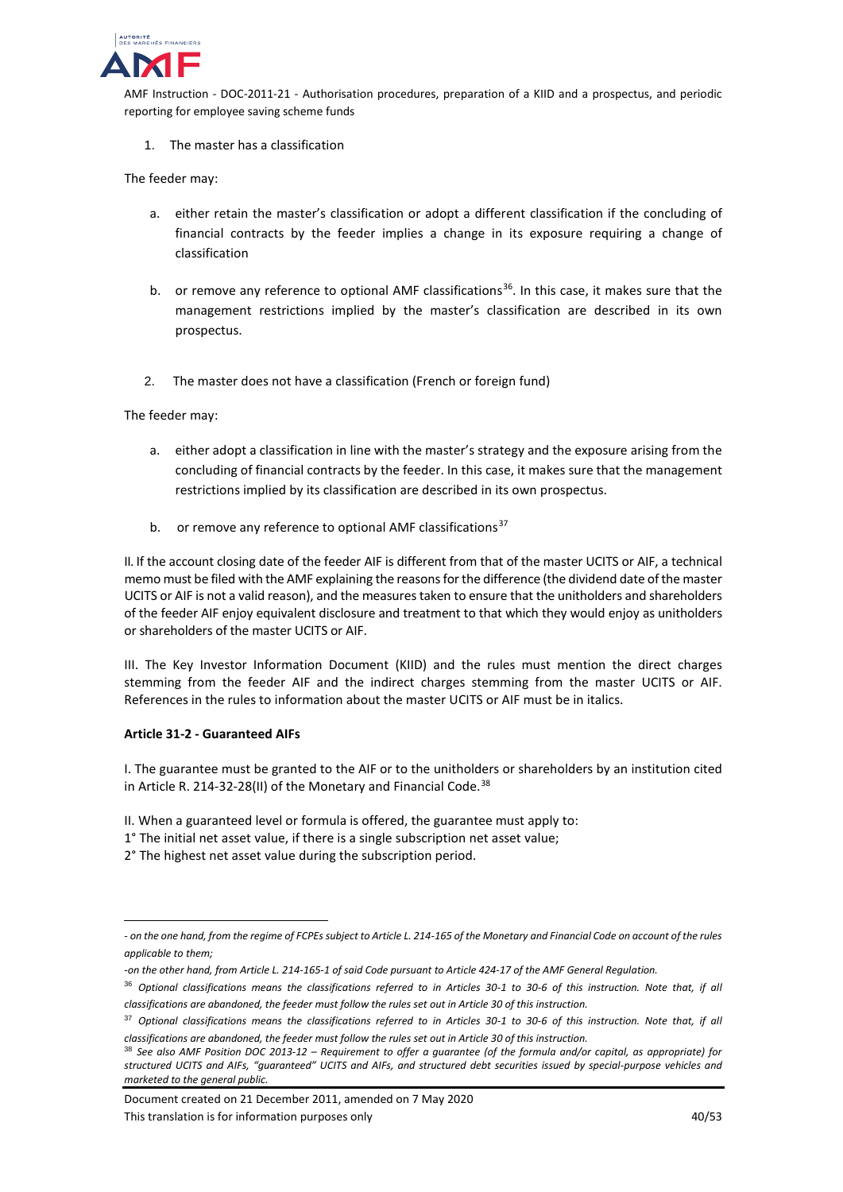

1. The master has a classification

The feeder may:

- a. either retain the master's classification or adopt a different classification if the concluding of financial contracts by the feeder implies a change in its exposure requiring a change of classification
- b. or remove any reference to optional AMF classifications<sup>[36](#page-39-0)</sup>. In this case, it makes sure that the management restrictions implied by the master's classification are described in its own prospectus.
- 2. The master does not have a classification (French or foreign fund)

The feeder may:

- a. either adopt a classification in line with the master's strategy and the exposure arising from the concluding of financial contracts by the feeder. In this case, it makes sure that the management restrictions implied by its classification are described in its own prospectus.
- b. or remove any reference to optional AMF classifications<sup>[37](#page-39-1)</sup>

II. If the account closing date of the feeder AIF is different from that of the master UCITS or AIF, a technical memo must be filed with the AMF explaining the reasons for the difference (the dividend date of the master UCITS or AIF is not a valid reason), and the measures taken to ensure that the unitholders and shareholders of the feeder AIF enjoy equivalent disclosure and treatment to that which they would enjoy as unitholders or shareholders of the master UCITS or AIF.

III. The Key Investor Information Document (KIID) and the rules must mention the direct charges stemming from the feeder AIF and the indirect charges stemming from the master UCITS or AIF. References in the rules to information about the master UCITS or AIF must be in italics.

## **Article 31-2 - Guaranteed AIFs**

j

I. The guarantee must be granted to the AIF or to the unitholders or shareholders by an institution cited in Article R. 214-32-28(II) of the Monetary and Financial Code.<sup>[38](#page-39-2)</sup>

- II. When a guaranteed level or formula is offered, the guarantee must apply to:
- 1° The initial net asset value, if there is a single subscription net asset value;
- 2° The highest net asset value during the subscription period.

Document created on 21 December 2011, amended on 7 May 2020 This translation is for information purposes only 40/53

*<sup>-</sup> on the one hand, from the regime of FCPEs subject to Article L. 214-165 of the Monetary and Financial Code on account of the rules applicable to them;* 

*<sup>-</sup>on the other hand, from Article L. 214-165-1 of said Code pursuant to Article 424-17 of the AMF General Regulation.*

<span id="page-39-0"></span><sup>36</sup> *Optional classifications means the classifications referred to in Articles 30-1 to 30-6 of this instruction. Note that, if all classifications are abandoned, the feeder must follow the rules set out in Article 30 of this instruction.*

<span id="page-39-1"></span><sup>37</sup> *Optional classifications means the classifications referred to in Articles 30-1 to 30-6 of this instruction. Note that, if all classifications are abandoned, the feeder must follow the rules set out in Article 30 of this instruction.*

<span id="page-39-2"></span><sup>38</sup> *See also AMF Position DOC 2013-12 – Requirement to offer a guarantee (of the formula and/or capital, as appropriate) for structured UCITS and AIFs, "guaranteed" UCITS and AIFs, and structured debt securities issued by special-purpose vehicles and marketed to the general public.*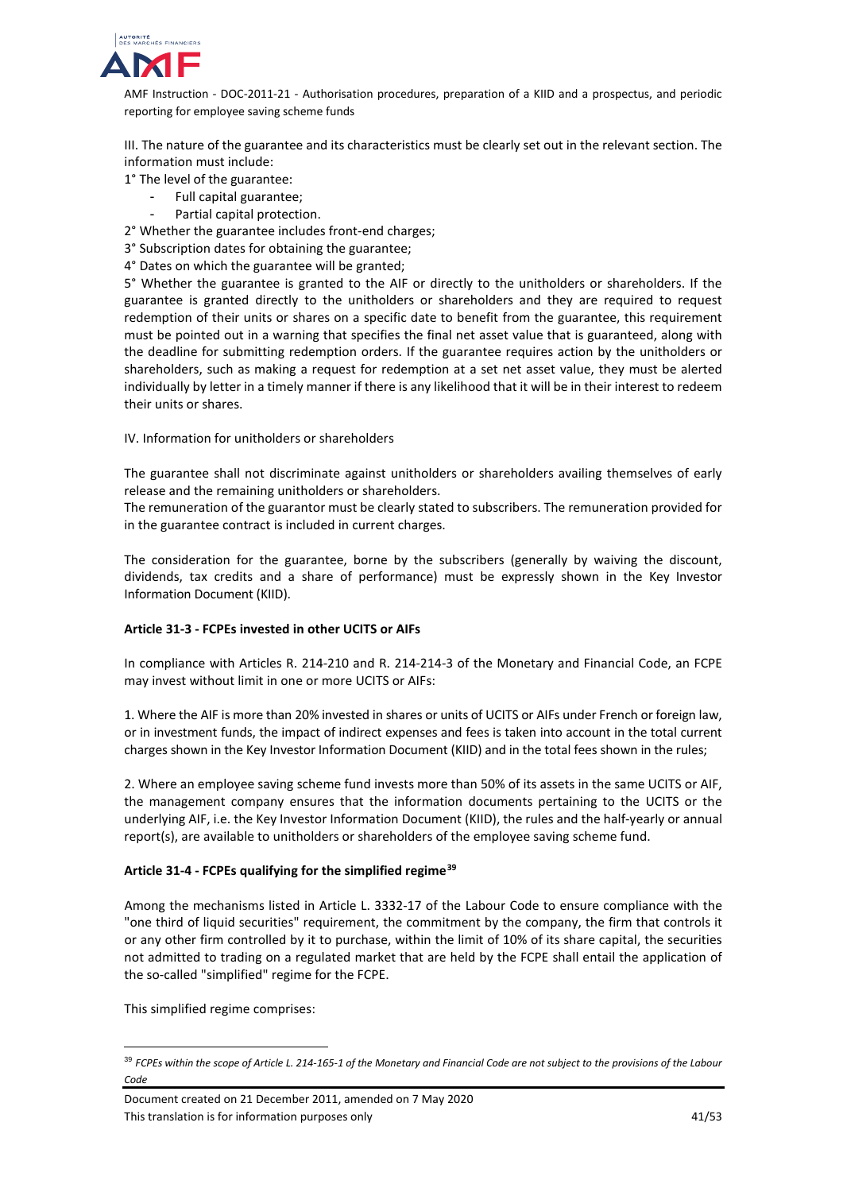

III. The nature of the guarantee and its characteristics must be clearly set out in the relevant section. The information must include:

1° The level of the guarantee:

- Full capital guarantee;
- Partial capital protection.
- 2° Whether the guarantee includes front-end charges;
- 3° Subscription dates for obtaining the guarantee;
- 4° Dates on which the guarantee will be granted;

5° Whether the guarantee is granted to the AIF or directly to the unitholders or shareholders. If the guarantee is granted directly to the unitholders or shareholders and they are required to request redemption of their units or shares on a specific date to benefit from the guarantee, this requirement must be pointed out in a warning that specifies the final net asset value that is guaranteed, along with the deadline for submitting redemption orders. If the guarantee requires action by the unitholders or shareholders, such as making a request for redemption at a set net asset value, they must be alerted individually by letter in a timely manner if there is any likelihood that it will be in their interest to redeem their units or shares.

## IV. Information for unitholders or shareholders

The guarantee shall not discriminate against unitholders or shareholders availing themselves of early release and the remaining unitholders or shareholders.

The remuneration of the guarantor must be clearly stated to subscribers. The remuneration provided for in the guarantee contract is included in current charges.

The consideration for the guarantee, borne by the subscribers (generally by waiving the discount, dividends, tax credits and a share of performance) must be expressly shown in the Key Investor Information Document (KIID).

## **Article 31-3 - FCPEs invested in other UCITS or AIFs**

In compliance with Articles R. 214-210 and R. 214-214-3 of the Monetary and Financial Code, an FCPE may invest without limit in one or more UCITS or AIFs:

1. Where the AIF is more than 20% invested in shares or units of UCITS or AIFs under French or foreign law, or in investment funds, the impact of indirect expenses and fees is taken into account in the total current charges shown in the Key Investor Information Document (KIID) and in the total fees shown in the rules;

2. Where an employee saving scheme fund invests more than 50% of its assets in the same UCITS or AIF, the management company ensures that the information documents pertaining to the UCITS or the underlying AIF, i.e. the Key Investor Information Document (KIID), the rules and the half-yearly or annual report(s), are available to unitholders or shareholders of the employee saving scheme fund.

## **Article 31-4 - FCPEs qualifying for the simplified regime[39](#page-40-0)**

Among the mechanisms listed in Article L. 3332-17 of the Labour Code to ensure compliance with the "one third of liquid securities" requirement, the commitment by the company, the firm that controls it or any other firm controlled by it to purchase, within the limit of 10% of its share capital, the securities not admitted to trading on a regulated market that are held by the FCPE shall entail the application of the so-called "simplified" regime for the FCPE.

This simplified regime comprises:

<span id="page-40-0"></span> <sup>39</sup> *FCPEs within the scope of Article L. 214-165-1 of the Monetary and Financial Code are not subject to the provisions of the Labour Code*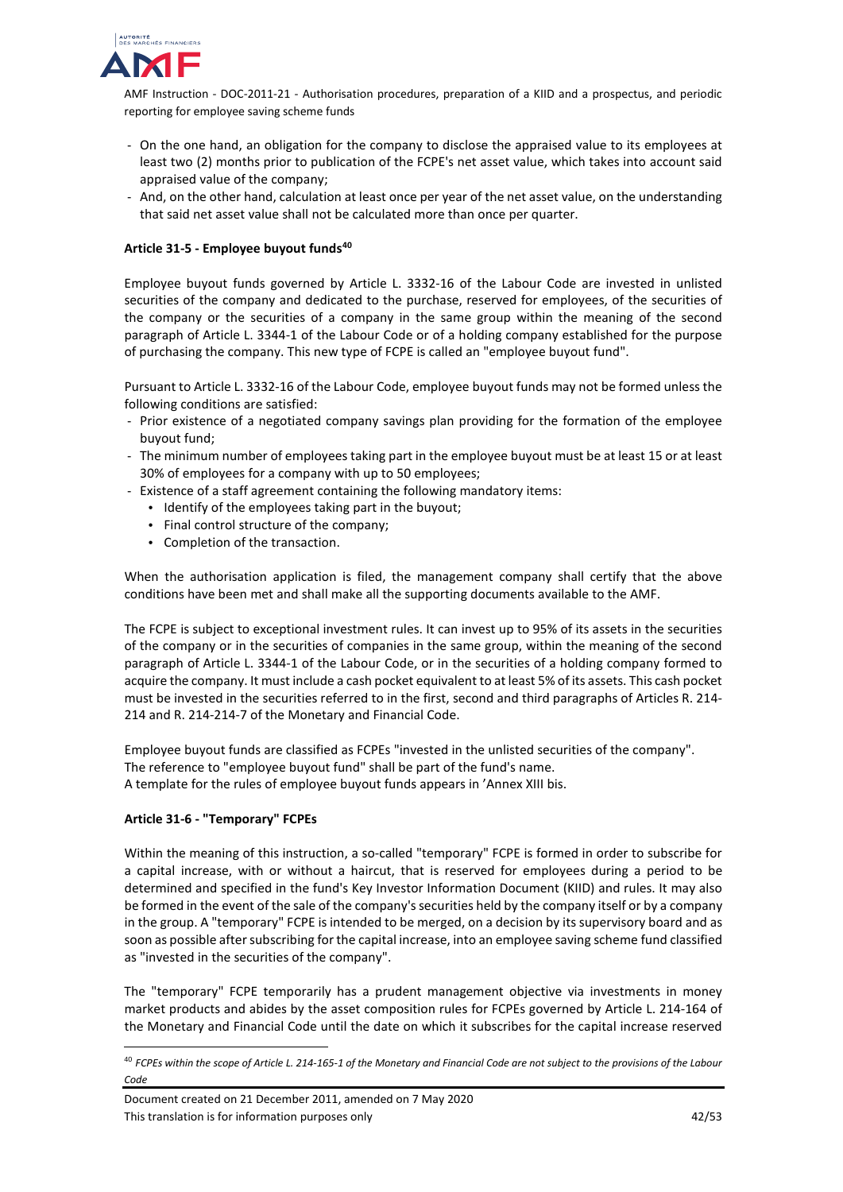

- On the one hand, an obligation for the company to disclose the appraised value to its employees at least two (2) months prior to publication of the FCPE's net asset value, which takes into account said appraised value of the company;
- And, on the other hand, calculation at least once per year of the net asset value, on the understanding that said net asset value shall not be calculated more than once per quarter.

# **Article 31-5 - Employee buyout funds[40](#page-41-0)**

Employee buyout funds governed by Article L. 3332-16 of the Labour Code are invested in unlisted securities of the company and dedicated to the purchase, reserved for employees, of the securities of the company or the securities of a company in the same group within the meaning of the second paragraph of Article L. 3344-1 of the Labour Code or of a holding company established for the purpose of purchasing the company. This new type of FCPE is called an "employee buyout fund".

Pursuant to Article L. 3332-16 of the Labour Code, employee buyout funds may not be formed unless the following conditions are satisfied:

- Prior existence of a negotiated company savings plan providing for the formation of the employee buyout fund;
- The minimum number of employees taking part in the employee buyout must be at least 15 or at least 30% of employees for a company with up to 50 employees;
- Existence of a staff agreement containing the following mandatory items:
	- Identify of the employees taking part in the buyout;
	- Final control structure of the company;
	- Completion of the transaction.

When the authorisation application is filed, the management company shall certify that the above conditions have been met and shall make all the supporting documents available to the AMF.

The FCPE is subject to exceptional investment rules. It can invest up to 95% of its assets in the securities of the company or in the securities of companies in the same group, within the meaning of the second paragraph of Article L. 3344-1 of the Labour Code, or in the securities of a holding company formed to acquire the company. It must include a cash pocket equivalent to at least 5% of its assets. This cash pocket must be invested in the securities referred to in the first, second and third paragraphs of Articles R. 214- 214 and R. 214-214-7 of the Monetary and Financial Code.

Employee buyout funds are classified as FCPEs "invested in the unlisted securities of the company". The reference to "employee buyout fund" shall be part of the fund's name. A template for the rules of employee buyout funds appears in 'Annex XIII bis.

## **Article 31-6 - "Temporary" FCPEs**

Within the meaning of this instruction, a so-called "temporary" FCPE is formed in order to subscribe for a capital increase, with or without a haircut, that is reserved for employees during a period to be determined and specified in the fund's Key Investor Information Document (KIID) and rules. It may also be formed in the event of the sale of the company's securities held by the company itself or by a company in the group. A "temporary" FCPE is intended to be merged, on a decision by its supervisory board and as soon as possible after subscribing for the capital increase, into an employee saving scheme fund classified as "invested in the securities of the company".

The "temporary" FCPE temporarily has a prudent management objective via investments in money market products and abides by the asset composition rules for FCPEs governed by Article L. 214-164 of the Monetary and Financial Code until the date on which it subscribes for the capital increase reserved

<span id="page-41-0"></span> <sup>40</sup> *FCPEs within the scope of Article L. 214-165-1 of the Monetary and Financial Code are not subject to the provisions of the Labour Code*

Document created on 21 December 2011, amended on 7 May 2020 This translation is for information purposes only 1990 and 1990 and 1990 and 1990 and 1990 and 1990 and 1990 and 1990 and 1990 and 1990 and 1990 and 1990 and 1990 and 1990 and 1990 and 1990 and 1990 and 1990 and 1990 and 1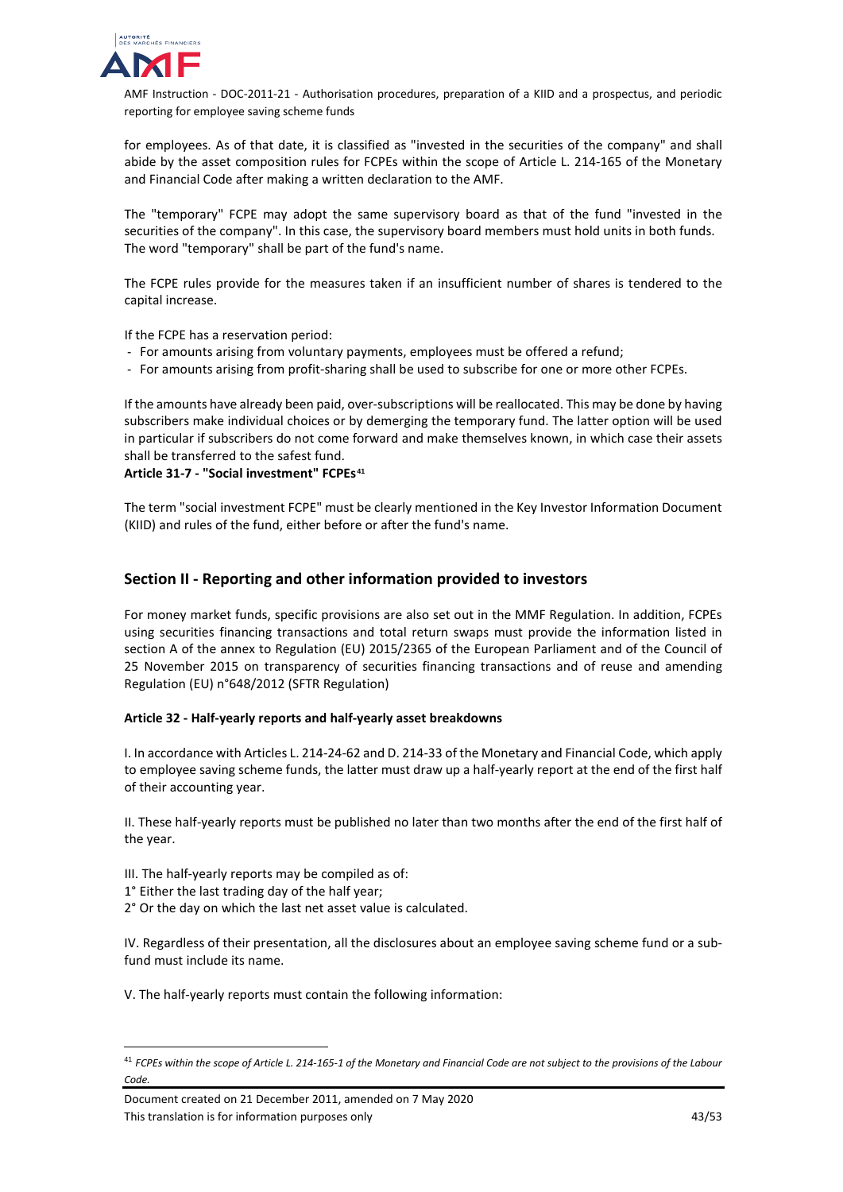

for employees. As of that date, it is classified as "invested in the securities of the company" and shall abide by the asset composition rules for FCPEs within the scope of Article L. 214-165 of the Monetary and Financial Code after making a written declaration to the AMF.

The "temporary" FCPE may adopt the same supervisory board as that of the fund "invested in the securities of the company". In this case, the supervisory board members must hold units in both funds. The word "temporary" shall be part of the fund's name.

The FCPE rules provide for the measures taken if an insufficient number of shares is tendered to the capital increase.

If the FCPE has a reservation period:

- For amounts arising from voluntary payments, employees must be offered a refund;
- For amounts arising from profit-sharing shall be used to subscribe for one or more other FCPEs.

If the amounts have already been paid, over-subscriptions will be reallocated. This may be done by having subscribers make individual choices or by demerging the temporary fund. The latter option will be used in particular if subscribers do not come forward and make themselves known, in which case their assets shall be transferred to the safest fund.

**Article 31-7 - "Social investment" FCPEs[41](#page-42-1)**

The term "social investment FCPE" must be clearly mentioned in the Key Investor Information Document (KIID) and rules of the fund, either before or after the fund's name.

# <span id="page-42-0"></span>**Section II - Reporting and other information provided to investors**

For money market funds, specific provisions are also set out in the MMF Regulation. In addition, FCPEs using securities financing transactions and total return swaps must provide the information listed in section A of the annex to Regulation (EU) 2015/2365 of the European Parliament and of the Council of 25 November 2015 on transparency of securities financing transactions and of reuse and amending Regulation (EU) n°648/2012 (SFTR Regulation)

## **Article 32 - Half-yearly reports and half-yearly asset breakdowns**

I. In accordance with Articles L. 214-24-62 and D. 214-33 of the Monetary and Financial Code, which apply to employee saving scheme funds, the latter must draw up a half-yearly report at the end of the first half of their accounting year.

II. These half-yearly reports must be published no later than two months after the end of the first half of the year.

III. The half-yearly reports may be compiled as of:

- 1° Either the last trading day of the half year;
- 2° Or the day on which the last net asset value is calculated.

IV. Regardless of their presentation, all the disclosures about an employee saving scheme fund or a subfund must include its name.

V. The half-yearly reports must contain the following information:

Document created on 21 December 2011, amended on 7 May 2020 This translation is for information purposes only the state of the state of the 43/53

<span id="page-42-1"></span> <sup>41</sup> *FCPEs within the scope of Article L. 214-165-1 of the Monetary and Financial Code are not subject to the provisions of the Labour Code.*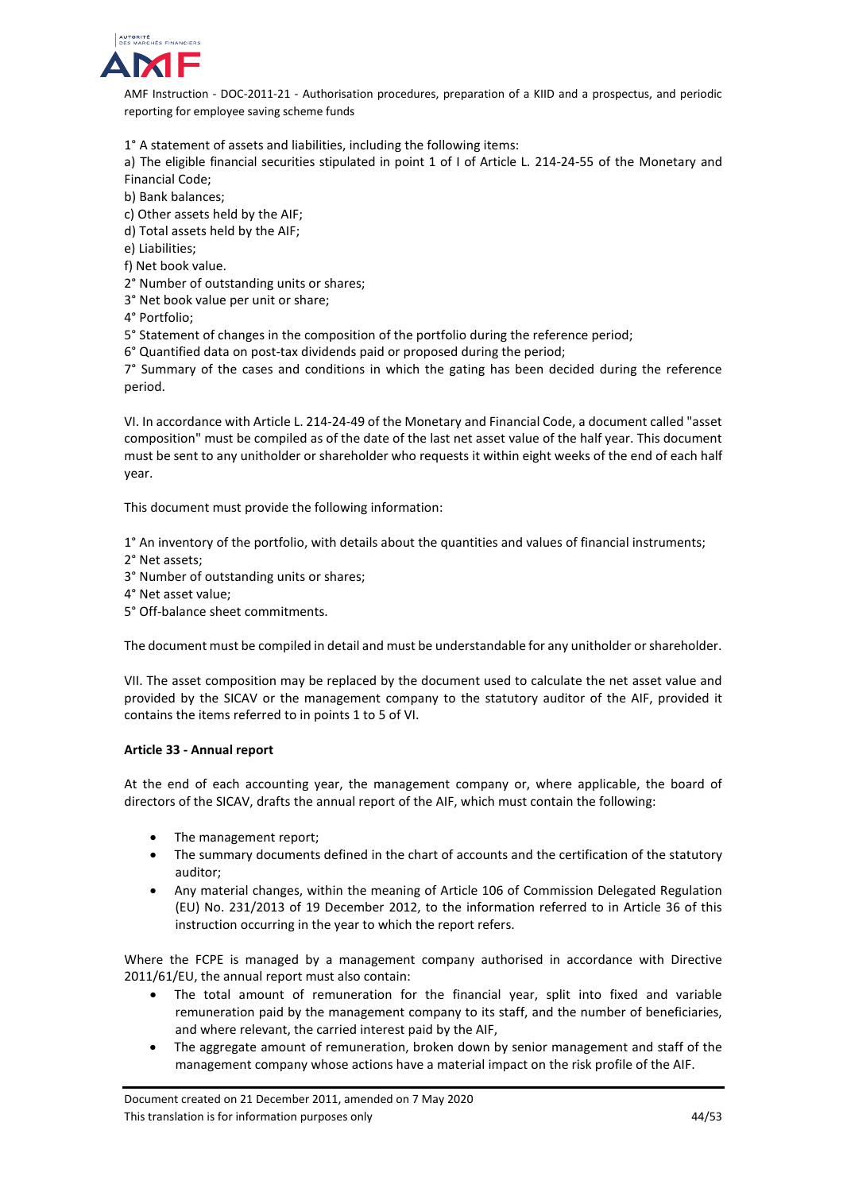

1° A statement of assets and liabilities, including the following items:

a) The eligible financial securities stipulated in point 1 of I of Article L. 214-24-55 of the Monetary and Financial Code;

b) Bank balances;

c) Other assets held by the AIF;

d) Total assets held by the AIF;

e) Liabilities;

f) Net book value.

2° Number of outstanding units or shares;

3° Net book value per unit or share;

4° Portfolio;

5° Statement of changes in the composition of the portfolio during the reference period;

6° Quantified data on post-tax dividends paid or proposed during the period;

7° Summary of the cases and conditions in which the gating has been decided during the reference period.

VI. In accordance with Article L. 214-24-49 of the Monetary and Financial Code, a document called "asset composition" must be compiled as of the date of the last net asset value of the half year. This document must be sent to any unitholder or shareholder who requests it within eight weeks of the end of each half year.

This document must provide the following information:

1° An inventory of the portfolio, with details about the quantities and values of financial instruments;

- 2° Net assets;
- 3° Number of outstanding units or shares;
- 4° Net asset value;
- 5° Off-balance sheet commitments.

The document must be compiled in detail and must be understandable for any unitholder or shareholder.

VII. The asset composition may be replaced by the document used to calculate the net asset value and provided by the SICAV or the management company to the statutory auditor of the AIF, provided it contains the items referred to in points 1 to 5 of VI.

## **Article 33 - Annual report**

At the end of each accounting year, the management company or, where applicable, the board of directors of the SICAV, drafts the annual report of the AIF, which must contain the following:

- The management report;
- The summary documents defined in the chart of accounts and the certification of the statutory auditor;
- Any material changes, within the meaning of Article 106 of Commission Delegated Regulation (EU) No. 231/2013 of 19 December 2012, to the information referred to in Article 36 of this instruction occurring in the year to which the report refers.

Where the FCPE is managed by a management company authorised in accordance with Directive 2011/61/EU, the annual report must also contain:

- The total amount of remuneration for the financial year, split into fixed and variable remuneration paid by the management company to its staff, and the number of beneficiaries, and where relevant, the carried interest paid by the AIF,
- The aggregate amount of remuneration, broken down by senior management and staff of the management company whose actions have a material impact on the risk profile of the AIF.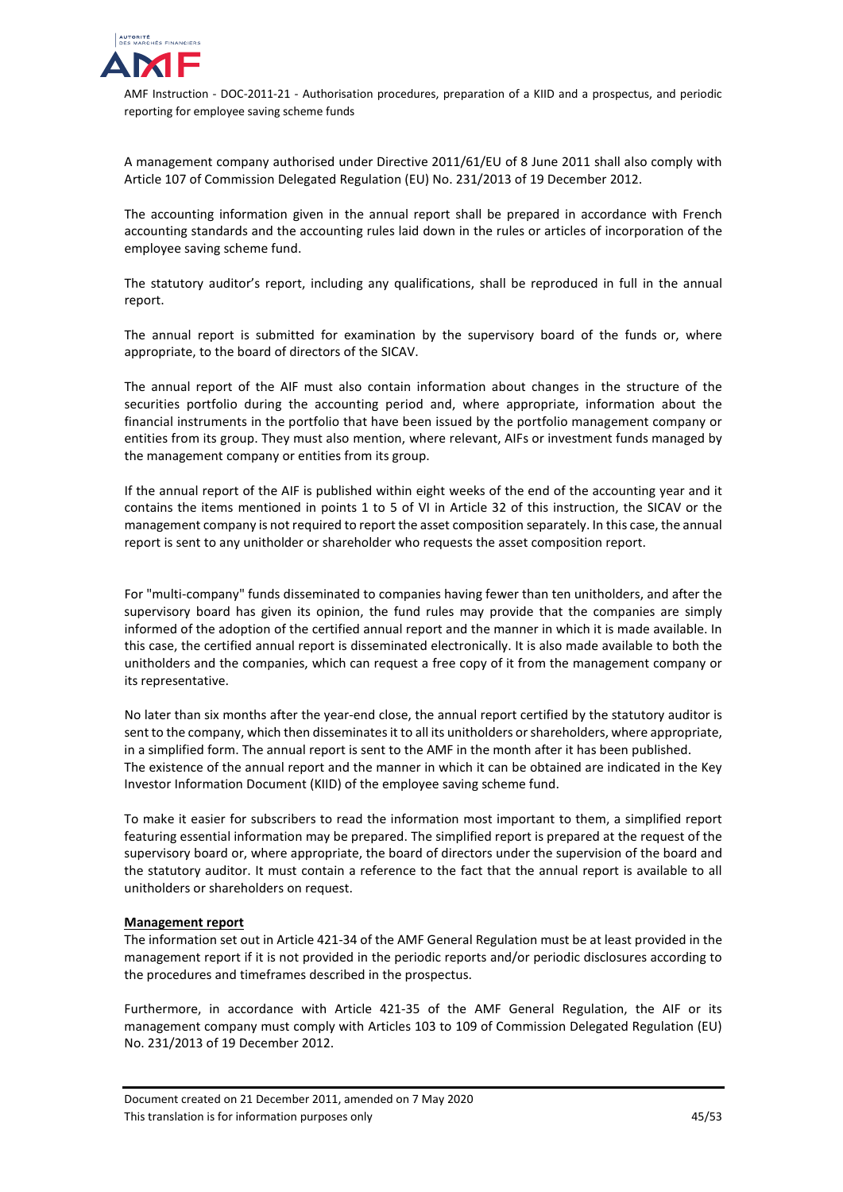

A management company authorised under Directive 2011/61/EU of 8 June 2011 shall also comply with Article 107 of Commission Delegated Regulation (EU) No. 231/2013 of 19 December 2012.

The accounting information given in the annual report shall be prepared in accordance with French accounting standards and the accounting rules laid down in the rules or articles of incorporation of the employee saving scheme fund.

The statutory auditor's report, including any qualifications, shall be reproduced in full in the annual report.

The annual report is submitted for examination by the supervisory board of the funds or, where appropriate, to the board of directors of the SICAV.

The annual report of the AIF must also contain information about changes in the structure of the securities portfolio during the accounting period and, where appropriate, information about the financial instruments in the portfolio that have been issued by the portfolio management company or entities from its group. They must also mention, where relevant, AIFs or investment funds managed by the management company or entities from its group.

If the annual report of the AIF is published within eight weeks of the end of the accounting year and it contains the items mentioned in points 1 to 5 of VI in Article 32 of this instruction, the SICAV or the management company is not required to report the asset composition separately. In this case, the annual report is sent to any unitholder or shareholder who requests the asset composition report.

For "multi-company" funds disseminated to companies having fewer than ten unitholders, and after the supervisory board has given its opinion, the fund rules may provide that the companies are simply informed of the adoption of the certified annual report and the manner in which it is made available. In this case, the certified annual report is disseminated electronically. It is also made available to both the unitholders and the companies, which can request a free copy of it from the management company or its representative.

No later than six months after the year-end close, the annual report certified by the statutory auditor is sent to the company, which then disseminates it to all its unitholders or shareholders, where appropriate, in a simplified form. The annual report is sent to the AMF in the month after it has been published. The existence of the annual report and the manner in which it can be obtained are indicated in the Key Investor Information Document (KIID) of the employee saving scheme fund.

To make it easier for subscribers to read the information most important to them, a simplified report featuring essential information may be prepared. The simplified report is prepared at the request of the supervisory board or, where appropriate, the board of directors under the supervision of the board and the statutory auditor. It must contain a reference to the fact that the annual report is available to all unitholders or shareholders on request.

## **Management report**

The information set out in Article 421-34 of the AMF General Regulation must be at least provided in the management report if it is not provided in the periodic reports and/or periodic disclosures according to the procedures and timeframes described in the prospectus.

Furthermore, in accordance with Article 421-35 of the AMF General Regulation, the AIF or its management company must comply with Articles 103 to 109 of Commission Delegated Regulation (EU) No. 231/2013 of 19 December 2012.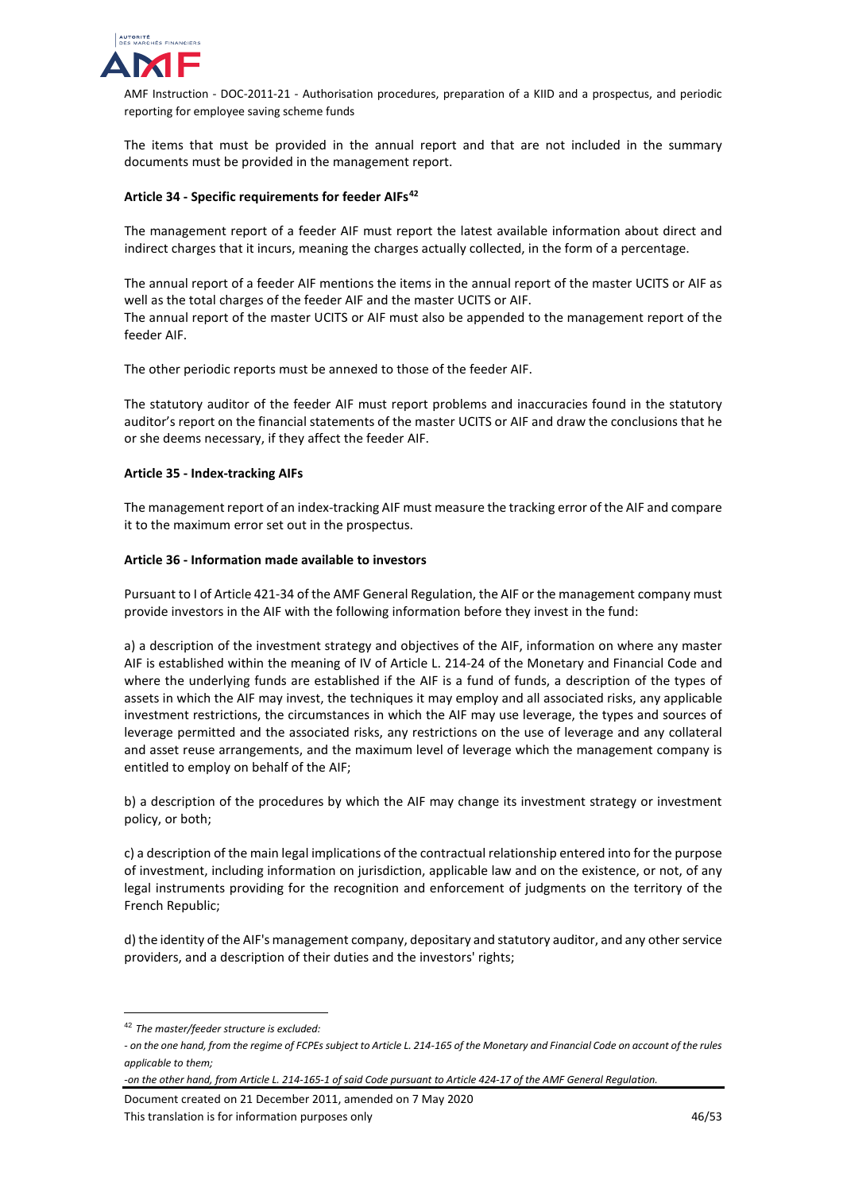

The items that must be provided in the annual report and that are not included in the summary documents must be provided in the management report.

# **Article 34 - Specific requirements for feeder AIFs[42](#page-45-0)**

The management report of a feeder AIF must report the latest available information about direct and indirect charges that it incurs, meaning the charges actually collected, in the form of a percentage.

The annual report of a feeder AIF mentions the items in the annual report of the master UCITS or AIF as well as the total charges of the feeder AIF and the master UCITS or AIF. The annual report of the master UCITS or AIF must also be appended to the management report of the feeder AIF.

The other periodic reports must be annexed to those of the feeder AIF.

The statutory auditor of the feeder AIF must report problems and inaccuracies found in the statutory auditor's report on the financial statements of the master UCITS or AIF and draw the conclusions that he or she deems necessary, if they affect the feeder AIF.

#### **Article 35 - Index-tracking AIFs**

The management report of an index-tracking AIF must measure the tracking error of the AIF and compare it to the maximum error set out in the prospectus.

#### **Article 36 - Information made available to investors**

Pursuant to I of Article 421-34 of the AMF General Regulation, the AIF or the management company must provide investors in the AIF with the following information before they invest in the fund:

a) a description of the investment strategy and objectives of the AIF, information on where any master AIF is established within the meaning of IV of Article L. 214-24 of the Monetary and Financial Code and where the underlying funds are established if the AIF is a fund of funds, a description of the types of assets in which the AIF may invest, the techniques it may employ and all associated risks, any applicable investment restrictions, the circumstances in which the AIF may use leverage, the types and sources of leverage permitted and the associated risks, any restrictions on the use of leverage and any collateral and asset reuse arrangements, and the maximum level of leverage which the management company is entitled to employ on behalf of the AIF;

b) a description of the procedures by which the AIF may change its investment strategy or investment policy, or both;

c) a description of the main legal implications of the contractual relationship entered into for the purpose of investment, including information on jurisdiction, applicable law and on the existence, or not, of any legal instruments providing for the recognition and enforcement of judgments on the territory of the French Republic;

d) the identity of the AIF's management company, depositary and statutory auditor, and any other service providers, and a description of their duties and the investors' rights;

Document created on 21 December 2011, amended on 7 May 2020 This translation is for information purposes only 1990 and 1990 and 1990 and 1990 and 1990 and 1990 and 1990 and 1990 and 1990 and 1990 and 1990 and 1990 and 1990 and 1990 and 1990 and 1990 and 1990 and 1990 and 1990 and 1

<span id="page-45-0"></span> <sup>42</sup> *The master/feeder structure is excluded:* 

*<sup>-</sup> on the one hand, from the regime of FCPEs subject to Article L. 214-165 of the Monetary and Financial Code on account of the rules applicable to them;* 

*<sup>-</sup>on the other hand, from Article L. 214-165-1 of said Code pursuant to Article 424-17 of the AMF General Regulation.*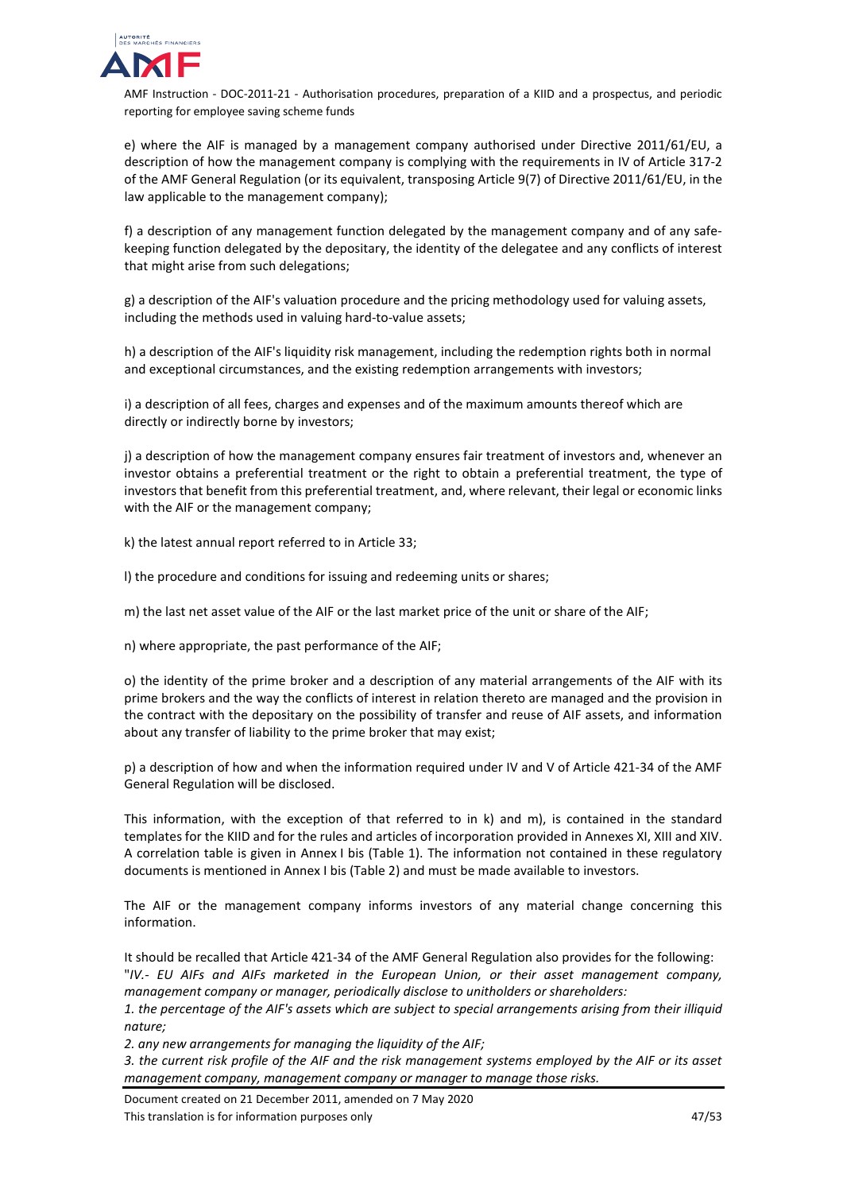

e) where the AIF is managed by a management company authorised under Directive 2011/61/EU, a description of how the management company is complying with the requirements in IV of Article 317-2 of the AMF General Regulation (or its equivalent, transposing Article 9(7) of Directive 2011/61/EU, in the law applicable to the management company);

f) a description of any management function delegated by the management company and of any safekeeping function delegated by the depositary, the identity of the delegatee and any conflicts of interest that might arise from such delegations;

g) a description of the AIF's valuation procedure and the pricing methodology used for valuing assets, including the methods used in valuing hard-to-value assets;

h) a description of the AIF's liquidity risk management, including the redemption rights both in normal and exceptional circumstances, and the existing redemption arrangements with investors;

i) a description of all fees, charges and expenses and of the maximum amounts thereof which are directly or indirectly borne by investors;

j) a description of how the management company ensures fair treatment of investors and, whenever an investor obtains a preferential treatment or the right to obtain a preferential treatment, the type of investors that benefit from this preferential treatment, and, where relevant, their legal or economic links with the AIF or the management company;

k) the latest annual report referred to in Article 33;

l) the procedure and conditions for issuing and redeeming units or shares;

m) the last net asset value of the AIF or the last market price of the unit or share of the AIF;

n) where appropriate, the past performance of the AIF;

o) the identity of the prime broker and a description of any material arrangements of the AIF with its prime brokers and the way the conflicts of interest in relation thereto are managed and the provision in the contract with the depositary on the possibility of transfer and reuse of AIF assets, and information about any transfer of liability to the prime broker that may exist;

p) a description of how and when the information required under IV and V of Article 421-34 of the AMF General Regulation will be disclosed.

This information, with the exception of that referred to in k) and m), is contained in the standard templates for the KIID and for the rules and articles of incorporation provided in Annexes XI, XIII and XIV. A correlation table is given in Annex I bis (Table 1). The information not contained in these regulatory documents is mentioned in Annex I bis (Table 2) and must be made available to investors.

The AIF or the management company informs investors of any material change concerning this information.

It should be recalled that Article 421-34 of the AMF General Regulation also provides for the following: "*IV.- EU AIFs and AIFs marketed in the European Union, or their asset management company, management company or manager, periodically disclose to unitholders or shareholders:*

*1. the percentage of the AIF's assets which are subject to special arrangements arising from their illiquid nature;*

*2. any new arrangements for managing the liquidity of the AIF;*

*3. the current risk profile of the AIF and the risk management systems employed by the AIF or its asset management company, management company or manager to manage those risks.* 

Document created on 21 December 2011, amended on 7 May 2020 This translation is for information purposes only 1990 and 1990 and 1990 and 1990 and 1990 and 1990 and 1990 and 1990 and 1990 and 1990 and 1990 and 1990 and 1990 and 1990 and 1990 and 1990 and 1990 and 1990 and 1990 and 1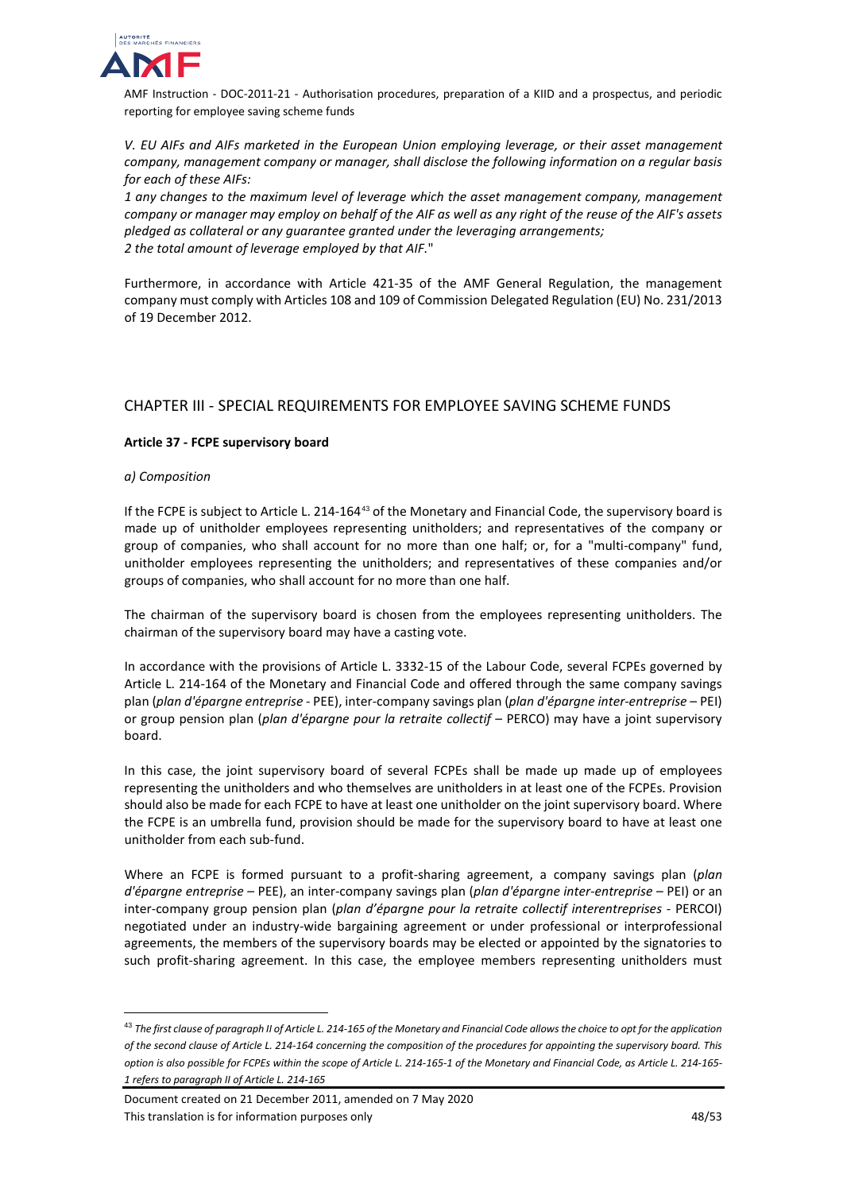

*V. EU AIFs and AIFs marketed in the European Union employing leverage, or their asset management company, management company or manager, shall disclose the following information on a regular basis for each of these AIFs:*

*1 any changes to the maximum level of leverage which the asset management company, management company or manager may employ on behalf of the AIF as well as any right of the reuse of the AIF's assets pledged as collateral or any guarantee granted under the leveraging arrangements; 2 the total amount of leverage employed by that AIF.*"

Furthermore, in accordance with Article 421-35 of the AMF General Regulation, the management company must comply with Articles 108 and 109 of Commission Delegated Regulation (EU) No. 231/2013 of 19 December 2012.

# <span id="page-47-0"></span>CHAPTER III - SPECIAL REQUIREMENTS FOR EMPLOYEE SAVING SCHEME FUNDS

## **Article 37 - FCPE supervisory board**

## *a) Composition*

If the FCPE is subject to Article L. 214-164[43](#page-47-1) of the Monetary and Financial Code, the supervisory board is made up of unitholder employees representing unitholders; and representatives of the company or group of companies, who shall account for no more than one half; or, for a "multi-company" fund, unitholder employees representing the unitholders; and representatives of these companies and/or groups of companies, who shall account for no more than one half.

The chairman of the supervisory board is chosen from the employees representing unitholders. The chairman of the supervisory board may have a casting vote.

In accordance with the provisions of Article L. 3332-15 of the Labour Code, several FCPEs governed by Article L. 214-164 of the Monetary and Financial Code and offered through the same company savings plan (*plan d'épargne entreprise* - PEE), inter-company savings plan (*plan d'épargne inter-entreprise* – PEI) or group pension plan (*plan d'épargne pour la retraite collectif* – PERCO) may have a joint supervisory board.

In this case, the joint supervisory board of several FCPEs shall be made up made up of employees representing the unitholders and who themselves are unitholders in at least one of the FCPEs. Provision should also be made for each FCPE to have at least one unitholder on the joint supervisory board. Where the FCPE is an umbrella fund, provision should be made for the supervisory board to have at least one unitholder from each sub-fund.

Where an FCPE is formed pursuant to a profit-sharing agreement, a company savings plan (*plan d'épargne entreprise* – PEE), an inter-company savings plan (*plan d'épargne inter-entreprise* – PEI) or an inter-company group pension plan (*plan d'épargne pour la retraite collectif interentreprises* - PERCOI) negotiated under an industry-wide bargaining agreement or under professional or interprofessional agreements, the members of the supervisory boards may be elected or appointed by the signatories to such profit-sharing agreement. In this case, the employee members representing unitholders must

<span id="page-47-1"></span> <sup>43</sup> *The first clause of paragraph II of Article L. 214-165 of the Monetary and Financial Code allows the choice to opt for the application of the second clause of Article L. 214-164 concerning the composition of the procedures for appointing the supervisory board. This option is also possible for FCPEs within the scope of Article L. 214-165-1 of the Monetary and Financial Code, as Article L. 214-165- 1 refers to paragraph II of Article L. 214-165*

Document created on 21 December 2011, amended on 7 May 2020 This translation is for information purposes only the state of the state of the 48/53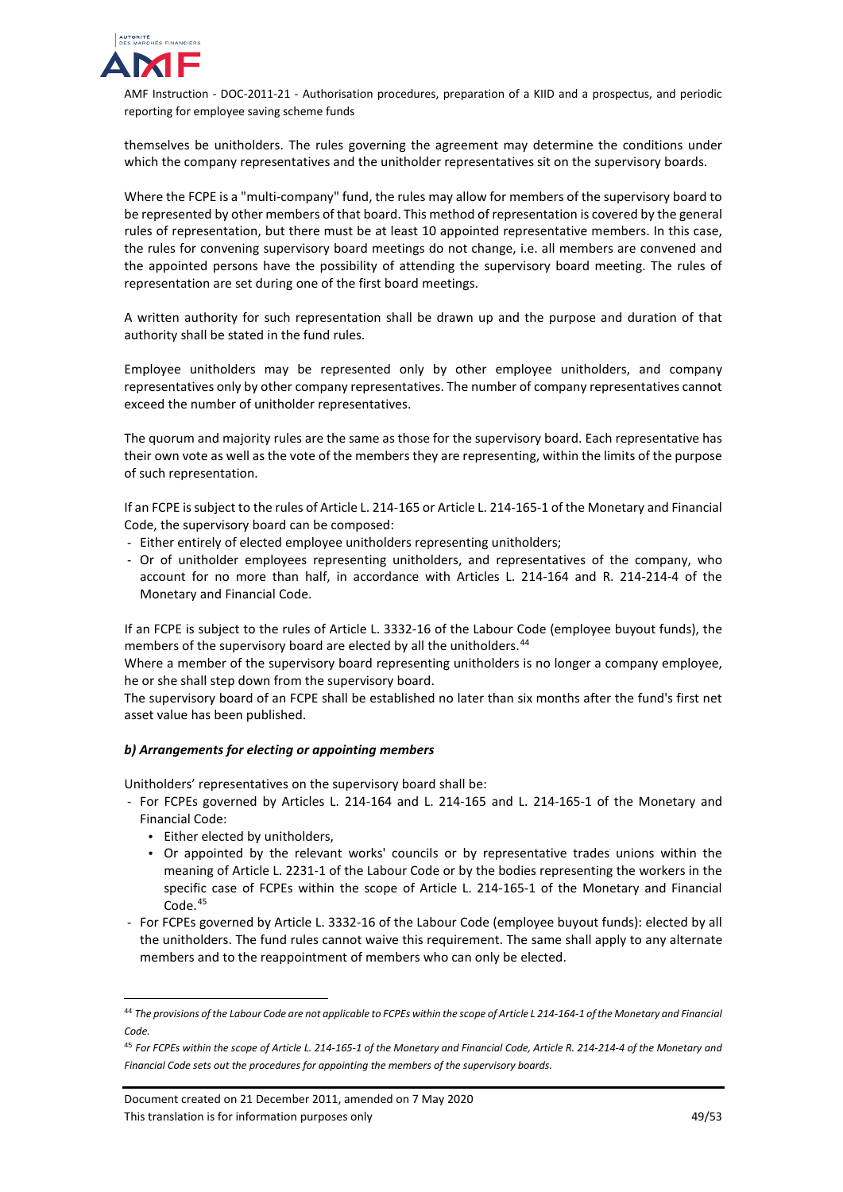

themselves be unitholders. The rules governing the agreement may determine the conditions under which the company representatives and the unitholder representatives sit on the supervisory boards.

Where the FCPE is a "multi-company" fund, the rules may allow for members of the supervisory board to be represented by other members of that board. This method of representation is covered by the general rules of representation, but there must be at least 10 appointed representative members. In this case, the rules for convening supervisory board meetings do not change, i.e. all members are convened and the appointed persons have the possibility of attending the supervisory board meeting. The rules of representation are set during one of the first board meetings.

A written authority for such representation shall be drawn up and the purpose and duration of that authority shall be stated in the fund rules.

Employee unitholders may be represented only by other employee unitholders, and company representatives only by other company representatives. The number of company representatives cannot exceed the number of unitholder representatives.

The quorum and majority rules are the same as those for the supervisory board. Each representative has their own vote as well as the vote of the members they are representing, within the limits of the purpose of such representation.

If an FCPE is subject to the rules of Article L. 214-165 or Article L. 214-165-1 of the Monetary and Financial Code, the supervisory board can be composed:

- Either entirely of elected employee unitholders representing unitholders;
- Or of unitholder employees representing unitholders, and representatives of the company, who account for no more than half, in accordance with Articles L. 214-164 and R. 214-214-4 of the Monetary and Financial Code.

If an FCPE is subject to the rules of Article L. 3332-16 of the Labour Code (employee buyout funds), the members of the supervisory board are elected by all the unitholders. [44](#page-48-0)

Where a member of the supervisory board representing unitholders is no longer a company employee, he or she shall step down from the supervisory board.

The supervisory board of an FCPE shall be established no later than six months after the fund's first net asset value has been published.

## *b) Arrangements for electing or appointing members*

Unitholders' representatives on the supervisory board shall be:

- For FCPEs governed by Articles L. 214-164 and L. 214-165 and L. 214-165-1 of the Monetary and Financial Code:
	- Either elected by unitholders,
	- Or appointed by the relevant works' councils or by representative trades unions within the meaning of Article L. 2231-1 of the Labour Code or by the bodies representing the workers in the specific case of FCPEs within the scope of Article L. 214-165-1 of the Monetary and Financial Code.<sup>[45](#page-48-1)</sup>
- For FCPEs governed by Article L. 3332-16 of the Labour Code (employee buyout funds): elected by all the unitholders. The fund rules cannot waive this requirement. The same shall apply to any alternate members and to the reappointment of members who can only be elected.

<span id="page-48-0"></span> <sup>44</sup> *The provisions of the Labour Code are not applicable to FCPEs within the scope of Article L 214-164-1 of the Monetary and Financial Code.*

<span id="page-48-1"></span><sup>45</sup> *For FCPEs within the scope of Article L. 214-165-1 of the Monetary and Financial Code, Article R. 214-214-4 of the Monetary and Financial Code sets out the procedures for appointing the members of the supervisory boards.*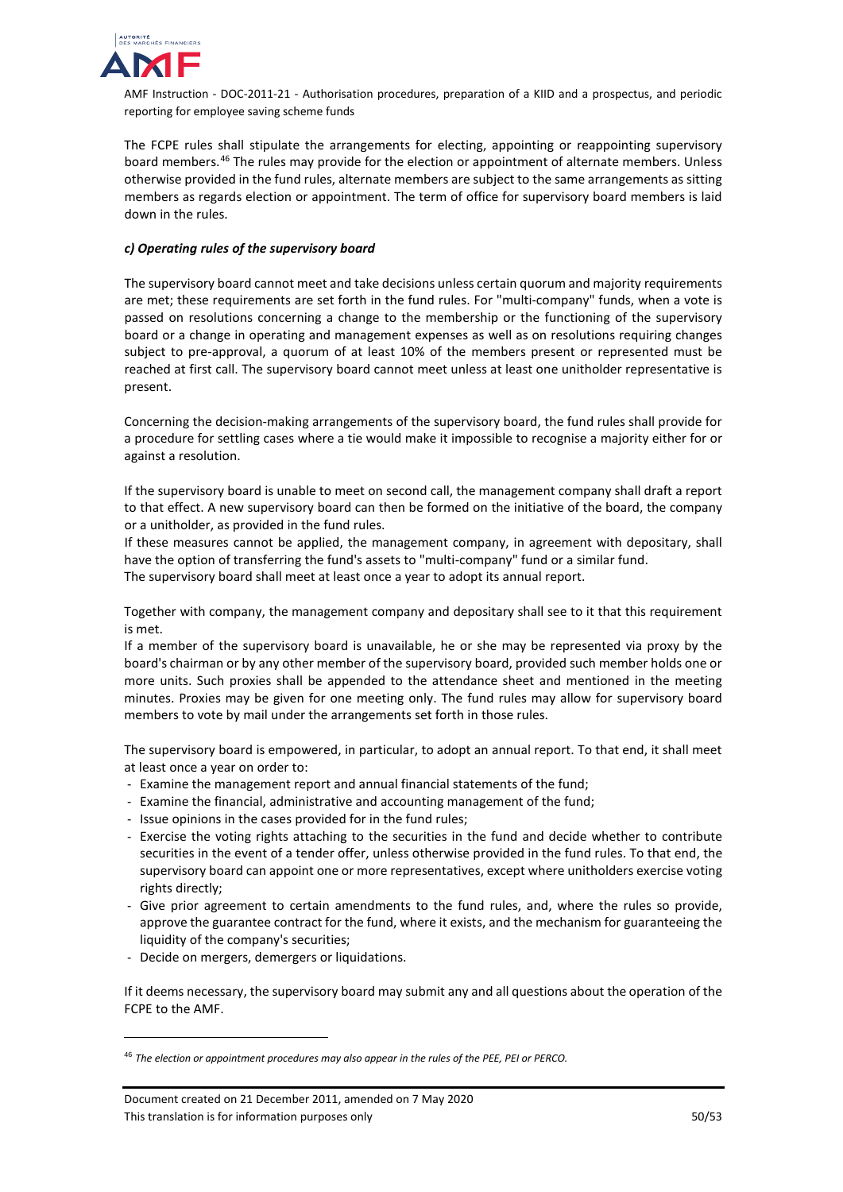

The FCPE rules shall stipulate the arrangements for electing, appointing or reappointing supervisory board members. [46](#page-49-0) The rules may provide for the election or appointment of alternate members. Unless otherwise provided in the fund rules, alternate members are subject to the same arrangements as sitting members as regards election or appointment. The term of office for supervisory board members is laid down in the rules.

## *c) Operating rules of the supervisory board*

The supervisory board cannot meet and take decisions unless certain quorum and majority requirements are met; these requirements are set forth in the fund rules. For "multi-company" funds, when a vote is passed on resolutions concerning a change to the membership or the functioning of the supervisory board or a change in operating and management expenses as well as on resolutions requiring changes subject to pre-approval, a quorum of at least 10% of the members present or represented must be reached at first call. The supervisory board cannot meet unless at least one unitholder representative is present.

Concerning the decision-making arrangements of the supervisory board, the fund rules shall provide for a procedure for settling cases where a tie would make it impossible to recognise a majority either for or against a resolution.

If the supervisory board is unable to meet on second call, the management company shall draft a report to that effect. A new supervisory board can then be formed on the initiative of the board, the company or a unitholder, as provided in the fund rules.

If these measures cannot be applied, the management company, in agreement with depositary, shall have the option of transferring the fund's assets to "multi-company" fund or a similar fund.

The supervisory board shall meet at least once a year to adopt its annual report.

Together with company, the management company and depositary shall see to it that this requirement is met.

If a member of the supervisory board is unavailable, he or she may be represented via proxy by the board's chairman or by any other member of the supervisory board, provided such member holds one or more units. Such proxies shall be appended to the attendance sheet and mentioned in the meeting minutes. Proxies may be given for one meeting only. The fund rules may allow for supervisory board members to vote by mail under the arrangements set forth in those rules.

The supervisory board is empowered, in particular, to adopt an annual report. To that end, it shall meet at least once a year on order to:

- Examine the management report and annual financial statements of the fund;
- Examine the financial, administrative and accounting management of the fund;
- Issue opinions in the cases provided for in the fund rules;
- Exercise the voting rights attaching to the securities in the fund and decide whether to contribute securities in the event of a tender offer, unless otherwise provided in the fund rules. To that end, the supervisory board can appoint one or more representatives, except where unitholders exercise voting rights directly;
- Give prior agreement to certain amendments to the fund rules, and, where the rules so provide, approve the guarantee contract for the fund, where it exists, and the mechanism for guaranteeing the liquidity of the company's securities;
- Decide on mergers, demergers or liquidations.

j

If it deems necessary, the supervisory board may submit any and all questions about the operation of the FCPE to the AMF.

<span id="page-49-0"></span><sup>46</sup> *The election or appointment procedures may also appear in the rules of the PEE, PEI or PERCO.*

Document created on 21 December 2011, amended on 7 May 2020 This translation is for information purposes only 50/53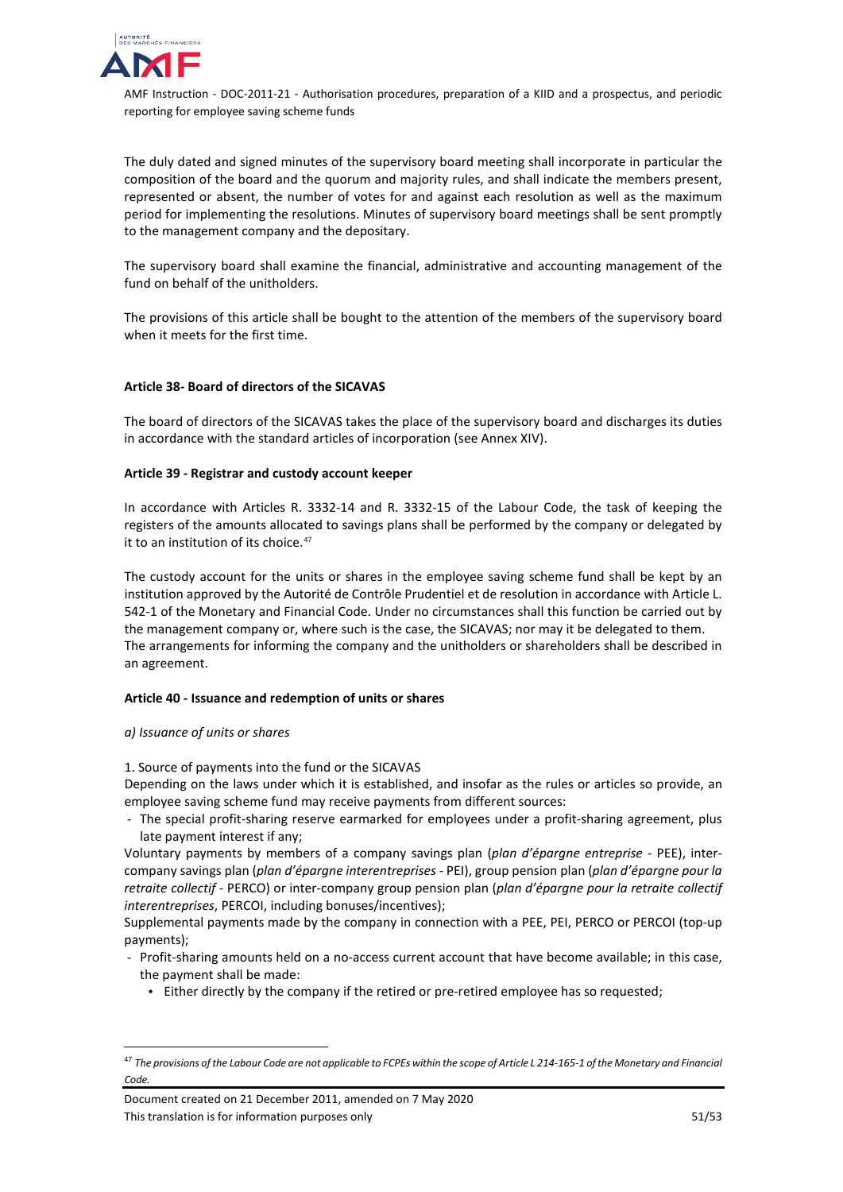

The duly dated and signed minutes of the supervisory board meeting shall incorporate in particular the composition of the board and the quorum and majority rules, and shall indicate the members present, represented or absent, the number of votes for and against each resolution as well as the maximum period for implementing the resolutions. Minutes of supervisory board meetings shall be sent promptly to the management company and the depositary.

The supervisory board shall examine the financial, administrative and accounting management of the fund on behalf of the unitholders.

The provisions of this article shall be bought to the attention of the members of the supervisory board when it meets for the first time.

## **Article 38- Board of directors of the SICAVAS**

The board of directors of the SICAVAS takes the place of the supervisory board and discharges its duties in accordance with the standard articles of incorporation (see Annex XIV).

#### **Article 39 - Registrar and custody account keeper**

In accordance with Articles R. 3332-14 and R. 3332-15 of the Labour Code, the task of keeping the registers of the amounts allocated to savings plans shall be performed by the company or delegated by it to an institution of its choice.<sup>[47](#page-50-0)</sup>

The custody account for the units or shares in the employee saving scheme fund shall be kept by an institution approved by the Autorité de Contrôle Prudentiel et de resolution in accordance with Article L. 542-1 of the Monetary and Financial Code. Under no circumstances shall this function be carried out by the management company or, where such is the case, the SICAVAS; nor may it be delegated to them. The arrangements for informing the company and the unitholders or shareholders shall be described in an agreement.

## **Article 40 - Issuance and redemption of units or shares**

#### *a) Issuance of units or shares*

1. Source of payments into the fund or the SICAVAS

Depending on the laws under which it is established, and insofar as the rules or articles so provide, an employee saving scheme fund may receive payments from different sources:

- The special profit-sharing reserve earmarked for employees under a profit-sharing agreement, plus late payment interest if any;

Voluntary payments by members of a company savings plan (*plan d'épargne entreprise* - PEE), intercompany savings plan (*plan d'épargne interentreprises* - PEI), group pension plan (*plan d'épargne pour la retraite collectif* - PERCO) or inter-company group pension plan (*plan d'épargne pour la retraite collectif interentreprises*, PERCOI, including bonuses/incentives);

Supplemental payments made by the company in connection with a PEE, PEI, PERCO or PERCOI (top-up payments);

- Profit-sharing amounts held on a no-access current account that have become available; in this case, the payment shall be made:
	- Either directly by the company if the retired or pre-retired employee has so requested;

Document created on 21 December 2011, amended on 7 May 2020 This translation is for information purposes only 51/53

<span id="page-50-0"></span> <sup>47</sup> *The provisions of the Labour Code are not applicable to FCPEs within the scope of Article L 214-165-1 of the Monetary and Financial Code.*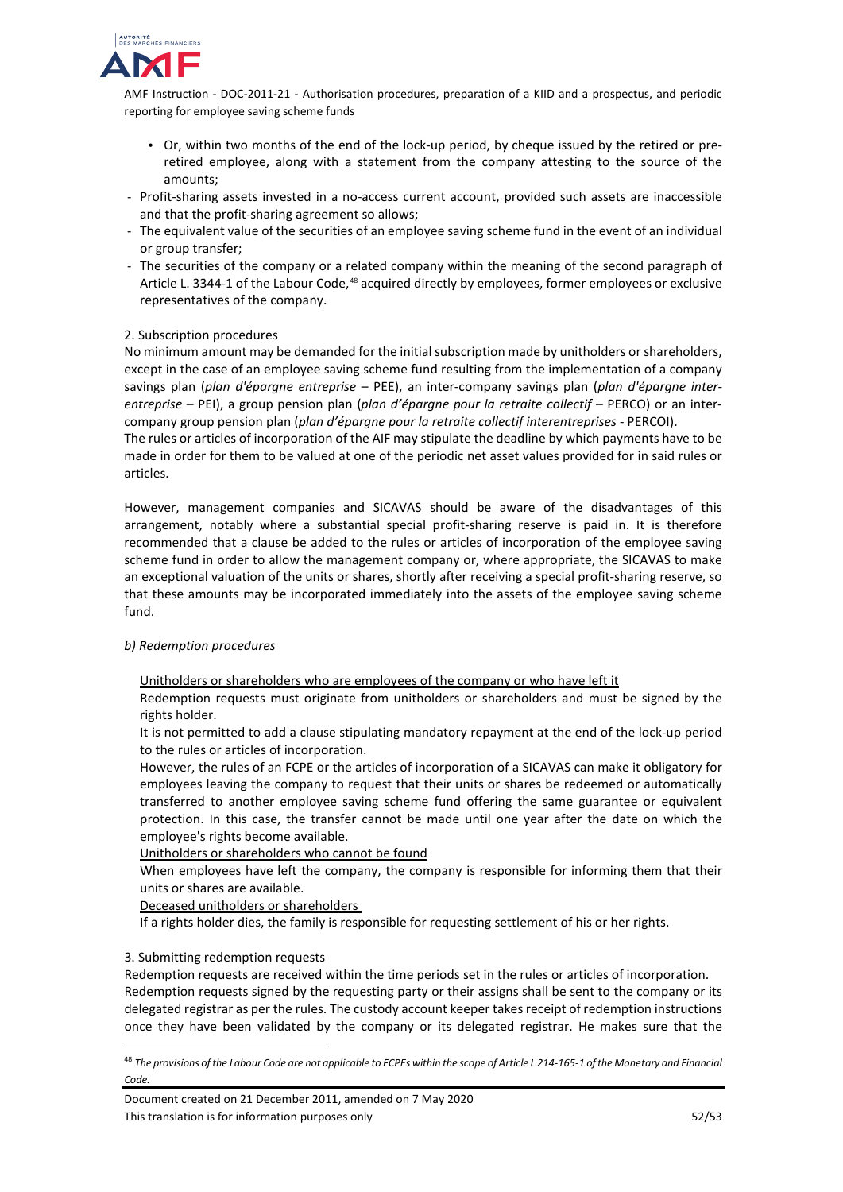

- Or, within two months of the end of the lock-up period, by cheque issued by the retired or preretired employee, along with a statement from the company attesting to the source of the amounts;
- Profit-sharing assets invested in a no-access current account, provided such assets are inaccessible and that the profit-sharing agreement so allows;
- The equivalent value of the securities of an employee saving scheme fund in the event of an individual or group transfer;
- The securities of the company or a related company within the meaning of the second paragraph of Article L. 3344-1 of the Labour Code, [48](#page-51-0) acquired directly by employees, former employees or exclusive representatives of the company.

## 2. Subscription procedures

No minimum amount may be demanded for the initial subscription made by unitholders or shareholders, except in the case of an employee saving scheme fund resulting from the implementation of a company savings plan (*plan d'épargne entreprise* – PEE), an inter-company savings plan (*plan d'épargne interentreprise* – PEI), a group pension plan (*plan d'épargne pour la retraite collectif* – PERCO) or an intercompany group pension plan (*plan d'épargne pour la retraite collectif interentreprises* - PERCOI).

The rules or articles of incorporation of the AIF may stipulate the deadline by which payments have to be made in order for them to be valued at one of the periodic net asset values provided for in said rules or articles.

However, management companies and SICAVAS should be aware of the disadvantages of this arrangement, notably where a substantial special profit-sharing reserve is paid in. It is therefore recommended that a clause be added to the rules or articles of incorporation of the employee saving scheme fund in order to allow the management company or, where appropriate, the SICAVAS to make an exceptional valuation of the units or shares, shortly after receiving a special profit-sharing reserve, so that these amounts may be incorporated immediately into the assets of the employee saving scheme fund.

#### *b) Redemption procedures*

Unitholders or shareholders who are employees of the company or who have left it

Redemption requests must originate from unitholders or shareholders and must be signed by the rights holder.

It is not permitted to add a clause stipulating mandatory repayment at the end of the lock-up period to the rules or articles of incorporation.

However, the rules of an FCPE or the articles of incorporation of a SICAVAS can make it obligatory for employees leaving the company to request that their units or shares be redeemed or automatically transferred to another employee saving scheme fund offering the same guarantee or equivalent protection. In this case, the transfer cannot be made until one year after the date on which the employee's rights become available.

## Unitholders or shareholders who cannot be found

When employees have left the company, the company is responsible for informing them that their units or shares are available.

#### Deceased unitholders or shareholders

If a rights holder dies, the family is responsible for requesting settlement of his or her rights.

## 3. Submitting redemption requests

Redemption requests are received within the time periods set in the rules or articles of incorporation. Redemption requests signed by the requesting party or their assigns shall be sent to the company or its delegated registrar as per the rules. The custody account keeper takes receipt of redemption instructions once they have been validated by the company or its delegated registrar. He makes sure that the

<span id="page-51-0"></span> <sup>48</sup> *The provisions of the Labour Code are not applicable to FCPEs within the scope of Article L 214-165-1 of the Monetary and Financial Code.*

Document created on 21 December 2011, amended on 7 May 2020 This translation is for information purposes only 52/53